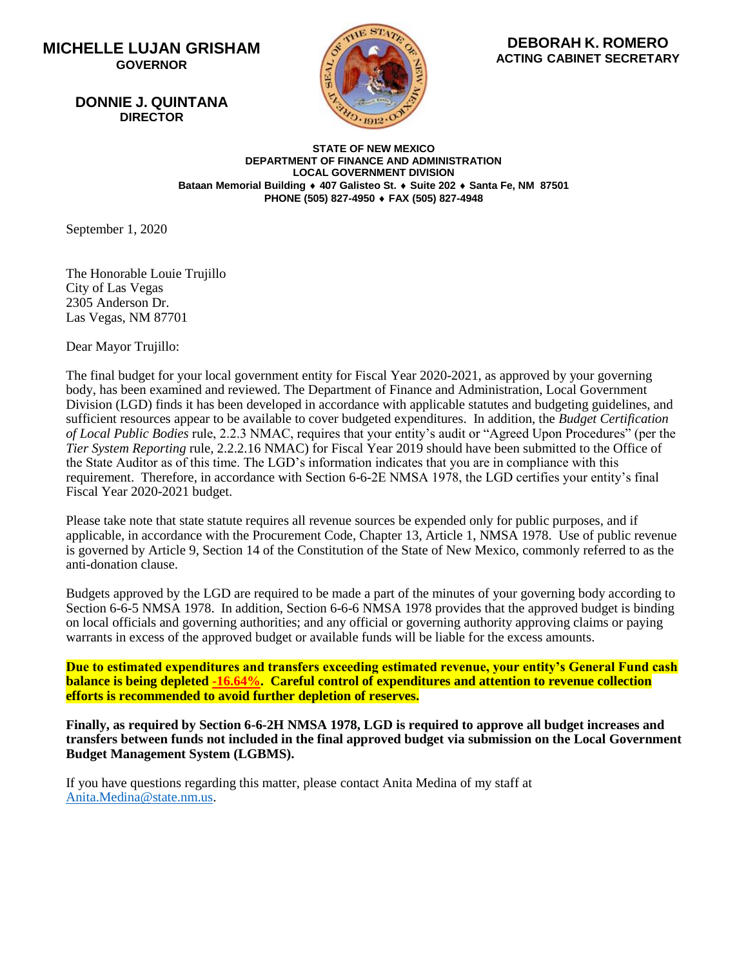## **MICHELLE LUJAN GRISHAM GOVERNOR**

 **DONNIE J. QUINTANA DIRECTOR**



 **ACTING CABINET SECRETARY DEBORAH K. ROMERO**

**STATE OF NEW MEXICO DEPARTMENT OF FINANCE AND ADMINISTRATION LOCAL GOVERNMENT DIVISION Bataan Memorial Building 407 Galisteo St. Suite 202 Santa Fe, NM 87501 PHONE (505) 827-4950 FAX (505) 827-4948**

September 1, 2020

The Honorable Louie Trujillo City of Las Vegas 2305 Anderson Dr. Las Vegas, NM 87701

Dear Mayor Trujillo:

The final budget for your local government entity for Fiscal Year 2020-2021, as approved by your governing body, has been examined and reviewed. The Department of Finance and Administration, Local Government Division (LGD) finds it has been developed in accordance with applicable statutes and budgeting guidelines, and sufficient resources appear to be available to cover budgeted expenditures. In addition, the *Budget Certification of Local Public Bodies* rule, 2.2.3 NMAC, requires that your entity's audit or "Agreed Upon Procedures" (per the *Tier System Reporting* rule, 2.2.2.16 NMAC) for Fiscal Year 2019 should have been submitted to the Office of the State Auditor as of this time. The LGD's information indicates that you are in compliance with this requirement. Therefore, in accordance with Section 6-6-2E NMSA 1978, the LGD certifies your entity's final Fiscal Year 2020-2021 budget.

Please take note that state statute requires all revenue sources be expended only for public purposes, and if applicable, in accordance with the Procurement Code, Chapter 13, Article 1, NMSA 1978. Use of public revenue is governed by Article 9, Section 14 of the Constitution of the State of New Mexico, commonly referred to as the anti-donation clause.

Budgets approved by the LGD are required to be made a part of the minutes of your governing body according to Section 6-6-5 NMSA 1978. In addition, Section 6-6-6 NMSA 1978 provides that the approved budget is binding on local officials and governing authorities; and any official or governing authority approving claims or paying warrants in excess of the approved budget or available funds will be liable for the excess amounts.

**Due to estimated expenditures and transfers exceeding estimated revenue, your entity's General Fund cash balance is being depleted -16.64%. Careful control of expenditures and attention to revenue collection efforts is recommended to avoid further depletion of reserves.**

**Finally, as required by Section 6-6-2H NMSA 1978, LGD is required to approve all budget increases and transfers between funds not included in the final approved budget via submission on the Local Government Budget Management System (LGBMS).**

If you have questions regarding this matter, please contact Anita Medina of my staff at [Anita.Medina@state.nm.us.](mailto:Anita.Medina@state.nm.us)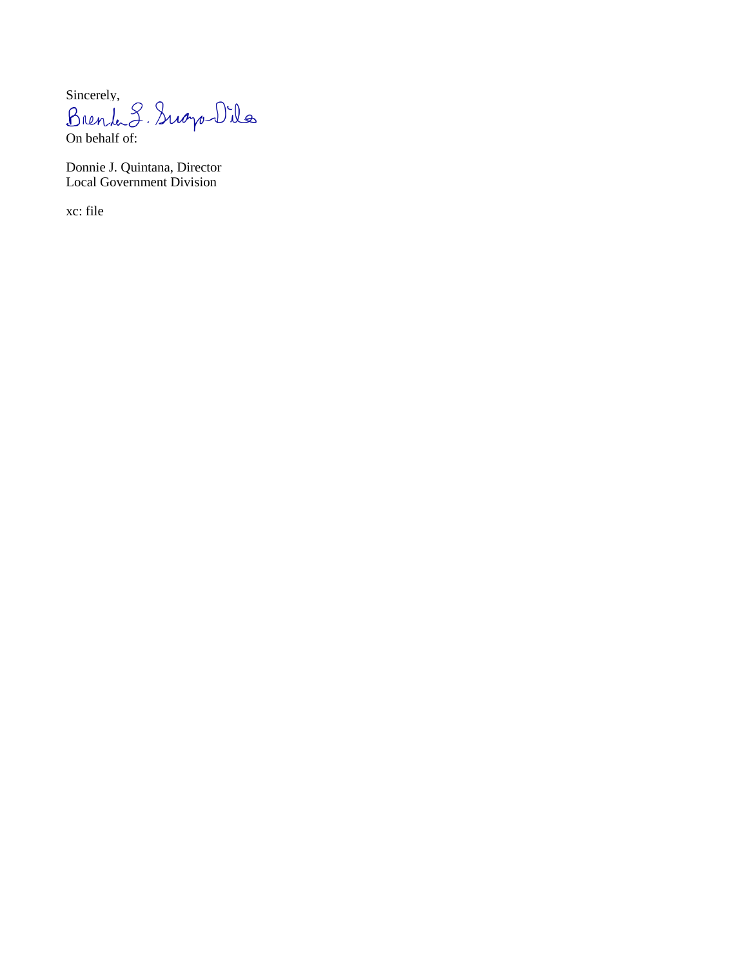Sincerely,<br>Brenk S. Sugo-Dila On behalf of:

Donnie J. Quintana, Director Local Government Division

xc: file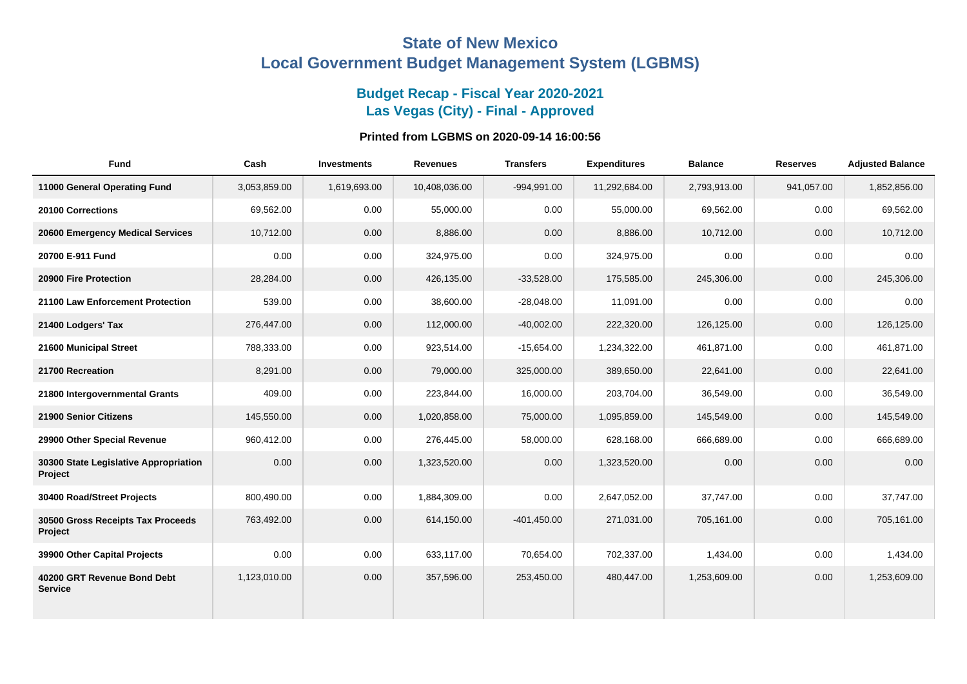# **State of New Mexico Local Government Budget Management System (LGBMS)**

## **Budget Recap - Fiscal Year 2020-2021 Las Vegas (City) - Final - Approved**

## **Printed from LGBMS on 2020-09-14 16:00:56**

| <b>Fund</b>                                      | Cash         | <b>Investments</b> | <b>Revenues</b> | <b>Transfers</b> | <b>Expenditures</b> | <b>Balance</b> | <b>Reserves</b> | <b>Adjusted Balance</b> |
|--------------------------------------------------|--------------|--------------------|-----------------|------------------|---------------------|----------------|-----------------|-------------------------|
| 11000 General Operating Fund                     | 3,053,859.00 | 1,619,693.00       | 10,408,036.00   | $-994,991.00$    | 11,292,684.00       | 2,793,913.00   | 941,057.00      | 1,852,856.00            |
| 20100 Corrections                                | 69.562.00    | 0.00               | 55,000.00       | 0.00             | 55,000.00           | 69,562.00      | 0.00            | 69,562.00               |
| 20600 Emergency Medical Services                 | 10,712.00    | 0.00               | 8,886.00        | 0.00             | 8,886.00            | 10,712.00      | 0.00            | 10,712.00               |
| 20700 E-911 Fund                                 | 0.00         | 0.00               | 324,975.00      | 0.00             | 324,975.00          | 0.00           | 0.00            | 0.00                    |
| 20900 Fire Protection                            | 28,284.00    | 0.00               | 426,135.00      | $-33,528.00$     | 175,585.00          | 245,306.00     | 0.00            | 245,306.00              |
| 21100 Law Enforcement Protection                 | 539.00       | 0.00               | 38,600.00       | $-28,048.00$     | 11,091.00           | 0.00           | 0.00            | 0.00                    |
| 21400 Lodgers' Tax                               | 276,447.00   | 0.00               | 112,000.00      | $-40,002.00$     | 222,320.00          | 126,125.00     | 0.00            | 126,125.00              |
| 21600 Municipal Street                           | 788,333.00   | 0.00               | 923,514.00      | $-15,654.00$     | 1,234,322.00        | 461,871.00     | 0.00            | 461,871.00              |
| 21700 Recreation                                 | 8,291.00     | 0.00               | 79,000.00       | 325,000.00       | 389,650.00          | 22,641.00      | 0.00            | 22,641.00               |
| 21800 Intergovernmental Grants                   | 409.00       | 0.00               | 223,844.00      | 16,000.00        | 203,704.00          | 36,549.00      | 0.00            | 36,549.00               |
| 21900 Senior Citizens                            | 145,550.00   | 0.00               | 1,020,858.00    | 75,000.00        | 1,095,859.00        | 145,549.00     | 0.00            | 145,549.00              |
| 29900 Other Special Revenue                      | 960,412.00   | 0.00               | 276,445.00      | 58,000.00        | 628,168.00          | 666,689.00     | 0.00            | 666,689.00              |
| 30300 State Legislative Appropriation<br>Project | 0.00         | 0.00               | 1,323,520.00    | 0.00             | 1,323,520.00        | 0.00           | 0.00            | 0.00                    |
| 30400 Road/Street Projects                       | 800,490.00   | 0.00               | 1,884,309.00    | 0.00             | 2,647,052.00        | 37,747.00      | 0.00            | 37,747.00               |
| 30500 Gross Receipts Tax Proceeds<br>Project     | 763,492.00   | 0.00               | 614,150.00      | $-401,450.00$    | 271.031.00          | 705,161.00     | 0.00            | 705.161.00              |
| 39900 Other Capital Projects                     | 0.00         | 0.00               | 633,117.00      | 70,654.00        | 702,337.00          | 1,434.00       | 0.00            | 1,434.00                |
| 40200 GRT Revenue Bond Debt<br><b>Service</b>    | 1,123,010.00 | 0.00               | 357,596.00      | 253,450.00       | 480,447.00          | 1,253,609.00   | 0.00            | 1,253,609.00            |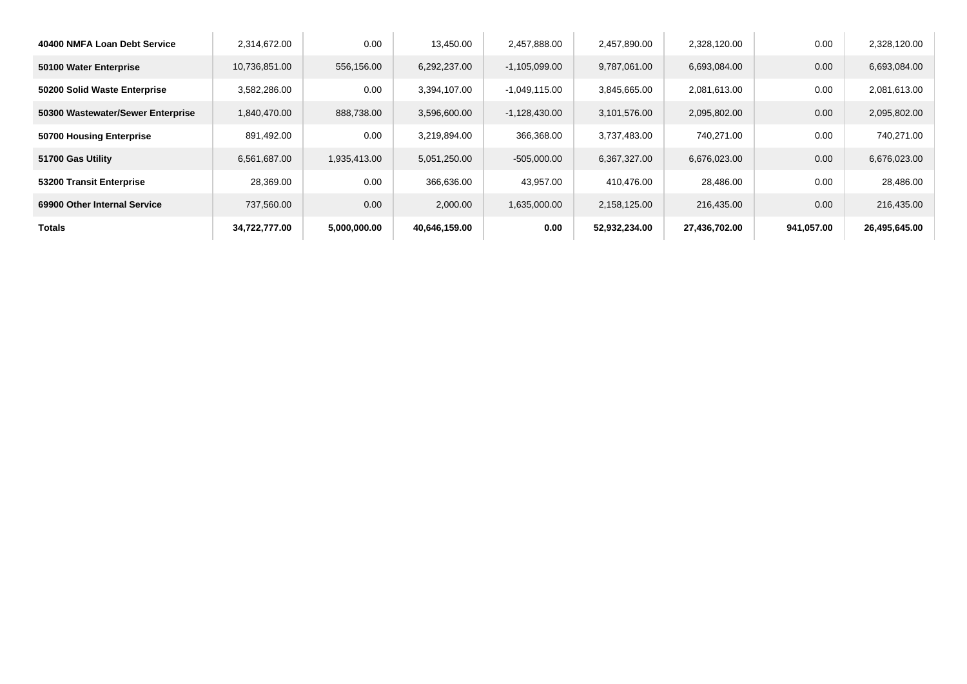| 40400 NMFA Loan Debt Service      | 2,314,672.00  | 0.00         | 13.450.00     | 2,457,888.00    | 2,457,890.00  | 2,328,120.00  | 0.00       | 2,328,120.00  |
|-----------------------------------|---------------|--------------|---------------|-----------------|---------------|---------------|------------|---------------|
| 50100 Water Enterprise            | 10,736,851.00 | 556,156.00   | 6,292,237.00  | $-1,105,099.00$ | 9,787,061.00  | 6,693,084.00  | 0.00       | 6,693,084.00  |
| 50200 Solid Waste Enterprise      | 3,582,286.00  | 0.00         | 3,394,107.00  | $-1,049,115.00$ | 3,845,665.00  | 2,081,613.00  | 0.00       | 2,081,613.00  |
| 50300 Wastewater/Sewer Enterprise | 1,840,470.00  | 888,738.00   | 3,596,600.00  | $-1,128,430.00$ | 3,101,576.00  | 2,095,802.00  | 0.00       | 2,095,802.00  |
| 50700 Housing Enterprise          | 891,492.00    | 0.00         | 3,219,894.00  | 366,368.00      | 3,737,483.00  | 740,271.00    | 0.00       | 740,271.00    |
| 51700 Gas Utility                 | 6,561,687.00  | 1,935,413.00 | 5,051,250.00  | $-505,000.00$   | 6,367,327.00  | 6,676,023.00  | 0.00       | 6,676,023.00  |
| 53200 Transit Enterprise          | 28,369.00     | 0.00         | 366,636.00    | 43,957.00       | 410,476.00    | 28,486.00     | 0.00       | 28,486.00     |
| 69900 Other Internal Service      | 737,560.00    | 0.00         | 2,000.00      | 1,635,000.00    | 2,158,125.00  | 216,435.00    | 0.00       | 216,435.00    |
| <b>Totals</b>                     | 34,722,777.00 | 5,000,000.00 | 40,646,159.00 | 0.00            | 52,932,234.00 | 27,436,702.00 | 941,057.00 | 26,495,645.00 |
|                                   |               |              |               |                 |               |               |            |               |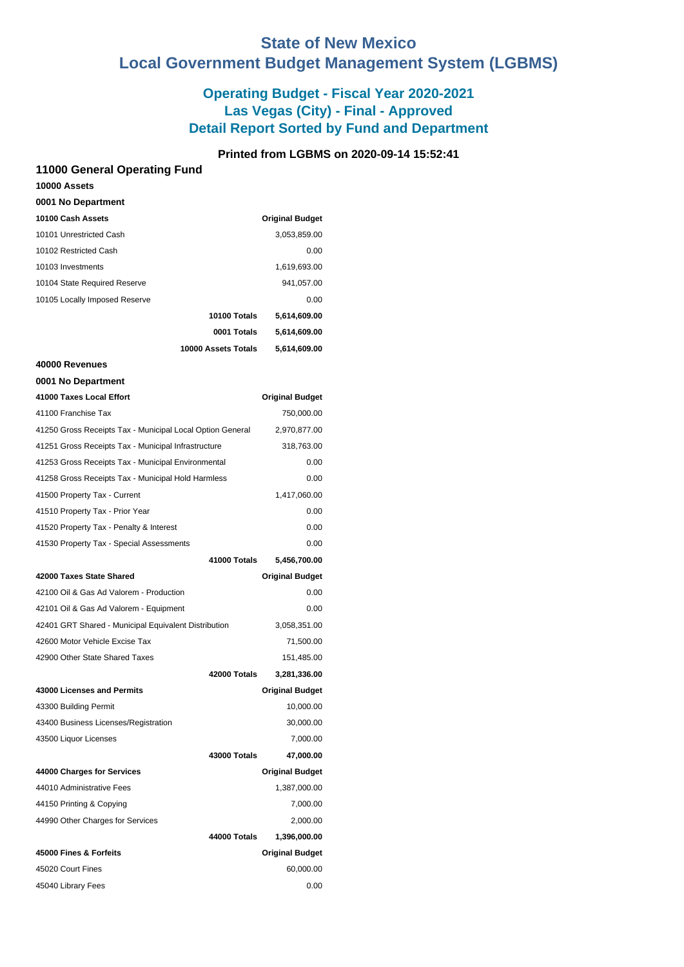# **State of New Mexico Local Government Budget Management System (LGBMS)**

## **Operating Budget - Fiscal Year 2020-2021 Las Vegas (City) - Final - Approved Detail Report Sorted by Fund and Department**

## **Printed from LGBMS on 2020-09-14 15:52:41**

| 11000 General Operating Fund                              |                        |
|-----------------------------------------------------------|------------------------|
| 10000 Assets                                              |                        |
| 0001 No Department                                        |                        |
| 10100 Cash Assets                                         | <b>Original Budget</b> |
| 10101 Unrestricted Cash                                   | 3,053,859.00           |
| 10102 Restricted Cash                                     | 0.00                   |
| 10103 Investments                                         | 1,619,693.00           |
| 10104 State Required Reserve                              | 941,057.00             |
| 10105 Locally Imposed Reserve                             | 0.00                   |
| 10100 Totals                                              | 5,614,609.00           |
| 0001 Totals                                               | 5,614,609.00           |
| 10000 Assets Totals                                       | 5,614,609.00           |
| 40000 Revenues                                            |                        |
| 0001 No Department                                        |                        |
| 41000 Taxes Local Effort                                  | <b>Original Budget</b> |
| 41100 Franchise Tax                                       | 750,000.00             |
| 41250 Gross Receipts Tax - Municipal Local Option General | 2,970,877.00           |
| 41251 Gross Receipts Tax - Municipal Infrastructure       | 318,763.00             |
| 41253 Gross Receipts Tax - Municipal Environmental        | 0.00                   |
| 41258 Gross Receipts Tax - Municipal Hold Harmless        | 0.00                   |
| 41500 Property Tax - Current                              | 1,417,060.00           |
| 41510 Property Tax - Prior Year                           | 0.00                   |
| 41520 Property Tax - Penalty & Interest                   | 0.00                   |
| 41530 Property Tax - Special Assessments                  | 0.00                   |
| 41000 Totals                                              | 5,456,700.00           |
| 42000 Taxes State Shared                                  | <b>Original Budget</b> |
| 42100 Oil & Gas Ad Valorem - Production                   | 0.00                   |
| 42101 Oil & Gas Ad Valorem - Equipment                    | 0.00                   |
| 42401 GRT Shared - Municipal Equivalent Distribution      | 3,058,351.00           |
| 42600 Motor Vehicle Excise Tax                            | 71,500.00              |
| 42900 Other State Shared Taxes                            | 151,485.00             |
| 42000 Totals                                              | 3,281,336.00           |
| 43000 Licenses and Permits                                | <b>Original Budget</b> |
| 43300 Building Permit                                     | 10,000.00              |
| 43400 Business Licenses/Registration                      | 30,000.00              |
| 43500 Liquor Licenses                                     | 7,000.00               |
| 43000 Totals                                              | 47,000.00              |
| 44000 Charges for Services                                | <b>Original Budget</b> |
| 44010 Administrative Fees                                 | 1,387,000.00           |
| 44150 Printing & Copying                                  | 7,000.00               |
| 44990 Other Charges for Services                          | 2,000.00               |
| 44000 Totals                                              | 1,396,000.00           |
| 45000 Fines & Forfeits                                    | <b>Original Budget</b> |
| 45020 Court Fines                                         | 60,000.00              |
| 45040 Library Fees                                        | 0.00                   |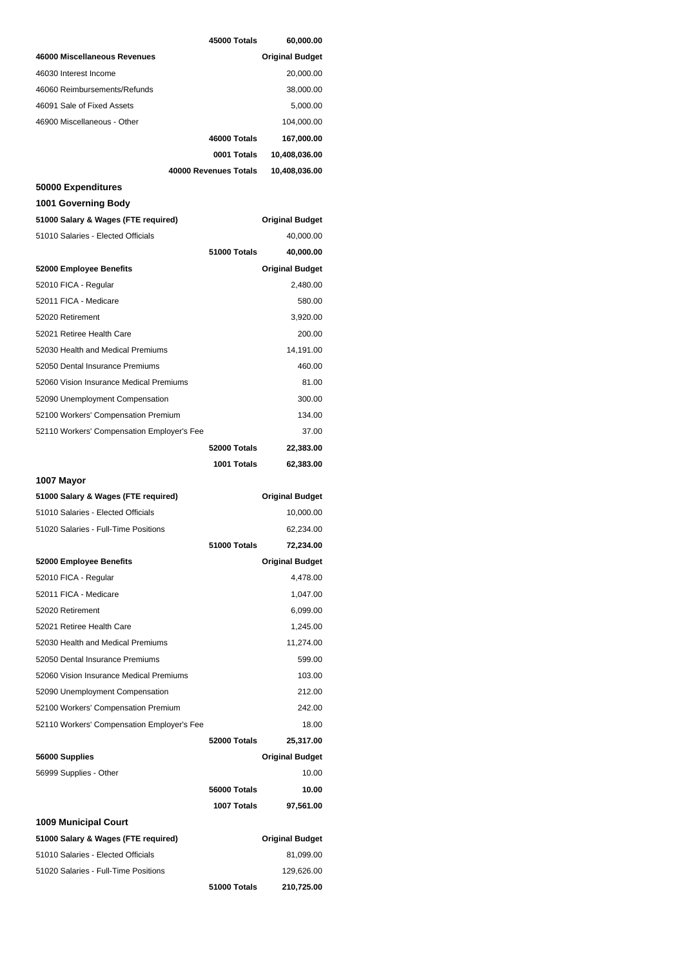|                                            | 45000 Totals          | 60,000.00              |
|--------------------------------------------|-----------------------|------------------------|
| 46000 Miscellaneous Revenues               |                       | <b>Original Budget</b> |
| 46030 Interest Income                      |                       | 20,000.00              |
| 46060 Reimbursements/Refunds               |                       | 38,000.00              |
| 46091 Sale of Fixed Assets                 |                       | 5,000.00               |
| 46900 Miscellaneous - Other                |                       | 104,000.00             |
|                                            | 46000 Totals          | 167,000.00             |
|                                            | 0001 Totals           | 10,408,036.00          |
|                                            | 40000 Revenues Totals | 10,408,036.00          |
| 50000 Expenditures                         |                       |                        |
| 1001 Governing Body                        |                       |                        |
| 51000 Salary & Wages (FTE required)        |                       | <b>Original Budget</b> |
| 51010 Salaries - Elected Officials         |                       | 40,000.00              |
|                                            | 51000 Totals          | 40,000.00              |
| 52000 Employee Benefits                    |                       | <b>Original Budget</b> |
| 52010 FICA - Regular                       |                       | 2,480.00               |
| 52011 FICA - Medicare                      |                       | 580.00                 |
| 52020 Retirement                           |                       | 3,920.00               |
| 52021 Retiree Health Care                  |                       | 200.00                 |
| 52030 Health and Medical Premiums          |                       | 14,191.00              |
| 52050 Dental Insurance Premiums            |                       | 460.00                 |
| 52060 Vision Insurance Medical Premiums    |                       | 81.00                  |
| 52090 Unemployment Compensation            |                       | 300.00                 |
| 52100 Workers' Compensation Premium        |                       | 134.00                 |
| 52110 Workers' Compensation Employer's Fee |                       | 37.00                  |
|                                            | 52000 Totals          | 22,383.00              |
|                                            |                       |                        |
|                                            | 1001 Totals           | 62,383.00              |
| 1007 Mayor                                 |                       |                        |
| 51000 Salary & Wages (FTE required)        |                       | <b>Original Budget</b> |
| 51010 Salaries - Elected Officials         |                       | 10,000.00              |
| 51020 Salaries - Full-Time Positions       |                       | 62,234.00              |
|                                            | 51000 Totals          | 72,234.00              |
| 52000 Employee Benefits                    |                       | <b>Original Budget</b> |
| 52010 FICA - Regular                       |                       | 4,478.00               |
| 52011 FICA - Medicare                      |                       | 1,047.00               |
| 52020 Retirement                           |                       | 6,099.00               |
| 52021 Retiree Health Care                  |                       | 1,245.00               |
| 52030 Health and Medical Premiums          |                       | 11,274.00              |
| 52050 Dental Insurance Premiums            |                       | 599.00                 |
| 52060 Vision Insurance Medical Premiums    |                       | 103.00                 |
| 52090 Unemployment Compensation            |                       | 212.00                 |
| 52100 Workers' Compensation Premium        |                       | 242.00                 |
| 52110 Workers' Compensation Employer's Fee |                       | 18.00                  |
|                                            | 52000 Totals          | 25,317.00              |
| 56000 Supplies                             |                       | <b>Original Budget</b> |
| 56999 Supplies - Other                     |                       | 10.00                  |
|                                            | 56000 Totals          | 10.00                  |
|                                            | 1007 Totals           | 97,561.00              |
| <b>1009 Municipal Court</b>                |                       |                        |
| 51000 Salary & Wages (FTE required)        |                       | <b>Original Budget</b> |
| 51010 Salaries - Elected Officials         |                       | 81,099.00              |
| 51020 Salaries - Full-Time Positions       |                       | 129,626.00             |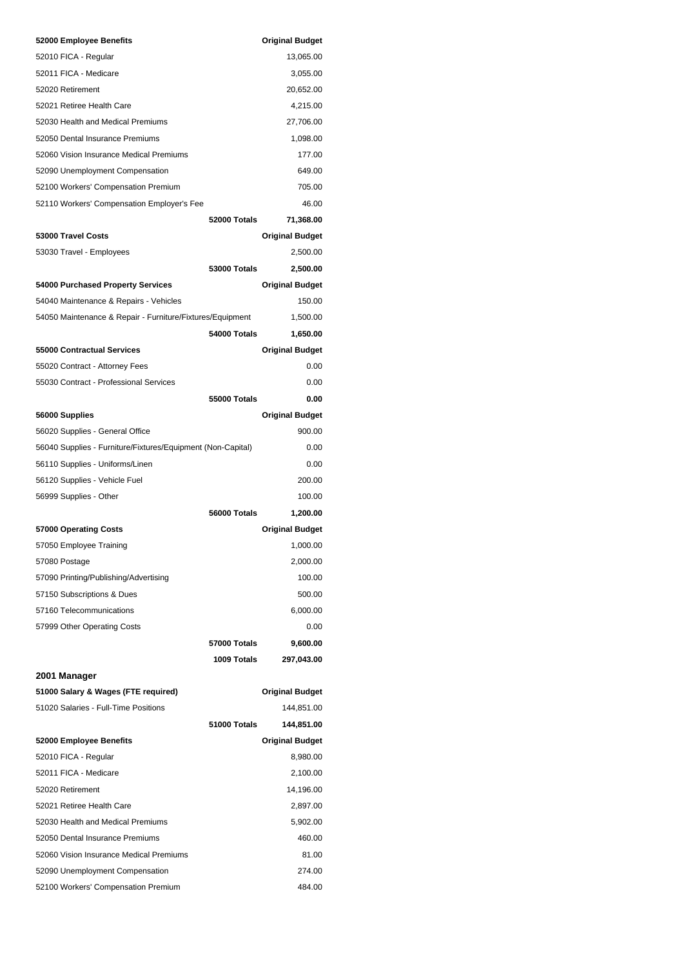| 52000 Employee Benefits                                     |                     | <b>Original Budget</b> |
|-------------------------------------------------------------|---------------------|------------------------|
| 52010 FICA - Regular                                        |                     | 13,065.00              |
| 52011 FICA - Medicare                                       |                     | 3,055.00               |
| 52020 Retirement                                            |                     | 20,652.00              |
| 52021 Retiree Health Care                                   |                     | 4,215.00               |
| 52030 Health and Medical Premiums                           |                     | 27,706.00              |
| 52050 Dental Insurance Premiums                             |                     | 1,098.00               |
| 52060 Vision Insurance Medical Premiums                     |                     | 177.00                 |
| 52090 Unemployment Compensation                             |                     | 649.00                 |
| 52100 Workers' Compensation Premium                         |                     | 705.00                 |
| 52110 Workers' Compensation Employer's Fee                  |                     | 46.00                  |
|                                                             | 52000 Totals        | 71,368.00              |
| 53000 Travel Costs                                          |                     | <b>Original Budget</b> |
| 53030 Travel - Employees                                    |                     | 2,500.00               |
|                                                             | 53000 Totals        | 2,500.00               |
| 54000 Purchased Property Services                           |                     | <b>Original Budget</b> |
| 54040 Maintenance & Repairs - Vehicles                      |                     | 150.00                 |
| 54050 Maintenance & Repair - Furniture/Fixtures/Equipment   |                     | 1,500.00               |
|                                                             | 54000 Totals        | 1,650.00               |
| <b>55000 Contractual Services</b>                           |                     | <b>Original Budget</b> |
| 55020 Contract - Attorney Fees                              |                     | 0.00                   |
| 55030 Contract - Professional Services                      |                     | 0.00                   |
|                                                             | <b>55000 Totals</b> | 0.00                   |
| 56000 Supplies                                              |                     | <b>Original Budget</b> |
| 56020 Supplies - General Office                             |                     | 900.00                 |
| 56040 Supplies - Furniture/Fixtures/Equipment (Non-Capital) |                     | 0.00                   |
| 56110 Supplies - Uniforms/Linen                             |                     | 0.00                   |
| 56120 Supplies - Vehicle Fuel                               |                     | 200.00                 |
| 56999 Supplies - Other                                      |                     | 100.00                 |
|                                                             | 56000 Totals        | 1,200.00               |
| 57000 Operating Costs                                       |                     | <b>Original Budget</b> |
| 57050 Employee Training                                     |                     | 1,000.00               |
| 57080 Postage                                               |                     | 2,000.00               |
| 57090 Printing/Publishing/Advertising                       |                     | 100.00                 |
| 57150 Subscriptions & Dues                                  |                     | 500.00                 |
| 57160 Telecommunications                                    |                     | 6,000.00               |
| 57999 Other Operating Costs                                 |                     | 0.00                   |
|                                                             | 57000 Totals        | 9,600.00               |
|                                                             | 1009 Totals         | 297,043.00             |
| 2001 Manager                                                |                     |                        |
| 51000 Salary & Wages (FTE required)                         |                     | <b>Original Budget</b> |
| 51020 Salaries - Full-Time Positions                        |                     | 144,851.00             |
|                                                             | 51000 Totals        | 144,851.00             |
| 52000 Employee Benefits                                     |                     | <b>Original Budget</b> |
| 52010 FICA - Regular                                        |                     | 8,980.00               |
| 52011 FICA - Medicare                                       |                     | 2,100.00               |
| 52020 Retirement                                            |                     | 14,196.00              |
| 52021 Retiree Health Care                                   |                     | 2,897.00               |
| 52030 Health and Medical Premiums                           |                     | 5,902.00               |
| 52050 Dental Insurance Premiums                             |                     | 460.00                 |
| 52060 Vision Insurance Medical Premiums                     |                     | 81.00                  |
| 52090 Unemployment Compensation                             |                     | 274.00                 |
| 52100 Workers' Compensation Premium                         |                     | 484.00                 |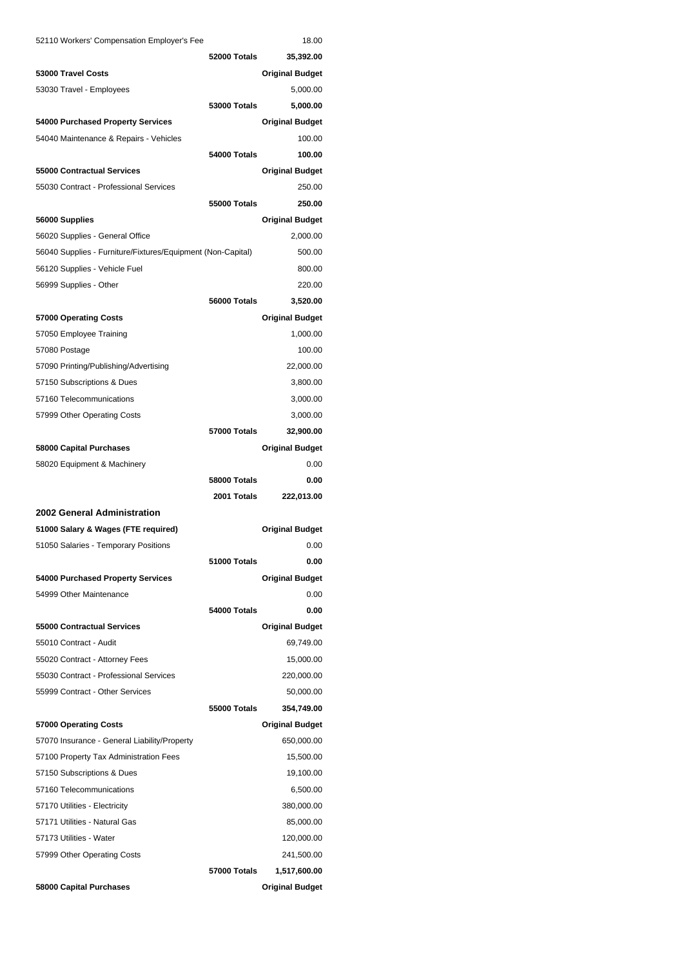| 52110 Workers' Compensation Employer's Fee                            |                     | 18.00                  |
|-----------------------------------------------------------------------|---------------------|------------------------|
|                                                                       | 52000 Totals        | 35,392.00              |
| 53000 Travel Costs                                                    |                     | <b>Original Budget</b> |
| 53030 Travel - Employees                                              |                     | 5,000.00               |
|                                                                       | <b>53000 Totals</b> | 5,000.00               |
| 54000 Purchased Property Services                                     |                     | <b>Original Budget</b> |
| 54040 Maintenance & Repairs - Vehicles                                |                     | 100.00                 |
|                                                                       | 54000 Totals        | 100.00                 |
| 55000 Contractual Services                                            |                     | <b>Original Budget</b> |
| 55030 Contract - Professional Services                                |                     | 250.00                 |
|                                                                       | 55000 Totals        | 250.00                 |
| 56000 Supplies                                                        |                     | <b>Original Budget</b> |
| 56020 Supplies - General Office                                       |                     | 2,000.00               |
| 56040 Supplies - Furniture/Fixtures/Equipment (Non-Capital)           |                     | 500.00                 |
| 56120 Supplies - Vehicle Fuel                                         |                     | 800.00                 |
| 56999 Supplies - Other                                                |                     | 220.00                 |
|                                                                       | 56000 Totals        | 3,520.00               |
| 57000 Operating Costs                                                 |                     | <b>Original Budget</b> |
| 57050 Employee Training                                               |                     | 1,000.00               |
| 57080 Postage                                                         |                     | 100.00                 |
| 57090 Printing/Publishing/Advertising                                 |                     | 22,000.00              |
| 57150 Subscriptions & Dues                                            |                     | 3,800.00               |
| 57160 Telecommunications                                              |                     | 3,000.00               |
| 57999 Other Operating Costs                                           |                     | 3,000.00               |
|                                                                       | 57000 Totals        | 32,900.00              |
| 58000 Capital Purchases                                               |                     | <b>Original Budget</b> |
| 58020 Equipment & Machinery                                           |                     | 0.00                   |
|                                                                       | 58000 Totals        | 0.00                   |
|                                                                       | 2001 Totals         | 222,013.00             |
| 2002 General Administration                                           |                     |                        |
| 51000 Salary & Wages (FTE required)                                   |                     | <b>Original Budget</b> |
| 51050 Salaries - Temporary Positions                                  |                     | 0.00                   |
|                                                                       | 51000 Totals        | 0.00                   |
| 54000 Purchased Property Services                                     |                     | <b>Original Budget</b> |
| 54999 Other Maintenance                                               |                     | 0.00                   |
|                                                                       | 54000 Totals        | 0.00                   |
| 55000 Contractual Services                                            |                     | <b>Original Budget</b> |
| 55010 Contract - Audit                                                |                     | 69,749.00              |
| 55020 Contract - Attorney Fees                                        |                     | 15,000.00              |
| 55030 Contract - Professional Services                                |                     | 220,000.00             |
| 55999 Contract - Other Services                                       |                     | 50,000.00              |
|                                                                       | 55000 Totals        | 354,749.00             |
| 57000 Operating Costs<br>57070 Insurance - General Liability/Property |                     | <b>Original Budget</b> |
|                                                                       |                     | 650,000.00             |
| 57100 Property Tax Administration Fees<br>57150 Subscriptions & Dues  |                     | 15,500.00<br>19,100.00 |
| 57160 Telecommunications                                              |                     | 6,500.00               |
| 57170 Utilities - Electricity                                         |                     | 380,000.00             |
| 57171 Utilities - Natural Gas                                         |                     | 85,000.00              |
| 57173 Utilities - Water                                               |                     | 120,000.00             |
| 57999 Other Operating Costs                                           |                     | 241,500.00             |
|                                                                       | 57000 Totals        | 1,517,600.00           |
|                                                                       |                     |                        |
| 58000 Capital Purchases                                               |                     | <b>Original Budget</b> |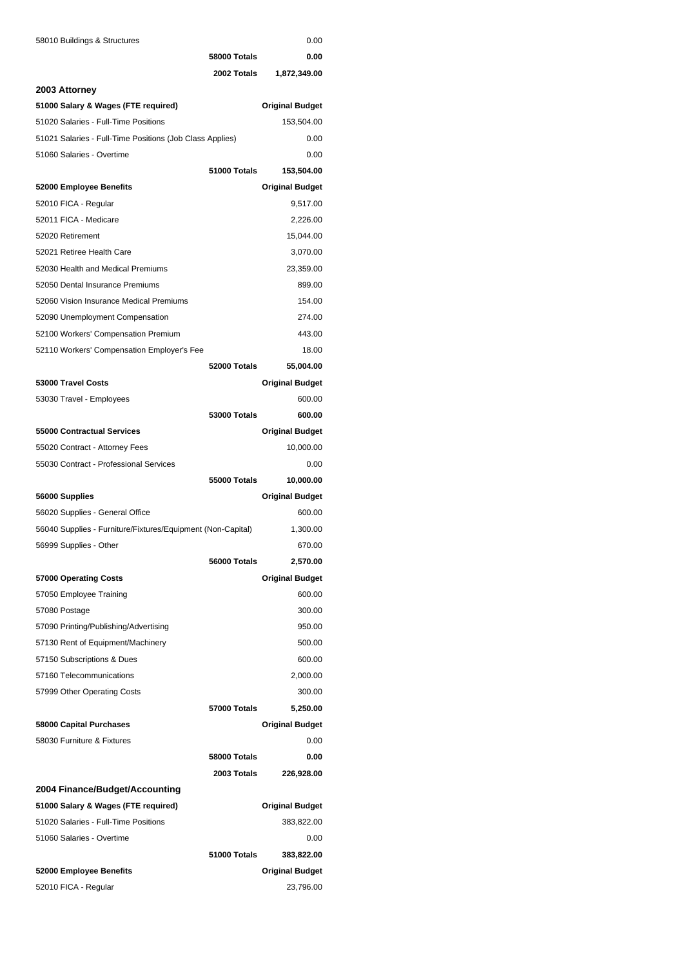| 58010 Buildings & Structures |  |  |
|------------------------------|--|--|
|------------------------------|--|--|

| 58010 Buildings & Structures                                |                     | 0.00                   |
|-------------------------------------------------------------|---------------------|------------------------|
|                                                             | 58000 Totals        | 0.00                   |
|                                                             | 2002 Totals         | 1,872,349.00           |
| 2003 Attorney                                               |                     |                        |
| 51000 Salary & Wages (FTE required)                         |                     | <b>Original Budget</b> |
| 51020 Salaries - Full-Time Positions                        |                     | 153,504.00             |
| 51021 Salaries - Full-Time Positions (Job Class Applies)    |                     | 0.00                   |
| 51060 Salaries - Overtime                                   |                     | 0.00                   |
|                                                             | 51000 Totals        | 153,504.00             |
| 52000 Employee Benefits                                     |                     | <b>Original Budget</b> |
| 52010 FICA - Regular                                        |                     | 9,517.00               |
| 52011 FICA - Medicare                                       |                     | 2,226.00               |
| 52020 Retirement                                            |                     | 15,044.00              |
| 52021 Retiree Health Care                                   |                     | 3,070.00               |
| 52030 Health and Medical Premiums                           |                     | 23,359.00              |
| 52050 Dental Insurance Premiums                             |                     | 899.00                 |
| 52060 Vision Insurance Medical Premiums                     |                     | 154.00                 |
| 52090 Unemployment Compensation                             |                     | 274.00                 |
| 52100 Workers' Compensation Premium                         |                     | 443.00                 |
| 52110 Workers' Compensation Employer's Fee                  |                     | 18.00                  |
|                                                             | 52000 Totals        | 55,004.00              |
| 53000 Travel Costs                                          |                     | <b>Original Budget</b> |
| 53030 Travel - Employees                                    |                     | 600.00                 |
|                                                             | <b>53000 Totals</b> | 600.00                 |
| 55000 Contractual Services                                  |                     | <b>Original Budget</b> |
| 55020 Contract - Attorney Fees                              |                     | 10,000.00              |
| 55030 Contract - Professional Services                      |                     | 0.00                   |
|                                                             | 55000 Totals        | 10,000.00              |
| 56000 Supplies                                              |                     | <b>Original Budget</b> |
| 56020 Supplies - General Office                             |                     | 600.00                 |
| 56040 Supplies - Furniture/Fixtures/Equipment (Non-Capital) |                     | 1,300.00               |
| 56999 Supplies - Other                                      |                     | 670.00                 |
|                                                             | 56000 Totals        | 2,570.00               |
| 57000 Operating Costs                                       |                     | <b>Original Budget</b> |
| 57050 Employee Training                                     |                     | 600.00                 |
| 57080 Postage                                               |                     | 300.00                 |
| 57090 Printing/Publishing/Advertising                       |                     | 950.00                 |
| 57130 Rent of Equipment/Machinery                           |                     | 500.00                 |
| 57150 Subscriptions & Dues                                  |                     | 600.00                 |
| 57160 Telecommunications                                    |                     | 2,000.00               |
| 57999 Other Operating Costs                                 |                     | 300.00                 |
|                                                             | 57000 Totals        | 5,250.00               |
| 58000 Capital Purchases                                     |                     | <b>Original Budget</b> |
| 58030 Furniture & Fixtures                                  |                     | 0.00                   |
|                                                             | 58000 Totals        | 0.00                   |
|                                                             | 2003 Totals         | 226,928.00             |
| 2004 Finance/Budget/Accounting                              |                     |                        |
| 51000 Salary & Wages (FTE required)                         |                     | <b>Original Budget</b> |
| 51020 Salaries - Full-Time Positions                        |                     | 383,822.00             |
| 51060 Salaries - Overtime                                   |                     | 0.00                   |
|                                                             | 51000 Totals        | 383,822.00             |
| 52000 Employee Benefits                                     |                     | <b>Original Budget</b> |
| 52010 FICA - Regular                                        |                     | 23,796.00              |
|                                                             |                     |                        |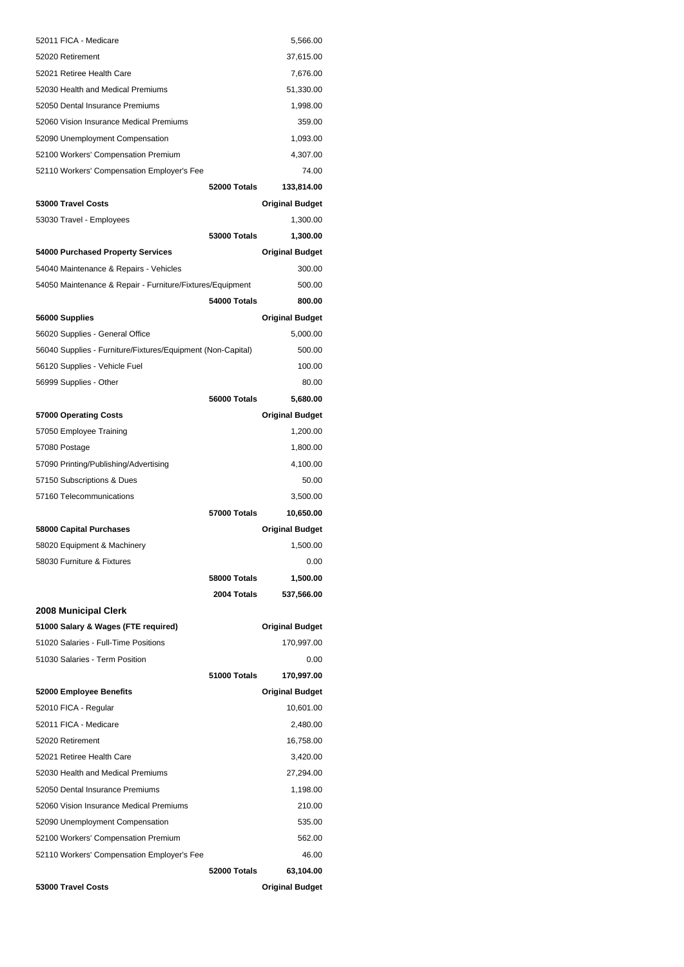| 52060 Vision Insurance Medical Premiums<br>52090 Unemployment Compensation<br>52100 Workers' Compensation Premium<br>52110 Workers' Compensation Employer's Fee |                     | 535.00<br>562.00<br>46.00 |
|-----------------------------------------------------------------------------------------------------------------------------------------------------------------|---------------------|---------------------------|
|                                                                                                                                                                 |                     |                           |
|                                                                                                                                                                 |                     |                           |
|                                                                                                                                                                 |                     | 210.00                    |
| 52050 Dental Insurance Premiums                                                                                                                                 |                     | 1,198.00                  |
| 52030 Health and Medical Premiums                                                                                                                               |                     | 27,294.00                 |
| 52021 Retiree Health Care                                                                                                                                       |                     | 3,420.00                  |
| 52020 Retirement                                                                                                                                                |                     | 16,758.00                 |
| 52011 FICA - Medicare                                                                                                                                           |                     | 2,480.00                  |
| 52010 FICA - Regular                                                                                                                                            |                     | 10,601.00                 |
| 52000 Employee Benefits                                                                                                                                         |                     | <b>Original Budget</b>    |
|                                                                                                                                                                 | 51000 Totals        | 170,997.00                |
| 51030 Salaries - Term Position                                                                                                                                  |                     | 0.00                      |
| 51020 Salaries - Full-Time Positions                                                                                                                            |                     | 170,997.00                |
| 51000 Salary & Wages (FTE required)                                                                                                                             |                     | <b>Original Budget</b>    |
| 2008 Municipal Clerk                                                                                                                                            |                     |                           |
|                                                                                                                                                                 | 2004 Totals         | 537,566.00                |
|                                                                                                                                                                 | 58000 Totals        | 1,500.00                  |
| 58030 Furniture & Fixtures                                                                                                                                      |                     | 0.00                      |
| 58020 Equipment & Machinery                                                                                                                                     |                     | 1,500.00                  |
| 58000 Capital Purchases                                                                                                                                         |                     | <b>Original Budget</b>    |
|                                                                                                                                                                 | 57000 Totals        | 10,650.00                 |
| 57160 Telecommunications                                                                                                                                        |                     | 3,500.00                  |
| 57150 Subscriptions & Dues                                                                                                                                      |                     | 50.00                     |
| 57090 Printing/Publishing/Advertising                                                                                                                           |                     | 4,100.00                  |
| 57080 Postage                                                                                                                                                   |                     | 1,800.00                  |
| 57050 Employee Training                                                                                                                                         |                     | 1,200.00                  |
| 57000 Operating Costs                                                                                                                                           |                     | <b>Original Budget</b>    |
|                                                                                                                                                                 | 56000 Totals        | 5,680.00                  |
| 56999 Supplies - Other                                                                                                                                          |                     | 80.00                     |
| 56120 Supplies - Vehicle Fuel                                                                                                                                   |                     | 100.00                    |
| 56040 Supplies - Furniture/Fixtures/Equipment (Non-Capital)                                                                                                     |                     | 500.00                    |
| 56020 Supplies - General Office                                                                                                                                 |                     | 5,000.00                  |
| 56000 Supplies                                                                                                                                                  |                     | <b>Original Budget</b>    |
|                                                                                                                                                                 | 54000 Totals        | 800.00                    |
| 54050 Maintenance & Repair - Furniture/Fixtures/Equipment                                                                                                       |                     | 500.00                    |
| 54040 Maintenance & Repairs - Vehicles                                                                                                                          |                     | 300.00                    |
| 54000 Purchased Property Services                                                                                                                               |                     | <b>Original Budget</b>    |
|                                                                                                                                                                 | <b>53000 Totals</b> | 1,300.00                  |
| 53030 Travel - Employees                                                                                                                                        |                     | 1,300.00                  |
| 53000 Travel Costs                                                                                                                                              |                     | <b>Original Budget</b>    |
|                                                                                                                                                                 | 52000 Totals        | 133,814.00                |
| 52110 Workers' Compensation Employer's Fee                                                                                                                      |                     | 74.00                     |
| 52100 Workers' Compensation Premium                                                                                                                             |                     | 4,307.00                  |
| 52090 Unemployment Compensation                                                                                                                                 |                     | 1,093.00                  |
| 52060 Vision Insurance Medical Premiums                                                                                                                         |                     | 359.00                    |
| 52050 Dental Insurance Premiums                                                                                                                                 |                     | 1,998.00                  |
| 52030 Health and Medical Premiums                                                                                                                               |                     | 51,330.00                 |
| 52021 Retiree Health Care                                                                                                                                       |                     | 7,676.00                  |
| 52020 Retirement                                                                                                                                                |                     | 37,615.00                 |
| 52011 FICA - Medicare                                                                                                                                           |                     | 5,566.00                  |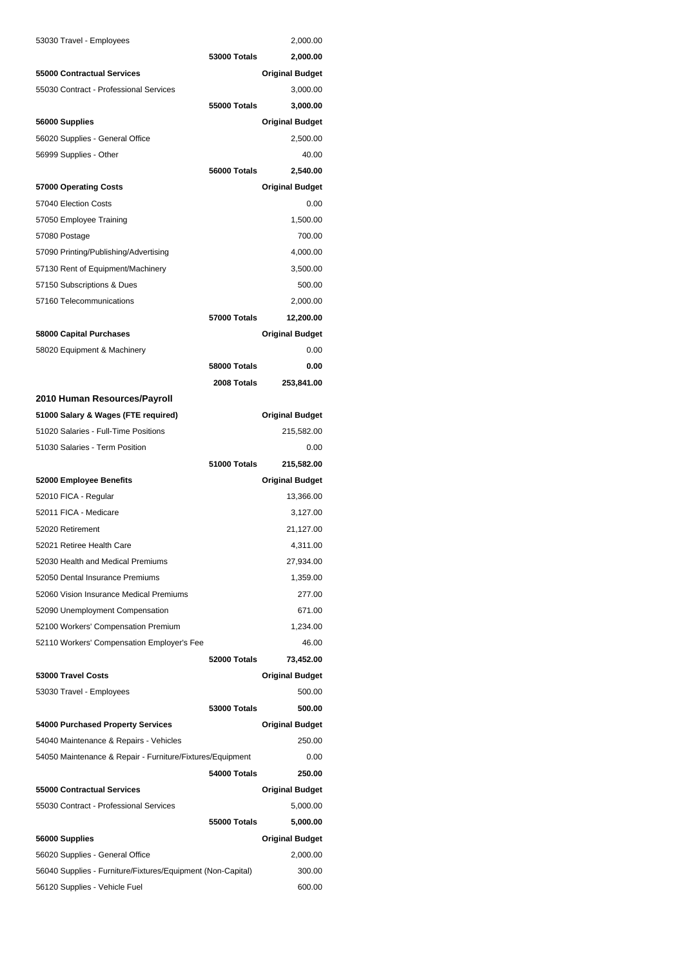| 53030 Travel - Employees                                    |                     | 2,000.00               |
|-------------------------------------------------------------|---------------------|------------------------|
|                                                             | <b>53000 Totals</b> | 2,000.00               |
| 55000 Contractual Services                                  |                     | <b>Original Budget</b> |
| 55030 Contract - Professional Services                      |                     | 3,000.00               |
|                                                             | 55000 Totals        | 3,000.00               |
| 56000 Supplies                                              |                     | <b>Original Budget</b> |
| 56020 Supplies - General Office                             |                     | 2,500.00               |
| 56999 Supplies - Other                                      |                     | 40.00                  |
|                                                             | 56000 Totals        | 2,540.00               |
| 57000 Operating Costs                                       |                     | <b>Original Budget</b> |
| 57040 Election Costs                                        |                     | 0.00                   |
| 57050 Employee Training                                     |                     | 1,500.00               |
| 57080 Postage                                               |                     | 700.00                 |
| 57090 Printing/Publishing/Advertising                       |                     | 4,000.00               |
| 57130 Rent of Equipment/Machinery                           |                     | 3,500.00               |
| 57150 Subscriptions & Dues                                  |                     | 500.00                 |
| 57160 Telecommunications                                    |                     | 2,000.00               |
|                                                             | <b>57000 Totals</b> | 12,200.00              |
| 58000 Capital Purchases                                     |                     | <b>Original Budget</b> |
| 58020 Equipment & Machinery                                 |                     | 0.00                   |
|                                                             | 58000 Totals        | 0.00                   |
|                                                             | 2008 Totals         | 253,841.00             |
| 2010 Human Resources/Payroll                                |                     |                        |
| 51000 Salary & Wages (FTE required)                         |                     | <b>Original Budget</b> |
| 51020 Salaries - Full-Time Positions                        |                     | 215,582.00             |
| 51030 Salaries - Term Position                              |                     | 0.00                   |
|                                                             | 51000 Totals        | 215,582.00             |
| 52000 Employee Benefits                                     |                     | <b>Original Budget</b> |
| 52010 FICA - Regular                                        |                     | 13,366.00              |
| 52011 FICA - Medicare                                       |                     | 3,127.00               |
| 52020 Retirement                                            |                     | 21,127.00              |
| 52021 Retiree Health Care                                   |                     | 4,311.00               |
| 52030 Health and Medical Premiums                           |                     | 27,934.00              |
| 52050 Dental Insurance Premiums                             |                     | 1,359.00               |
| 52060 Vision Insurance Medical Premiums                     |                     | 277.00                 |
| 52090 Unemployment Compensation                             |                     | 671.00                 |
| 52100 Workers' Compensation Premium                         |                     | 1,234.00               |
| 52110 Workers' Compensation Employer's Fee                  |                     | 46.00                  |
|                                                             | 52000 Totals        | 73,452.00              |
| 53000 Travel Costs                                          |                     | <b>Original Budget</b> |
| 53030 Travel - Employees                                    |                     | 500.00                 |
|                                                             | <b>53000 Totals</b> | 500.00                 |
| 54000 Purchased Property Services                           |                     | <b>Original Budget</b> |
| 54040 Maintenance & Repairs - Vehicles                      |                     | 250.00                 |
| 54050 Maintenance & Repair - Furniture/Fixtures/Equipment   |                     | 0.00                   |
|                                                             | 54000 Totals        | 250.00                 |
| 55000 Contractual Services                                  |                     | <b>Original Budget</b> |
| 55030 Contract - Professional Services                      |                     | 5,000.00               |
|                                                             | 55000 Totals        | 5,000.00               |
| 56000 Supplies                                              |                     | <b>Original Budget</b> |
| 56020 Supplies - General Office                             |                     | 2,000.00               |
| 56040 Supplies - Furniture/Fixtures/Equipment (Non-Capital) |                     | 300.00                 |
| 56120 Supplies - Vehicle Fuel                               |                     | 600.00                 |
|                                                             |                     |                        |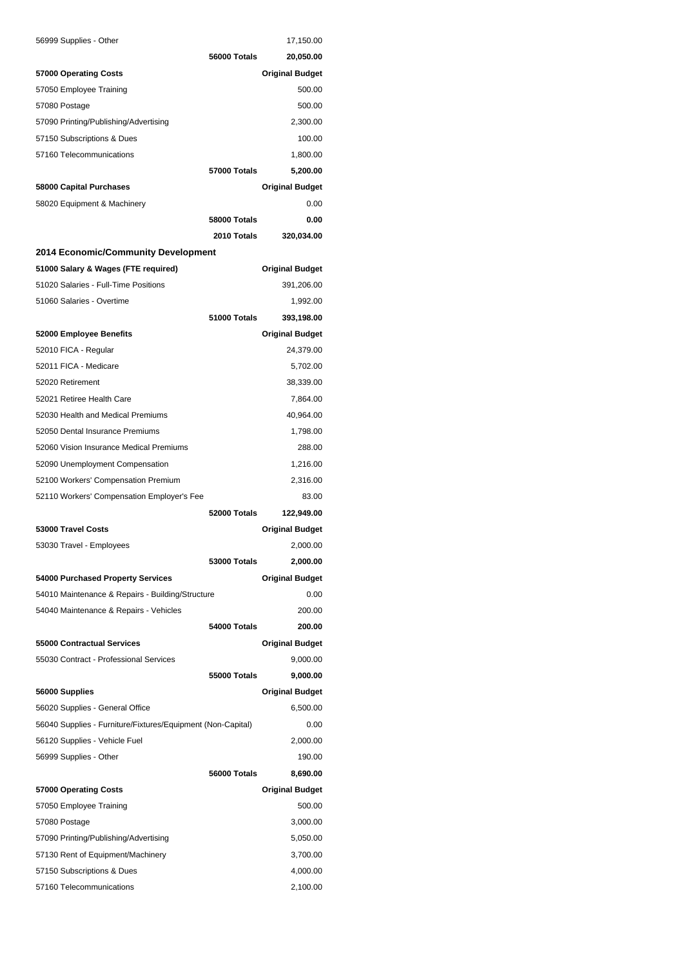| 56999 Supplies - Other                                      |                     | 17,150.00              |
|-------------------------------------------------------------|---------------------|------------------------|
|                                                             | 56000 Totals        | 20,050.00              |
| 57000 Operating Costs                                       |                     | <b>Original Budget</b> |
| 57050 Employee Training                                     |                     | 500.00                 |
| 57080 Postage                                               |                     | 500.00                 |
| 57090 Printing/Publishing/Advertising                       |                     | 2,300.00               |
| 57150 Subscriptions & Dues                                  |                     | 100.00                 |
| 57160 Telecommunications                                    |                     | 1,800.00               |
|                                                             | <b>57000 Totals</b> | 5,200.00               |
| 58000 Capital Purchases                                     |                     | <b>Original Budget</b> |
| 58020 Equipment & Machinery                                 |                     | 0.00                   |
|                                                             | 58000 Totals        | 0.00                   |
|                                                             | 2010 Totals         | 320,034.00             |
| 2014 Economic/Community Development                         |                     |                        |
| 51000 Salary & Wages (FTE required)                         |                     | <b>Original Budget</b> |
| 51020 Salaries - Full-Time Positions                        |                     | 391,206.00             |
| 51060 Salaries - Overtime                                   |                     | 1,992.00               |
|                                                             | 51000 Totals        | 393,198.00             |
| 52000 Employee Benefits                                     |                     | <b>Original Budget</b> |
| 52010 FICA - Regular                                        |                     | 24,379.00              |
| 52011 FICA - Medicare                                       |                     | 5,702.00               |
| 52020 Retirement                                            |                     | 38,339.00              |
| 52021 Retiree Health Care                                   |                     | 7,864.00               |
| 52030 Health and Medical Premiums                           |                     | 40,964.00              |
| 52050 Dental Insurance Premiums                             |                     | 1,798.00               |
| 52060 Vision Insurance Medical Premiums                     |                     | 288.00                 |
| 52090 Unemployment Compensation                             |                     | 1,216.00               |
| 52100 Workers' Compensation Premium                         |                     | 2,316.00               |
| 52110 Workers' Compensation Employer's Fee                  |                     | 83.00                  |
|                                                             | 52000 Totals        | 122,949.00             |
| 53000 Travel Costs                                          |                     | <b>Original Budget</b> |
| 53030 Travel - Employees                                    |                     | 2.000.00               |
|                                                             | 53000 Totals        | 2,000.00               |
| 54000 Purchased Property Services                           |                     | <b>Original Budget</b> |
| 54010 Maintenance & Repairs - Building/Structure            |                     | 0.00                   |
| 54040 Maintenance & Repairs - Vehicles                      |                     | 200.00                 |
|                                                             | 54000 Totals        | 200.00                 |
| 55000 Contractual Services                                  |                     | <b>Original Budget</b> |
| 55030 Contract - Professional Services                      |                     | 9,000.00               |
|                                                             | 55000 Totals        | 9,000.00               |
| 56000 Supplies                                              |                     | <b>Original Budget</b> |
| 56020 Supplies - General Office                             |                     | 6,500.00               |
| 56040 Supplies - Furniture/Fixtures/Equipment (Non-Capital) |                     | 0.00                   |
| 56120 Supplies - Vehicle Fuel                               |                     | 2,000.00               |
| 56999 Supplies - Other                                      |                     | 190.00                 |
|                                                             | 56000 Totals        | 8,690.00               |
|                                                             |                     |                        |
| 57000 Operating Costs                                       |                     | <b>Original Budget</b> |
| 57050 Employee Training                                     |                     | 500.00                 |
| 57080 Postage                                               |                     | 3,000.00               |
| 57090 Printing/Publishing/Advertising                       |                     | 5,050.00               |
| 57130 Rent of Equipment/Machinery                           |                     | 3,700.00               |
| 57150 Subscriptions & Dues                                  |                     | 4,000.00               |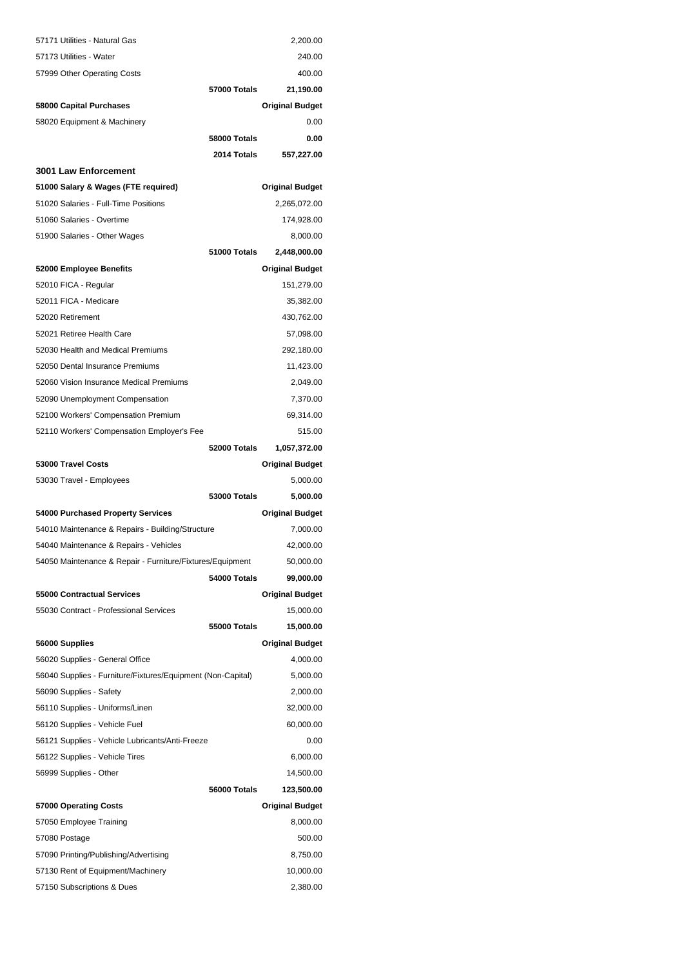| 57171 Utilities - Natural Gas                               |                     | 2,200.00                               |
|-------------------------------------------------------------|---------------------|----------------------------------------|
| 57173 Utilities - Water                                     |                     | 240.00                                 |
| 57999 Other Operating Costs                                 |                     | 400.00                                 |
|                                                             | <b>57000 Totals</b> | 21,190.00                              |
| 58000 Capital Purchases                                     |                     | <b>Original Budget</b>                 |
| 58020 Equipment & Machinery                                 |                     | 0.00                                   |
|                                                             | 58000 Totals        | 0.00                                   |
|                                                             | 2014 Totals         | 557,227.00                             |
| 3001 Law Enforcement                                        |                     |                                        |
| 51000 Salary & Wages (FTE required)                         |                     | <b>Original Budget</b>                 |
| 51020 Salaries - Full-Time Positions                        |                     | 2,265,072.00                           |
| 51060 Salaries - Overtime                                   |                     | 174,928.00                             |
| 51900 Salaries - Other Wages                                |                     | 8,000.00                               |
|                                                             | 51000 Totals        | 2,448,000.00                           |
| 52000 Employee Benefits                                     |                     | <b>Original Budget</b>                 |
| 52010 FICA - Regular                                        |                     | 151,279.00                             |
| 52011 FICA - Medicare                                       |                     | 35,382.00                              |
| 52020 Retirement                                            |                     | 430,762.00                             |
| 52021 Retiree Health Care                                   |                     | 57,098.00                              |
| 52030 Health and Medical Premiums                           |                     | 292,180.00                             |
| 52050 Dental Insurance Premiums                             |                     | 11,423.00                              |
| 52060 Vision Insurance Medical Premiums                     |                     | 2,049.00                               |
|                                                             |                     | 7,370.00                               |
| 52090 Unemployment Compensation                             |                     |                                        |
| 52100 Workers' Compensation Premium                         |                     | 69,314.00                              |
| 52110 Workers' Compensation Employer's Fee                  | 52000 Totals        | 515.00                                 |
| 53000 Travel Costs                                          |                     | 1,057,372.00<br><b>Original Budget</b> |
| 53030 Travel - Employees                                    |                     | 5,000.00                               |
|                                                             | <b>53000 Totals</b> | 5,000.00                               |
|                                                             |                     |                                        |
| 54000 Purchased Property Services                           |                     | <b>Original Budget</b>                 |
| 54010 Maintenance & Repairs - Building/Structure            |                     | 7,000.00                               |
| 54040 Maintenance & Repairs - Vehicles                      |                     | 42,000.00                              |
| 54050 Maintenance & Repair - Furniture/Fixtures/Equipment   |                     | 50,000.00                              |
|                                                             | 54000 Totals        | 99,000.00                              |
| <b>55000 Contractual Services</b>                           |                     | <b>Original Budget</b>                 |
| 55030 Contract - Professional Services                      |                     | 15,000.00                              |
|                                                             | 55000 Totals        | 15,000.00                              |
| 56000 Supplies                                              |                     | <b>Original Budget</b>                 |
| 56020 Supplies - General Office                             |                     | 4,000.00                               |
| 56040 Supplies - Furniture/Fixtures/Equipment (Non-Capital) |                     | 5,000.00                               |
| 56090 Supplies - Safety                                     |                     | 2,000.00                               |
| 56110 Supplies - Uniforms/Linen                             |                     | 32,000.00                              |
| 56120 Supplies - Vehicle Fuel                               |                     | 60,000.00                              |
| 56121 Supplies - Vehicle Lubricants/Anti-Freeze             |                     | 0.00                                   |
| 56122 Supplies - Vehicle Tires                              |                     | 6,000.00                               |
| 56999 Supplies - Other                                      |                     | 14,500.00                              |
|                                                             | 56000 Totals        | 123,500.00                             |
| 57000 Operating Costs                                       |                     | <b>Original Budget</b>                 |
| 57050 Employee Training                                     |                     | 8,000.00                               |
| 57080 Postage                                               |                     | 500.00                                 |
| 57090 Printing/Publishing/Advertising                       |                     | 8,750.00                               |
| 57130 Rent of Equipment/Machinery                           |                     | 10,000.00                              |
|                                                             |                     |                                        |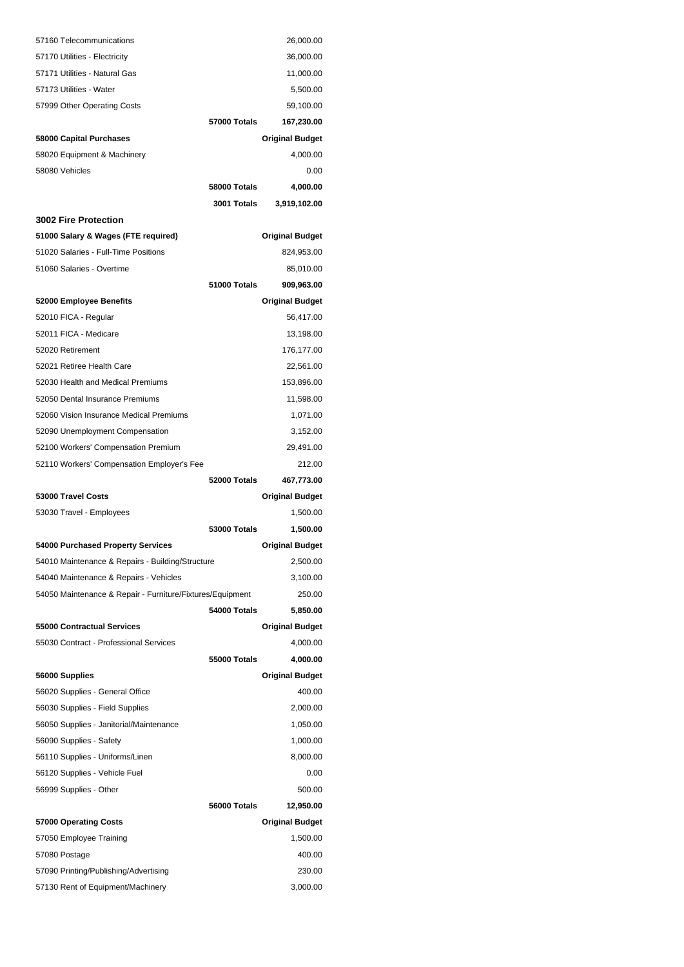| 57160 Telecommunications                                                   |                     | 26,000.00              |
|----------------------------------------------------------------------------|---------------------|------------------------|
| 57170 Utilities - Electricity                                              |                     | 36,000.00              |
| 57171 Utilities - Natural Gas                                              |                     | 11,000.00              |
| 57173 Utilities - Water                                                    |                     | 5,500.00               |
| 57999 Other Operating Costs                                                |                     | 59,100.00              |
|                                                                            | 57000 Totals        | 167,230.00             |
| 58000 Capital Purchases                                                    |                     | <b>Original Budget</b> |
| 58020 Equipment & Machinery                                                |                     | 4,000.00               |
| 58080 Vehicles                                                             |                     | 0.00                   |
|                                                                            | 58000 Totals        | 4,000.00               |
|                                                                            | 3001 Totals         | 3,919,102.00           |
| <b>3002 Fire Protection</b>                                                |                     |                        |
| 51000 Salary & Wages (FTE required)                                        |                     | <b>Original Budget</b> |
| 51020 Salaries - Full-Time Positions                                       |                     | 824,953.00             |
| 51060 Salaries - Overtime                                                  |                     | 85,010.00              |
|                                                                            | 51000 Totals        | 909,963.00             |
| 52000 Employee Benefits                                                    |                     | <b>Original Budget</b> |
| 52010 FICA - Regular                                                       |                     | 56,417.00              |
| 52011 FICA - Medicare                                                      |                     | 13,198.00              |
| 52020 Retirement                                                           |                     | 176,177.00             |
| 52021 Retiree Health Care                                                  |                     | 22,561.00              |
| 52030 Health and Medical Premiums                                          |                     | 153,896.00             |
| 52050 Dental Insurance Premiums                                            |                     | 11,598.00              |
| 52060 Vision Insurance Medical Premiums                                    |                     | 1,071.00               |
| 52090 Unemployment Compensation                                            |                     | 3,152.00               |
| 52100 Workers' Compensation Premium                                        |                     | 29,491.00              |
| 52110 Workers' Compensation Employer's Fee                                 |                     |                        |
|                                                                            |                     | 212.00                 |
|                                                                            | 52000 Totals        | 467,773.00             |
| 53000 Travel Costs                                                         |                     | <b>Original Budget</b> |
| 53030 Travel - Employees                                                   |                     | 1,500.00               |
|                                                                            | 53000 Totals        | 1,500.00               |
| 54000 Purchased Property Services                                          |                     | <b>Original Budget</b> |
| 54010 Maintenance & Repairs - Building/Structure                           |                     | 2,500.00               |
| 54040 Maintenance & Repairs - Vehicles                                     |                     | 3,100.00               |
| 54050 Maintenance & Repair - Furniture/Fixtures/Equipment                  |                     | 250.00                 |
|                                                                            | 54000 Totals        | 5,850.00               |
| 55000 Contractual Services                                                 |                     | <b>Original Budget</b> |
| 55030 Contract - Professional Services                                     |                     | 4,000.00               |
|                                                                            | <b>55000 Totals</b> | 4,000.00               |
| 56000 Supplies                                                             |                     | <b>Original Budget</b> |
| 56020 Supplies - General Office                                            |                     | 400.00                 |
| 56030 Supplies - Field Supplies                                            |                     | 2,000.00               |
| 56050 Supplies - Janitorial/Maintenance                                    |                     | 1,050.00               |
| 56090 Supplies - Safety                                                    |                     | 1,000.00               |
| 56110 Supplies - Uniforms/Linen                                            |                     | 8,000.00               |
| 56120 Supplies - Vehicle Fuel                                              |                     | 0.00                   |
| 56999 Supplies - Other                                                     |                     | 500.00                 |
|                                                                            | 56000 Totals        | 12,950.00              |
| 57000 Operating Costs                                                      |                     | <b>Original Budget</b> |
| 57050 Employee Training                                                    |                     | 1,500.00               |
| 57080 Postage                                                              |                     | 400.00                 |
| 57090 Printing/Publishing/Advertising<br>57130 Rent of Equipment/Machinery |                     | 230.00                 |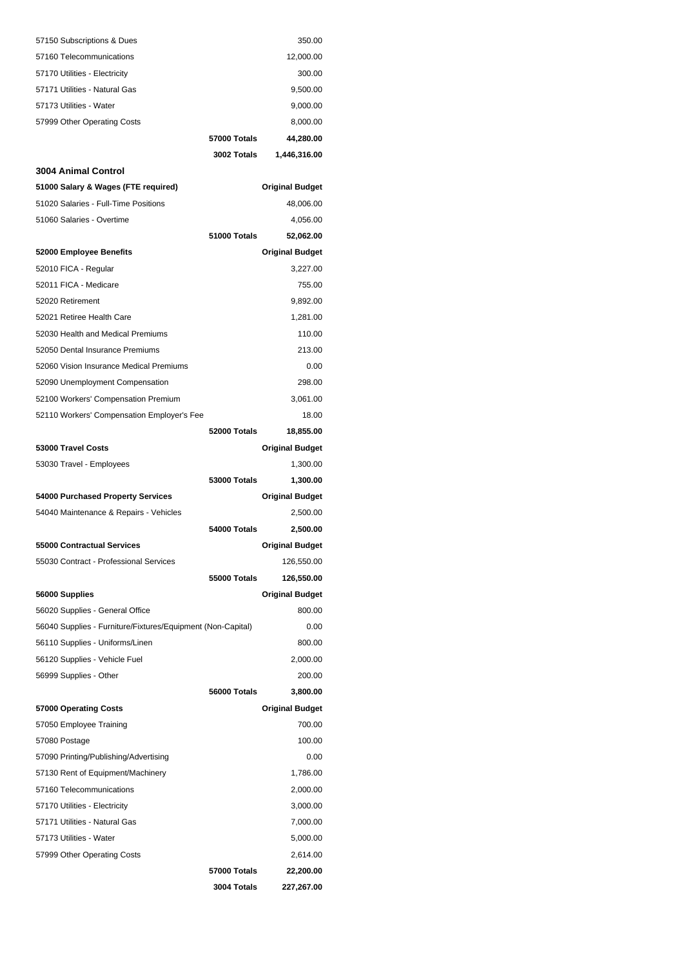| 57150 Subscriptions & Dues                                                 |                     | 350.00                 |
|----------------------------------------------------------------------------|---------------------|------------------------|
| 57160 Telecommunications                                                   |                     | 12,000.00              |
| 57170 Utilities - Electricity                                              |                     | 300.00                 |
| 57171 Utilities - Natural Gas                                              |                     | 9,500.00               |
| 57173 Utilities - Water                                                    |                     | 9,000.00               |
| 57999 Other Operating Costs                                                |                     | 8,000.00               |
|                                                                            | <b>57000 Totals</b> | 44,280.00              |
|                                                                            | 3002 Totals         | 1,446,316.00           |
| <b>3004 Animal Control</b>                                                 |                     |                        |
| 51000 Salary & Wages (FTE required)                                        |                     | <b>Original Budget</b> |
| 51020 Salaries - Full-Time Positions                                       |                     | 48,006.00              |
| 51060 Salaries - Overtime                                                  |                     | 4,056.00               |
|                                                                            | 51000 Totals        | 52,062.00              |
| 52000 Employee Benefits                                                    |                     | <b>Original Budget</b> |
| 52010 FICA - Regular                                                       |                     | 3,227.00               |
| 52011 FICA - Medicare                                                      |                     | 755.00                 |
| 52020 Retirement                                                           |                     | 9,892.00               |
| 52021 Retiree Health Care                                                  |                     | 1,281.00               |
| 52030 Health and Medical Premiums                                          |                     | 110.00                 |
| 52050 Dental Insurance Premiums<br>52060 Vision Insurance Medical Premiums |                     | 213.00                 |
|                                                                            |                     | 0.00<br>298.00         |
| 52090 Unemployment Compensation                                            |                     |                        |
| 52100 Workers' Compensation Premium                                        |                     | 3,061.00<br>18.00      |
| 52110 Workers' Compensation Employer's Fee                                 | 52000 Totals        | 18,855.00              |
| 53000 Travel Costs                                                         |                     | <b>Original Budget</b> |
| 53030 Travel - Employees                                                   |                     | 1,300.00               |
|                                                                            | <b>53000 Totals</b> | 1,300.00               |
| 54000 Purchased Property Services                                          |                     | <b>Original Budget</b> |
| 54040 Maintenance & Repairs - Vehicles                                     |                     | 2,500.00               |
|                                                                            | 54000 Totals        | 2,500.00               |
| 55000 Contractual Services                                                 |                     | <b>Original Budget</b> |
| 55030 Contract - Professional Services                                     |                     | 126,550.00             |
|                                                                            | <b>55000 Totals</b> | 126,550.00             |
| 56000 Supplies                                                             |                     | <b>Original Budget</b> |
| 56020 Supplies - General Office                                            |                     | 800.00                 |
| 56040 Supplies - Furniture/Fixtures/Equipment (Non-Capital)                |                     | 0.00                   |
| 56110 Supplies - Uniforms/Linen                                            |                     | 800.00                 |
| 56120 Supplies - Vehicle Fuel                                              |                     | 2,000.00               |
| 56999 Supplies - Other                                                     |                     | 200.00                 |
|                                                                            | 56000 Totals        | 3,800.00               |
| 57000 Operating Costs                                                      |                     | <b>Original Budget</b> |
| 57050 Employee Training                                                    |                     | 700.00                 |
| 57080 Postage                                                              |                     | 100.00                 |
| 57090 Printing/Publishing/Advertising                                      |                     | 0.00                   |
| 57130 Rent of Equipment/Machinery                                          |                     | 1,786.00               |
| 57160 Telecommunications                                                   |                     | 2,000.00               |
| 57170 Utilities - Electricity                                              |                     | 3,000.00               |
| 57171 Utilities - Natural Gas                                              |                     | 7,000.00               |
| 57173 Utilities - Water                                                    |                     | 5,000.00               |
| 57999 Other Operating Costs                                                |                     | 2,614.00               |
|                                                                            | <b>57000 Totals</b> | 22,200.00              |
|                                                                            | 3004 Totals         | 227,267.00             |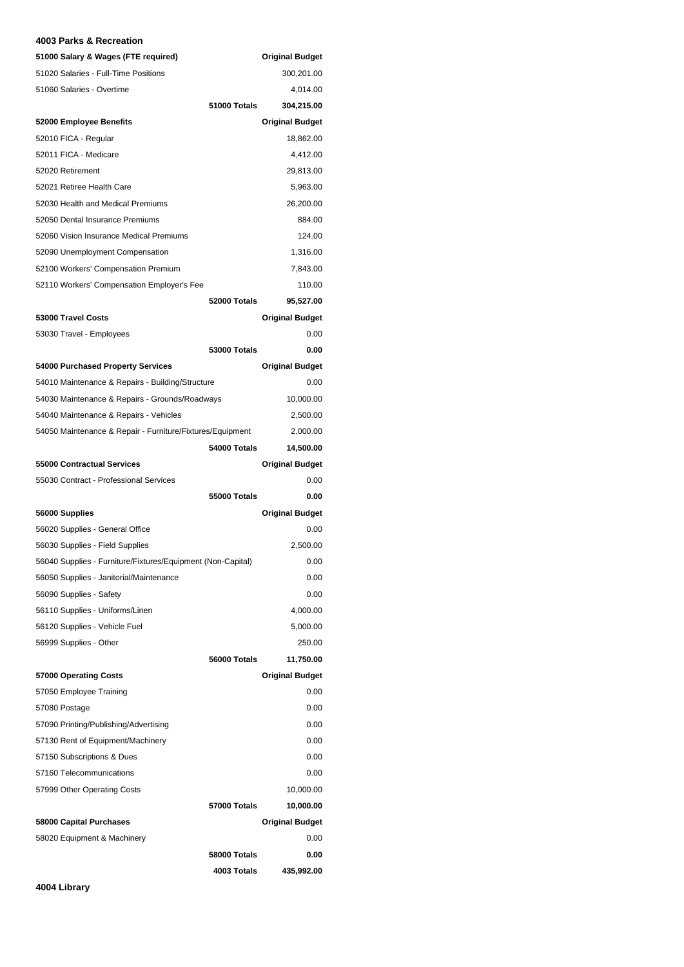#### **4003 Parks & Recreation**

| 51000 Salary & Wages (FTE required)                         |                     | <b>Original Budget</b> |
|-------------------------------------------------------------|---------------------|------------------------|
| 51020 Salaries - Full-Time Positions                        |                     | 300,201.00             |
| 51060 Salaries - Overtime                                   |                     | 4,014.00               |
|                                                             | 51000 Totals        | 304,215.00             |
| 52000 Employee Benefits                                     |                     | <b>Original Budget</b> |
| 52010 FICA - Regular                                        |                     | 18,862.00              |
| 52011 FICA - Medicare                                       |                     | 4,412.00               |
| 52020 Retirement                                            |                     | 29,813.00              |
| 52021 Retiree Health Care                                   |                     | 5,963.00               |
| 52030 Health and Medical Premiums                           |                     | 26,200.00              |
| 52050 Dental Insurance Premiums                             |                     | 884.00                 |
| 52060 Vision Insurance Medical Premiums                     |                     | 124.00                 |
| 52090 Unemployment Compensation                             |                     | 1,316.00               |
| 52100 Workers' Compensation Premium                         |                     | 7,843.00               |
| 52110 Workers' Compensation Employer's Fee                  |                     | 110.00                 |
|                                                             | 52000 Totals        | 95,527.00              |
| 53000 Travel Costs                                          |                     | <b>Original Budget</b> |
| 53030 Travel - Employees                                    |                     | 0.00                   |
|                                                             | 53000 Totals        | 0.00                   |
| 54000 Purchased Property Services                           |                     | <b>Original Budget</b> |
| 54010 Maintenance & Repairs - Building/Structure            |                     | 0.00                   |
| 54030 Maintenance & Repairs - Grounds/Roadways              |                     | 10,000.00              |
| 54040 Maintenance & Repairs - Vehicles                      |                     | 2,500.00               |
| 54050 Maintenance & Repair - Furniture/Fixtures/Equipment   |                     | 2,000.00               |
|                                                             | 54000 Totals        | 14,500.00              |
| 55000 Contractual Services                                  |                     | <b>Original Budget</b> |
| 55030 Contract - Professional Services                      |                     | 0.00                   |
|                                                             | 55000 Totals        | 0.00                   |
| 56000 Supplies                                              |                     | <b>Original Budget</b> |
| 56020 Supplies - General Office                             |                     | 0.00                   |
| 56030 Supplies - Field Supplies                             |                     | 2,500.00               |
| 56040 Supplies - Furniture/Fixtures/Equipment (Non-Capital) |                     | 0.00                   |
| 56050 Supplies - Janitorial/Maintenance                     |                     | 0.00                   |
| 56090 Supplies - Safety                                     |                     | 0.00                   |
| 56110 Supplies - Uniforms/Linen                             |                     | 4,000.00               |
| 56120 Supplies - Vehicle Fuel                               |                     | 5,000.00               |
| 56999 Supplies - Other                                      |                     | 250.00                 |
|                                                             | 56000 Totals        | 11,750.00              |
| 57000 Operating Costs                                       |                     | <b>Original Budget</b> |
| 57050 Employee Training                                     |                     | 0.00                   |
| 57080 Postage                                               |                     | 0.00                   |
| 57090 Printing/Publishing/Advertising                       |                     | 0.00                   |
| 57130 Rent of Equipment/Machinery                           |                     | 0.00                   |
| 57150 Subscriptions & Dues                                  |                     | 0.00                   |
| 57160 Telecommunications                                    |                     | 0.00                   |
|                                                             |                     |                        |
| 57999 Other Operating Costs                                 |                     | 10,000.00              |
|                                                             | <b>57000 Totals</b> | 10,000.00              |
| 58000 Capital Purchases                                     |                     | <b>Original Budget</b> |
| 58020 Equipment & Machinery                                 |                     | 0.00                   |
|                                                             | 58000 Totals        | 0.00                   |
|                                                             | 4003 Totals         | 435,992.00             |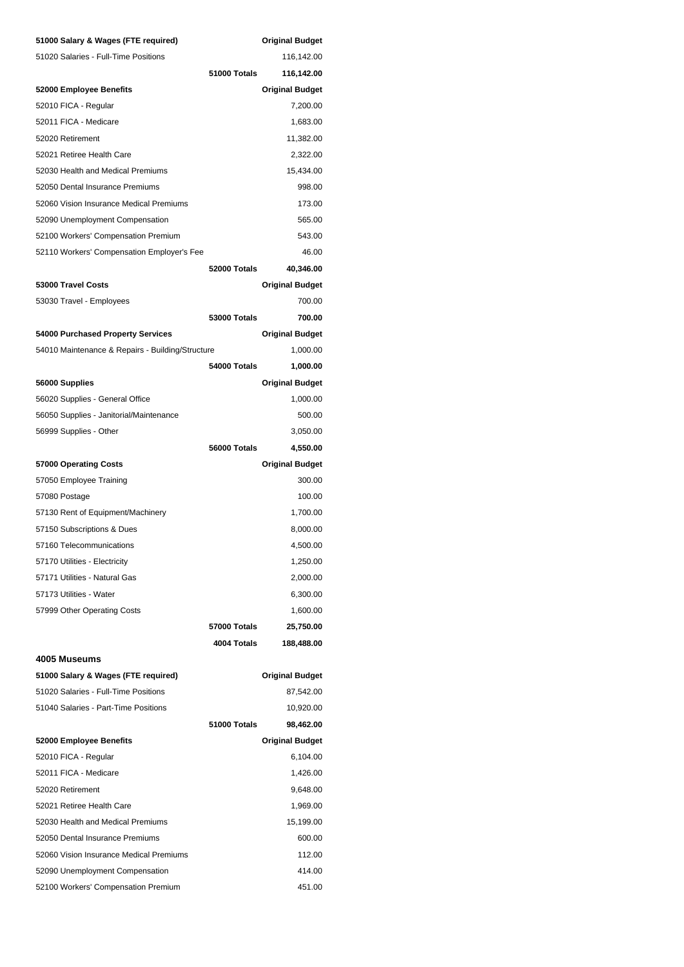| 51000 Salary & Wages (FTE required)              |                     | <b>Original Budget</b> |
|--------------------------------------------------|---------------------|------------------------|
| 51020 Salaries - Full-Time Positions             |                     | 116,142.00             |
|                                                  | 51000 Totals        | 116,142.00             |
| 52000 Employee Benefits                          |                     | <b>Original Budget</b> |
| 52010 FICA - Regular                             |                     | 7,200.00               |
| 52011 FICA - Medicare                            |                     | 1,683.00               |
| 52020 Retirement                                 |                     | 11,382.00              |
| 52021 Retiree Health Care                        |                     | 2,322.00               |
| 52030 Health and Medical Premiums                |                     | 15,434.00              |
| 52050 Dental Insurance Premiums                  |                     | 998.00                 |
| 52060 Vision Insurance Medical Premiums          |                     | 173.00                 |
| 52090 Unemployment Compensation                  |                     | 565.00                 |
| 52100 Workers' Compensation Premium              |                     | 543.00                 |
| 52110 Workers' Compensation Employer's Fee       |                     | 46.00                  |
|                                                  | 52000 Totals        | 40,346.00              |
| 53000 Travel Costs                               |                     | <b>Original Budget</b> |
| 53030 Travel - Employees                         |                     | 700.00                 |
|                                                  | <b>53000 Totals</b> | 700.00                 |
| 54000 Purchased Property Services                |                     | <b>Original Budget</b> |
| 54010 Maintenance & Repairs - Building/Structure |                     | 1,000.00               |
|                                                  | 54000 Totals        | 1,000.00               |
| 56000 Supplies                                   |                     | <b>Original Budget</b> |
| 56020 Supplies - General Office                  |                     | 1,000.00               |
| 56050 Supplies - Janitorial/Maintenance          |                     | 500.00                 |
| 56999 Supplies - Other                           |                     | 3,050.00               |
|                                                  | 56000 Totals        | 4,550.00               |
| 57000 Operating Costs                            |                     | <b>Original Budget</b> |
| 57050 Employee Training                          |                     | 300.00                 |
| 57080 Postage                                    |                     | 100.00                 |
| 57130 Rent of Equipment/Machinery                |                     | 1,700.00               |
| 57150 Subscriptions & Dues                       |                     | 8,000.00               |
| 57160 Telecommunications                         |                     | 4,500.00               |
| 57170 Utilities - Electricity                    |                     | 1,250.00               |
| 57171 Utilities - Natural Gas                    |                     | 2,000.00               |
| 57173 Utilities - Water                          |                     | 6,300.00               |
| 57999 Other Operating Costs                      |                     | 1,600.00               |
|                                                  | 57000 Totals        | 25,750.00              |
|                                                  | 4004 Totals         | 188,488.00             |
| 4005 Museums                                     |                     |                        |
| 51000 Salary & Wages (FTE required)              |                     | <b>Original Budget</b> |
|                                                  |                     |                        |
| 51020 Salaries - Full-Time Positions             |                     | 87,542.00              |
| 51040 Salaries - Part-Time Positions             |                     | 10,920.00              |
|                                                  | 51000 Totals        | 98,462.00              |
| 52000 Employee Benefits                          |                     | <b>Original Budget</b> |
| 52010 FICA - Regular                             |                     | 6,104.00               |
| 52011 FICA - Medicare                            |                     | 1,426.00               |
| 52020 Retirement                                 |                     | 9,648.00               |
| 52021 Retiree Health Care                        |                     | 1,969.00               |
| 52030 Health and Medical Premiums                |                     | 15,199.00              |
| 52050 Dental Insurance Premiums                  |                     | 600.00                 |
| 52060 Vision Insurance Medical Premiums          |                     | 112.00                 |
| 52090 Unemployment Compensation                  |                     | 414.00                 |
| 52100 Workers' Compensation Premium              |                     | 451.00                 |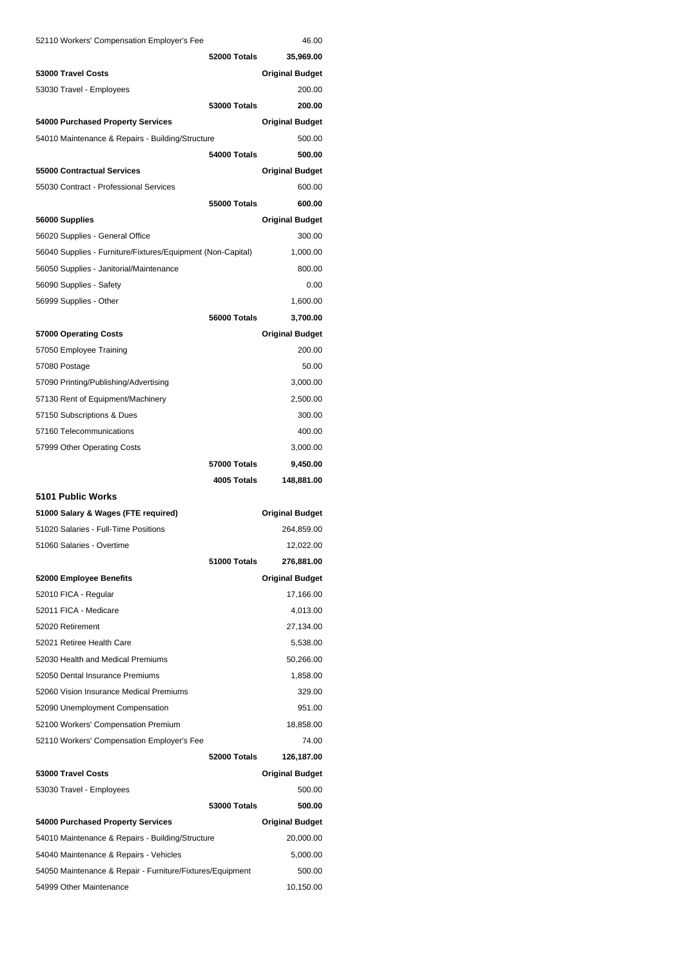| 52110 Workers' Compensation Employer's Fee                             |                     | 46.00                  |
|------------------------------------------------------------------------|---------------------|------------------------|
|                                                                        | 52000 Totals        | 35,969.00              |
| 53000 Travel Costs                                                     |                     | <b>Original Budget</b> |
| 53030 Travel - Employees                                               |                     | 200.00                 |
|                                                                        | 53000 Totals        | 200.00                 |
| 54000 Purchased Property Services                                      |                     | <b>Original Budget</b> |
| 54010 Maintenance & Repairs - Building/Structure                       |                     | 500.00                 |
|                                                                        | 54000 Totals        | 500.00                 |
| 55000 Contractual Services                                             |                     | <b>Original Budget</b> |
| 55030 Contract - Professional Services                                 |                     | 600.00                 |
|                                                                        | 55000 Totals        | 600.00                 |
| 56000 Supplies                                                         |                     | <b>Original Budget</b> |
| 56020 Supplies - General Office                                        |                     | 300.00                 |
| 56040 Supplies - Furniture/Fixtures/Equipment (Non-Capital)            |                     | 1,000.00               |
| 56050 Supplies - Janitorial/Maintenance                                |                     | 800.00                 |
| 56090 Supplies - Safety                                                |                     | 0.00                   |
| 56999 Supplies - Other                                                 |                     | 1,600.00               |
|                                                                        | 56000 Totals        | 3,700.00               |
| 57000 Operating Costs                                                  |                     | <b>Original Budget</b> |
| 57050 Employee Training                                                |                     | 200.00                 |
| 57080 Postage                                                          |                     | 50.00                  |
| 57090 Printing/Publishing/Advertising                                  |                     | 3,000.00               |
| 57130 Rent of Equipment/Machinery                                      |                     | 2,500.00               |
| 57150 Subscriptions & Dues                                             |                     | 300.00                 |
| 57160 Telecommunications                                               |                     | 400.00                 |
| 57999 Other Operating Costs                                            |                     | 3,000.00               |
|                                                                        |                     |                        |
|                                                                        | <b>57000 Totals</b> | 9,450.00               |
|                                                                        | 4005 Totals         | 148,881.00             |
| 5101 Public Works                                                      |                     |                        |
| 51000 Salary & Wages (FTE required)                                    |                     | <b>Original Budget</b> |
| 51020 Salaries - Full-Time Positions                                   |                     | 264,859.00             |
| 51060 Salaries - Overtime                                              |                     | 12,022.00              |
|                                                                        | 51000 Totals        | 276,881.00             |
| 52000 Employee Benefits                                                |                     | <b>Original Budget</b> |
| 52010 FICA - Regular                                                   |                     | 17,166.00              |
| 52011 FICA - Medicare                                                  |                     | 4,013.00               |
| 52020 Retirement                                                       |                     | 27,134.00              |
| 52021 Retiree Health Care                                              |                     | 5,538.00               |
| 52030 Health and Medical Premiums                                      |                     | 50,266.00              |
| 52050 Dental Insurance Premiums                                        |                     | 1,858.00               |
| 52060 Vision Insurance Medical Premiums                                |                     | 329.00                 |
|                                                                        |                     | 951.00                 |
| 52090 Unemployment Compensation<br>52100 Workers' Compensation Premium |                     | 18,858.00              |
| 52110 Workers' Compensation Employer's Fee                             |                     | 74.00                  |
|                                                                        | 52000 Totals        | 126,187.00             |
| 53000 Travel Costs                                                     |                     | <b>Original Budget</b> |
| 53030 Travel - Employees                                               |                     | 500.00                 |
|                                                                        | <b>53000 Totals</b> | 500.00                 |
| 54000 Purchased Property Services                                      |                     | <b>Original Budget</b> |
| 54010 Maintenance & Repairs - Building/Structure                       |                     | 20,000.00              |
| 54040 Maintenance & Repairs - Vehicles                                 |                     | 5,000.00               |
| 54050 Maintenance & Repair - Furniture/Fixtures/Equipment              |                     | 500.00                 |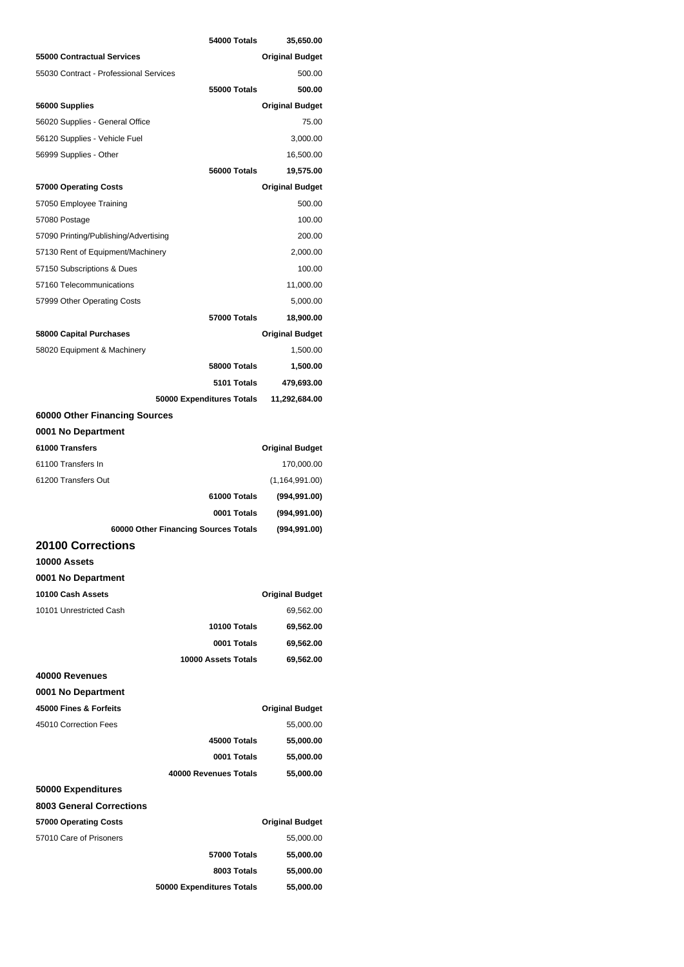|                                              | 54000 Totals                             | 35,650.00                           |
|----------------------------------------------|------------------------------------------|-------------------------------------|
| 55000 Contractual Services                   |                                          | <b>Original Budget</b>              |
| 55030 Contract - Professional Services       |                                          | 500.00                              |
|                                              | 55000 Totals                             | 500.00                              |
| 56000 Supplies                               |                                          | <b>Original Budget</b>              |
| 56020 Supplies - General Office              |                                          | 75.00                               |
| 56120 Supplies - Vehicle Fuel                |                                          | 3,000.00                            |
| 56999 Supplies - Other                       |                                          | 16,500.00                           |
|                                              | 56000 Totals                             | 19,575.00                           |
| 57000 Operating Costs                        |                                          | <b>Original Budget</b>              |
| 57050 Employee Training                      |                                          | 500.00                              |
| 57080 Postage                                |                                          | 100.00                              |
| 57090 Printing/Publishing/Advertising        |                                          | 200.00                              |
| 57130 Rent of Equipment/Machinery            |                                          | 2,000.00                            |
| 57150 Subscriptions & Dues                   |                                          | 100.00                              |
| 57160 Telecommunications                     |                                          | 11,000.00                           |
| 57999 Other Operating Costs                  |                                          | 5,000.00                            |
|                                              | 57000 Totals                             | 18,900.00                           |
| 58000 Capital Purchases                      |                                          | <b>Original Budget</b>              |
| 58020 Equipment & Machinery                  |                                          | 1,500.00                            |
|                                              | 58000 Totals                             | 1,500.00                            |
|                                              | 5101 Totals                              | 479,693.00                          |
|                                              | 50000 Expenditures Totals                | 11,292,684.00                       |
| 60000 Other Financing Sources                |                                          |                                     |
| 0001 No Department                           |                                          |                                     |
| 61000 Transfers                              |                                          | <b>Original Budget</b>              |
| 61100 Transfers In                           |                                          | 170,000.00                          |
| 61200 Transfers Out                          |                                          | (1, 164, 991.00)                    |
|                                              | 61000 Totals                             | (994, 991.00)                       |
|                                              | 0001 Totals                              |                                     |
|                                              |                                          | (994, 991.00)                       |
| 60000 Other Financing Sources Totals         |                                          | (994, 991.00)                       |
| <b>20100 Corrections</b>                     |                                          |                                     |
| 10000 Assets                                 |                                          |                                     |
| 0001 No Department                           |                                          |                                     |
| 10100 Cash Assets                            |                                          | <b>Original Budget</b>              |
| 10101 Unrestricted Cash                      |                                          | 69,562.00                           |
|                                              | 10100 Totals                             | 69,562.00                           |
|                                              | 0001 Totals                              | 69,562.00                           |
|                                              | 10000 Assets Totals                      | 69,562.00                           |
| 40000 Revenues                               |                                          |                                     |
|                                              |                                          |                                     |
| 0001 No Department<br>45000 Fines & Forfeits |                                          |                                     |
| 45010 Correction Fees                        |                                          | <b>Original Budget</b><br>55,000.00 |
|                                              | 45000 Totals                             |                                     |
|                                              | 0001 Totals                              | 55,000.00                           |
|                                              | 40000 Revenues Totals                    | 55,000.00                           |
|                                              |                                          | 55,000.00                           |
| 50000 Expenditures                           |                                          |                                     |
| <b>8003 General Corrections</b>              |                                          |                                     |
| 57000 Operating Costs                        |                                          | <b>Original Budget</b>              |
| 57010 Care of Prisoners                      |                                          | 55,000.00                           |
|                                              | <b>57000 Totals</b>                      | 55,000.00                           |
|                                              | 8003 Totals<br>50000 Expenditures Totals | 55,000.00<br>55,000.00              |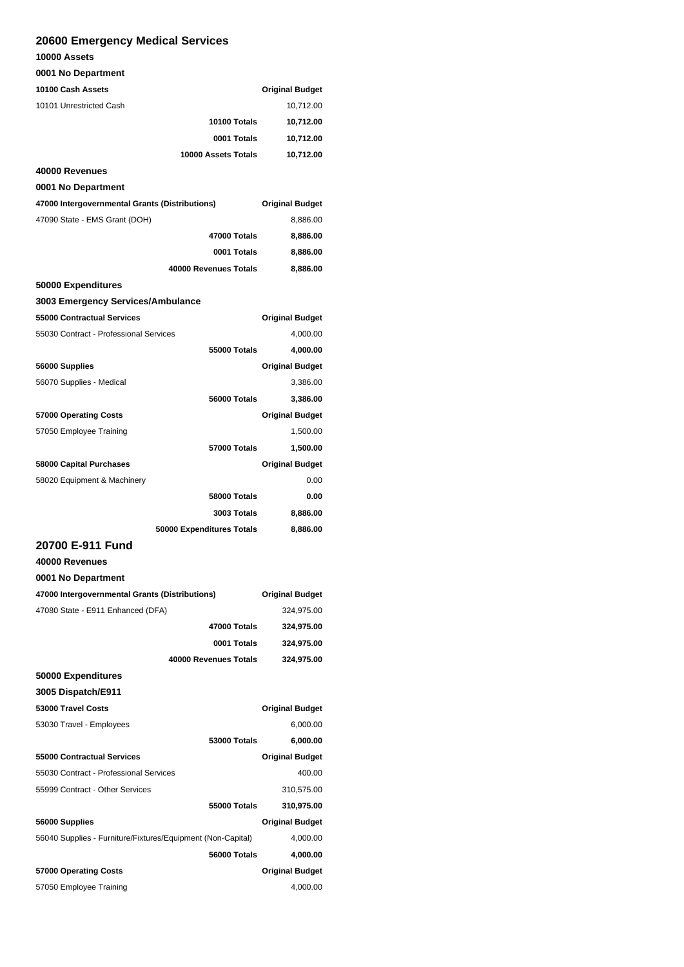## **20600 Emergency Medical Services**

#### **10000 Assets**

#### **0001 No Department**

| <b>0001 No Department</b>                                   |                           |                        |
|-------------------------------------------------------------|---------------------------|------------------------|
| 10100 Cash Assets                                           |                           | <b>Original Budget</b> |
| 10101 Unrestricted Cash                                     |                           | 10,712.00              |
|                                                             | 10100 Totals              | 10,712.00              |
|                                                             | 0001 Totals               | 10,712.00              |
|                                                             | 10000 Assets Totals       | 10,712.00              |
| 40000 Revenues                                              |                           |                        |
| 0001 No Department                                          |                           |                        |
| 47000 Intergovernmental Grants (Distributions)              |                           | <b>Original Budget</b> |
| 47090 State - EMS Grant (DOH)                               |                           | 8,886.00               |
|                                                             | 47000 Totals              | 8,886.00               |
|                                                             | 0001 Totals               | 8,886.00               |
|                                                             | 40000 Revenues Totals     | 8,886.00               |
| 50000 Expenditures                                          |                           |                        |
| 3003 Emergency Services/Ambulance                           |                           |                        |
| 55000 Contractual Services                                  |                           | <b>Original Budget</b> |
| 55030 Contract - Professional Services                      |                           | 4,000.00               |
|                                                             | 55000 Totals              | 4,000.00               |
| 56000 Supplies                                              |                           | <b>Original Budget</b> |
| 56070 Supplies - Medical                                    |                           | 3,386.00               |
|                                                             | 56000 Totals              | 3,386.00               |
| 57000 Operating Costs                                       |                           | <b>Original Budget</b> |
| 57050 Employee Training                                     |                           | 1,500.00               |
|                                                             | 57000 Totals              | 1,500.00               |
| 58000 Capital Purchases                                     |                           | <b>Original Budget</b> |
| 58020 Equipment & Machinery                                 |                           | 0.00                   |
|                                                             | 58000 Totals              | 0.00                   |
|                                                             | 3003 Totals               | 8,886.00               |
|                                                             | 50000 Expenditures Totals | 8,886.00               |
| 20700 E-911 Fund                                            |                           |                        |
| 40000 Revenues                                              |                           |                        |
| 0001 No Department                                          |                           |                        |
| 47000 Intergovernmental Grants (Distributions)              |                           | <b>Original Budget</b> |
| 47080 State - E911 Enhanced (DFA)                           |                           | 324,975.00             |
|                                                             | 47000 Totals              | 324,975.00             |
|                                                             | 0001 Totals               | 324,975.00             |
|                                                             | 40000 Revenues Totals     | 324,975.00             |
| 50000 Expenditures                                          |                           |                        |
| 3005 Dispatch/E911                                          |                           |                        |
| 53000 Travel Costs                                          |                           | <b>Original Budget</b> |
| 53030 Travel - Employees                                    |                           | 6,000.00               |
|                                                             | <b>53000 Totals</b>       | 6,000.00               |
| 55000 Contractual Services                                  |                           | <b>Original Budget</b> |
| 55030 Contract - Professional Services                      |                           | 400.00                 |
| 55999 Contract - Other Services                             |                           | 310,575.00             |
|                                                             | 55000 Totals              | 310,975.00             |
| 56000 Supplies                                              |                           | <b>Original Budget</b> |
| 56040 Supplies - Furniture/Fixtures/Equipment (Non-Capital) |                           | 4,000.00               |
|                                                             | 56000 Totals              | 4,000.00               |
| 57000 Operating Costs                                       |                           | <b>Original Budget</b> |
| 57050 Employee Training                                     |                           | 4,000.00               |
|                                                             |                           |                        |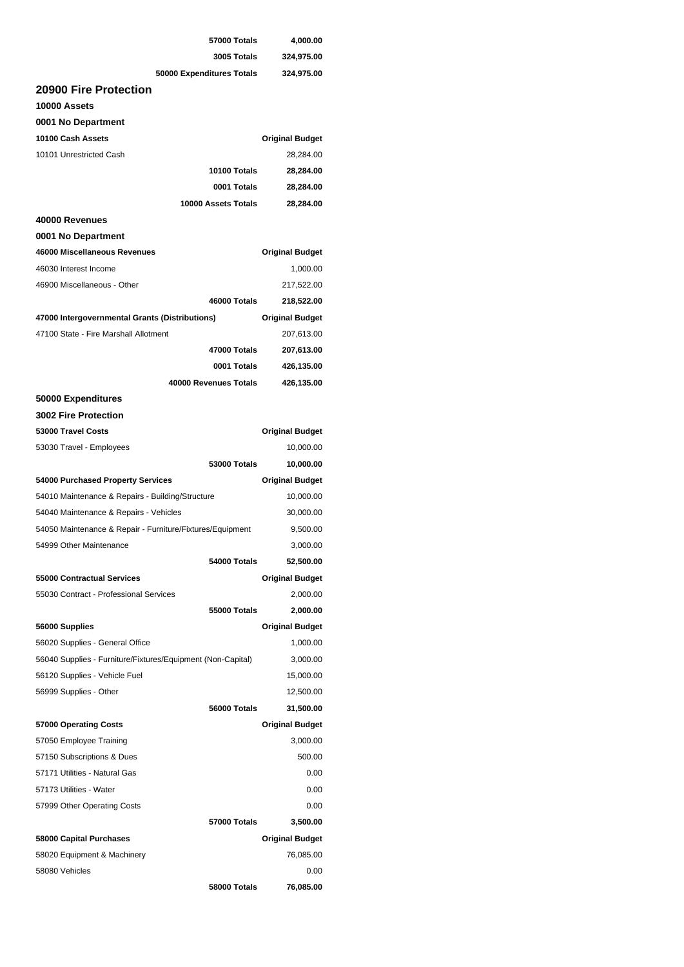| 3005 Totals                                                 | 4,000.00               |
|-------------------------------------------------------------|------------------------|
|                                                             | 324,975.00             |
| 50000 Expenditures Totals                                   | 324,975.00             |
| 20900 Fire Protection                                       |                        |
| 10000 Assets                                                |                        |
| 0001 No Department                                          |                        |
| 10100 Cash Assets                                           | <b>Original Budget</b> |
| 10101 Unrestricted Cash                                     | 28,284.00              |
| 10100 Totals                                                | 28,284.00              |
| 0001 Totals                                                 | 28,284.00              |
| 10000 Assets Totals                                         | 28,284.00              |
| 40000 Revenues                                              |                        |
| 0001 No Department                                          |                        |
| 46000 Miscellaneous Revenues                                | <b>Original Budget</b> |
| 46030 Interest Income                                       | 1,000.00               |
| 46900 Miscellaneous - Other                                 | 217,522.00             |
| 46000 Totals                                                | 218,522.00             |
|                                                             |                        |
| 47000 Intergovernmental Grants (Distributions)              | <b>Original Budget</b> |
| 47100 State - Fire Marshall Allotment                       | 207,613.00             |
| 47000 Totals                                                | 207,613.00             |
| 0001 Totals                                                 | 426,135.00             |
| 40000 Revenues Totals                                       | 426,135.00             |
| 50000 Expenditures                                          |                        |
| <b>3002 Fire Protection</b>                                 |                        |
| 53000 Travel Costs                                          | <b>Original Budget</b> |
| 53030 Travel - Employees                                    | 10,000.00              |
| <b>53000 Totals</b>                                         | 10,000.00              |
| 54000 Purchased Property Services                           | <b>Original Budget</b> |
| 54010 Maintenance & Repairs - Building/Structure            | 10,000.00              |
| 54040 Maintenance & Repairs - Vehicles                      | 30,000.00              |
| 54050 Maintenance & Repair - Furniture/Fixtures/Equipment   | 9,500.00               |
| 54999 Other Maintenance                                     | 3,000.00               |
| 54000 Totals                                                | 52,500.00              |
| 55000 Contractual Services                                  | <b>Original Budget</b> |
| 55030 Contract - Professional Services                      | 2,000.00               |
| 55000 Totals                                                | 2,000.00               |
| 56000 Supplies                                              | <b>Original Budget</b> |
| 56020 Supplies - General Office                             | 1,000.00               |
| 56040 Supplies - Furniture/Fixtures/Equipment (Non-Capital) | 3,000.00               |
| 56120 Supplies - Vehicle Fuel                               | 15,000.00              |
| 56999 Supplies - Other                                      | 12,500.00              |
| 56000 Totals                                                | 31,500.00              |
|                                                             | <b>Original Budget</b> |
| 57000 Operating Costs                                       | 3,000.00               |
| 57050 Employee Training                                     |                        |
| 57150 Subscriptions & Dues                                  | 500.00                 |
| 57171 Utilities - Natural Gas                               | 0.00                   |
| 57173 Utilities - Water                                     | 0.00                   |
| 57999 Other Operating Costs                                 | 0.00                   |
| <b>57000 Totals</b>                                         | 3,500.00               |
| 58000 Capital Purchases                                     | <b>Original Budget</b> |
| 58020 Equipment & Machinery                                 | 76,085.00              |
| 58080 Vehicles                                              | 0.00                   |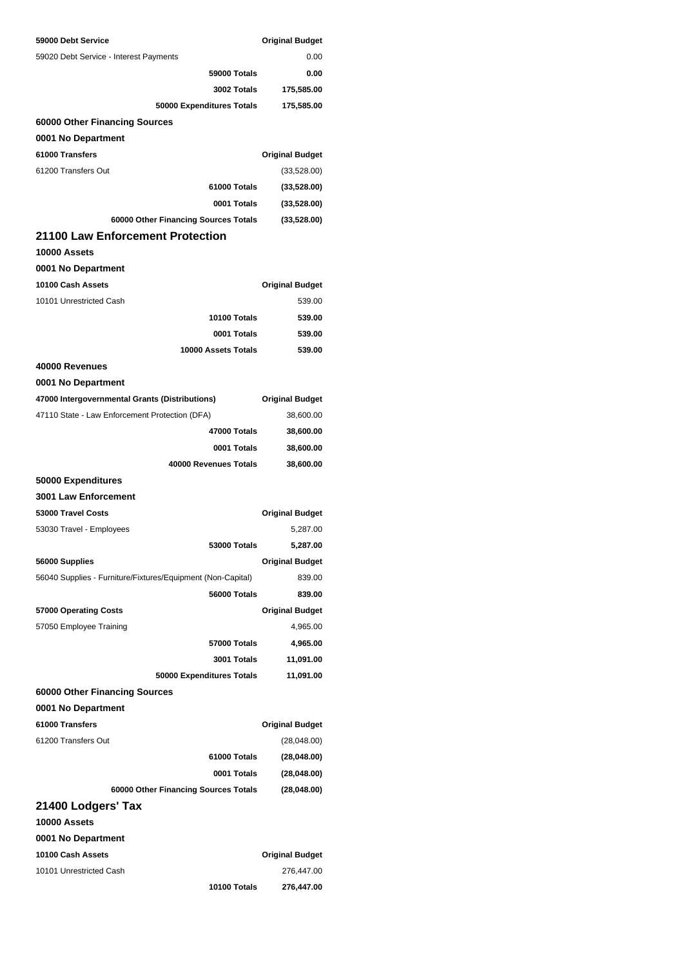| 59000 Debt Service                                          | <b>Original Budget</b> |
|-------------------------------------------------------------|------------------------|
| 59020 Debt Service - Interest Payments                      | 0.00                   |
| <b>59000 Totals</b>                                         | 0.00                   |
| 3002 Totals                                                 | 175,585.00             |
| 50000 Expenditures Totals                                   | 175,585.00             |
| 60000 Other Financing Sources                               |                        |
| 0001 No Department                                          |                        |
| 61000 Transfers                                             | <b>Original Budget</b> |
| 61200 Transfers Out                                         | (33,528.00)            |
| 61000 Totals                                                | (33,528.00)            |
| 0001 Totals                                                 | (33,528.00)            |
| 60000 Other Financing Sources Totals                        | (33,528.00)            |
| 21100 Law Enforcement Protection                            |                        |
| 10000 Assets                                                |                        |
| 0001 No Department                                          |                        |
| 10100 Cash Assets                                           | <b>Original Budget</b> |
| 10101 Unrestricted Cash                                     | 539.00                 |
| 10100 Totals                                                | 539.00                 |
| 0001 Totals                                                 | 539.00                 |
| 10000 Assets Totals                                         | 539.00                 |
| 40000 Revenues                                              |                        |
| 0001 No Department                                          |                        |
| 47000 Intergovernmental Grants (Distributions)              | <b>Original Budget</b> |
| 47110 State - Law Enforcement Protection (DFA)              | 38,600.00              |
| 47000 Totals                                                | 38,600.00              |
| 0001 Totals                                                 | 38,600.00              |
| 40000 Revenues Totals                                       | 38,600.00              |
| 50000 Expenditures                                          |                        |
| <b>3001 Law Enforcement</b>                                 |                        |
| 53000 Travel Costs                                          | <b>Original Budget</b> |
| 53030 Travel - Employees                                    | 5,287.00               |
| 53000 Totals                                                | 5,287.00               |
| 56000 Supplies                                              | <b>Original Budget</b> |
| 56040 Supplies - Furniture/Fixtures/Equipment (Non-Capital) | 839.00                 |
|                                                             |                        |
| 56000 Totals                                                | 839.00                 |
| 57000 Operating Costs                                       | <b>Original Budget</b> |
| 57050 Employee Training                                     | 4,965.00               |
| 57000 Totals                                                | 4,965.00               |
| 3001 Totals                                                 | 11,091.00              |
| 50000 Expenditures Totals                                   | 11,091.00              |
| 60000 Other Financing Sources                               |                        |
| 0001 No Department                                          |                        |
| 61000 Transfers                                             | <b>Original Budget</b> |
| 61200 Transfers Out                                         | (28,048.00)            |
| 61000 Totals                                                | (28,048.00)            |
| 0001 Totals                                                 | (28,048.00)            |
| 60000 Other Financing Sources Totals                        | (28,048.00)            |
| 21400 Lodgers' Tax                                          |                        |
| 10000 Assets                                                |                        |
| 0001 No Department                                          |                        |
| 10100 Cash Assets                                           | <b>Original Budget</b> |
| 10101 Unrestricted Cash                                     | 276,447.00             |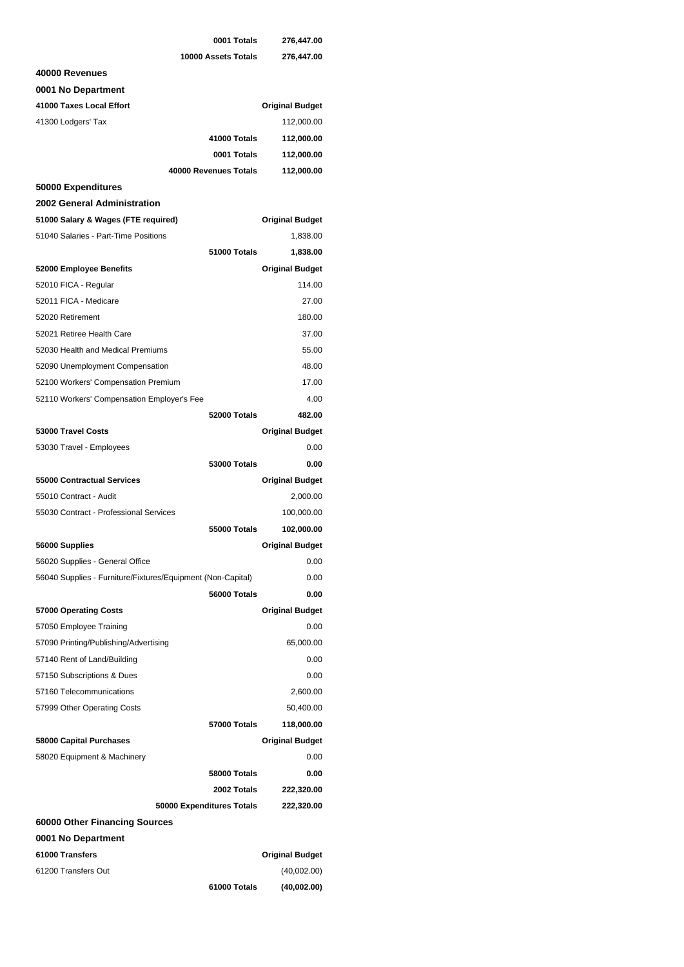|                                                             | 0001 Totals               | 276,447.00             |
|-------------------------------------------------------------|---------------------------|------------------------|
|                                                             | 10000 Assets Totals       | 276,447.00             |
| 40000 Revenues                                              |                           |                        |
| 0001 No Department                                          |                           |                        |
| 41000 Taxes Local Effort                                    |                           | <b>Original Budget</b> |
| 41300 Lodgers' Tax                                          |                           | 112,000.00             |
|                                                             | 41000 Totals              | 112,000.00             |
|                                                             | 0001 Totals               | 112,000.00             |
|                                                             | 40000 Revenues Totals     | 112,000.00             |
| 50000 Expenditures                                          |                           |                        |
| 2002 General Administration                                 |                           |                        |
| 51000 Salary & Wages (FTE required)                         |                           | <b>Original Budget</b> |
| 51040 Salaries - Part-Time Positions                        |                           | 1,838.00               |
|                                                             | 51000 Totals              | 1,838.00               |
| 52000 Employee Benefits                                     |                           | <b>Original Budget</b> |
| 52010 FICA - Regular                                        |                           | 114.00                 |
| 52011 FICA - Medicare                                       |                           | 27.00                  |
| 52020 Retirement                                            |                           | 180.00                 |
| 52021 Retiree Health Care                                   |                           | 37.00                  |
| 52030 Health and Medical Premiums                           |                           | 55.00                  |
| 52090 Unemployment Compensation                             |                           | 48.00                  |
| 52100 Workers' Compensation Premium                         |                           | 17.00                  |
| 52110 Workers' Compensation Employer's Fee                  |                           | 4.00                   |
|                                                             | 52000 Totals              | 482.00                 |
| 53000 Travel Costs                                          |                           | <b>Original Budget</b> |
| 53030 Travel - Employees                                    |                           | 0.00                   |
|                                                             | <b>53000 Totals</b>       | 0.00                   |
| 55000 Contractual Services                                  |                           | <b>Original Budget</b> |
| 55010 Contract - Audit                                      |                           | 2,000.00               |
| 55030 Contract - Professional Services                      |                           | 100,000.00             |
|                                                             | 55000 Totals              | 102,000.00             |
| 56000 Supplies                                              |                           | <b>Original Budget</b> |
| 56020 Supplies - General Office                             |                           | 0.00                   |
| 56040 Supplies - Furniture/Fixtures/Equipment (Non-Capital) |                           | 0.00                   |
|                                                             | 56000 Totals              | 0.00                   |
| 57000 Operating Costs                                       |                           | <b>Original Budget</b> |
| 57050 Employee Training                                     |                           | 0.00                   |
| 57090 Printing/Publishing/Advertising                       |                           | 65,000.00              |
| 57140 Rent of Land/Building                                 |                           | 0.00                   |
| 57150 Subscriptions & Dues                                  |                           | 0.00                   |
| 57160 Telecommunications                                    |                           | 2,600.00               |
| 57999 Other Operating Costs                                 |                           | 50,400.00              |
|                                                             | <b>57000 Totals</b>       | 118,000.00             |
| 58000 Capital Purchases                                     |                           | <b>Original Budget</b> |
| 58020 Equipment & Machinery                                 |                           | 0.00                   |
|                                                             | 58000 Totals              | 0.00                   |
|                                                             | 2002 Totals               | 222,320.00             |
|                                                             | 50000 Expenditures Totals | 222,320.00             |
| 60000 Other Financing Sources                               |                           |                        |
| 0001 No Department                                          |                           |                        |
| 61000 Transfers                                             |                           | <b>Original Budget</b> |
| 61200 Transfers Out                                         |                           | (40,002.00)            |
|                                                             | 61000 Totals              | (40,002.00)            |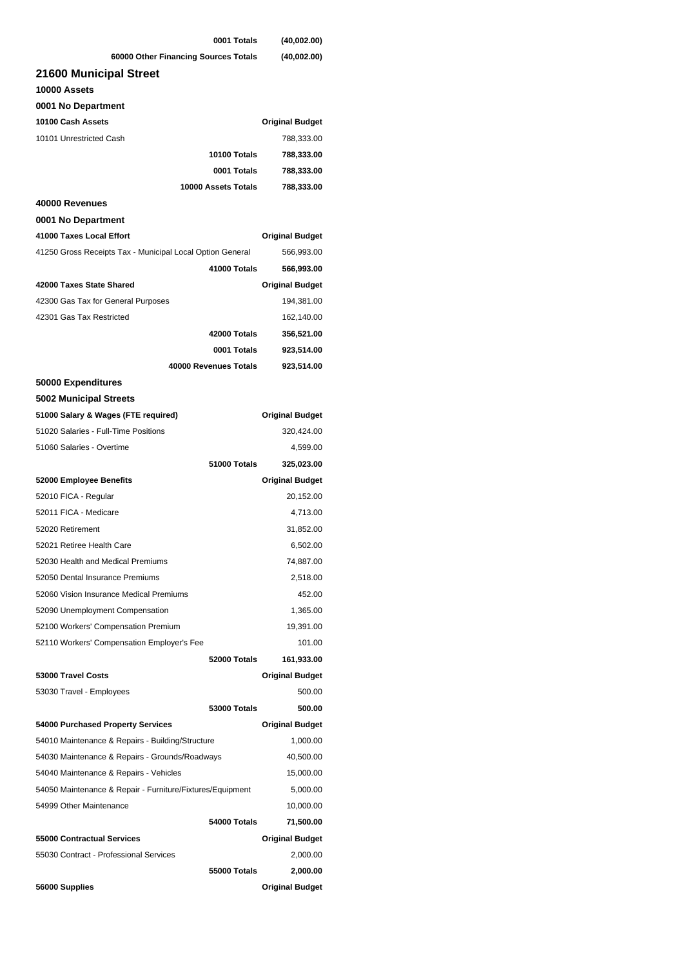| 0001 Totals                                               | (40,002.00)            |
|-----------------------------------------------------------|------------------------|
| 60000 Other Financing Sources Totals                      | (40,002.00)            |
| 21600 Municipal Street                                    |                        |
| 10000 Assets                                              |                        |
| 0001 No Department                                        |                        |
| 10100 Cash Assets                                         | <b>Original Budget</b> |
| 10101 Unrestricted Cash                                   | 788,333.00             |
| 10100 Totals                                              | 788,333.00             |
| 0001 Totals                                               | 788,333.00             |
| 10000 Assets Totals                                       | 788,333.00             |
| 40000 Revenues                                            |                        |
| 0001 No Department                                        |                        |
| 41000 Taxes Local Effort                                  | <b>Original Budget</b> |
| 41250 Gross Receipts Tax - Municipal Local Option General | 566,993.00             |
| 41000 Totals                                              | 566,993.00             |
| 42000 Taxes State Shared                                  | <b>Original Budget</b> |
| 42300 Gas Tax for General Purposes                        | 194,381.00             |
| 42301 Gas Tax Restricted                                  | 162,140.00             |
| 42000 Totals                                              | 356,521.00             |
| 0001 Totals                                               | 923,514.00             |
| 40000 Revenues Totals                                     |                        |
|                                                           | 923,514.00             |
| 50000 Expenditures                                        |                        |
| 5002 Municipal Streets                                    |                        |
| 51000 Salary & Wages (FTE required)                       | <b>Original Budget</b> |
| 51020 Salaries - Full-Time Positions                      | 320,424.00             |
| 51060 Salaries - Overtime                                 | 4,599.00               |
| 51000 Totals                                              | 325,023.00             |
| 52000 Employee Benefits                                   | <b>Original Budget</b> |
| 52010 FICA - Regular                                      | 20,152.00              |
| 52011 FICA - Medicare                                     | 4,713.00               |
| 52020 Retirement                                          | 31,852.00              |
| 52021 Retiree Health Care                                 | 6,502.00               |
| 52030 Health and Medical Premiums                         | 74,887.00              |
| 52050 Dental Insurance Premiums                           | 2,518.00               |
| 52060 Vision Insurance Medical Premiums                   | 452.00                 |
| 52090 Unemployment Compensation                           | 1,365.00               |
| 52100 Workers' Compensation Premium                       | 19,391.00              |
| 52110 Workers' Compensation Employer's Fee                | 101.00                 |
| 52000 Totals                                              | 161,933.00             |
| 53000 Travel Costs                                        | <b>Original Budget</b> |
| 53030 Travel - Employees                                  | 500.00                 |
| <b>53000 Totals</b>                                       | 500.00                 |
| 54000 Purchased Property Services                         | <b>Original Budget</b> |
| 54010 Maintenance & Repairs - Building/Structure          | 1,000.00               |
| 54030 Maintenance & Repairs - Grounds/Roadways            | 40,500.00              |
| 54040 Maintenance & Repairs - Vehicles                    | 15,000.00              |
| 54050 Maintenance & Repair - Furniture/Fixtures/Equipment | 5,000.00               |
| 54999 Other Maintenance                                   | 10,000.00              |
| 54000 Totals                                              | 71,500.00              |
| 55000 Contractual Services                                | <b>Original Budget</b> |
| 55030 Contract - Professional Services                    | 2,000.00               |
| 55000 Totals                                              | 2,000.00               |
| 56000 Supplies                                            | <b>Original Budget</b> |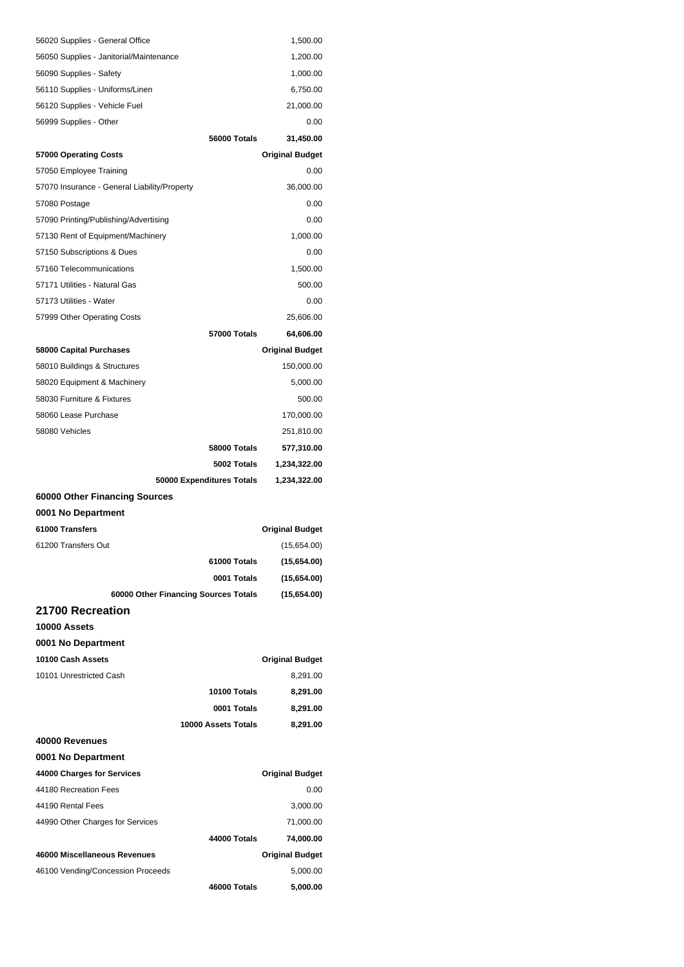| 56020 Supplies - General Office              |                                      | 1,500.00               |
|----------------------------------------------|--------------------------------------|------------------------|
| 56050 Supplies - Janitorial/Maintenance      |                                      | 1,200.00               |
| 56090 Supplies - Safety                      |                                      | 1,000.00               |
| 56110 Supplies - Uniforms/Linen              |                                      | 6,750.00               |
| 56120 Supplies - Vehicle Fuel                |                                      | 21,000.00              |
| 56999 Supplies - Other                       |                                      | 0.00                   |
|                                              | 56000 Totals                         | 31,450.00              |
| 57000 Operating Costs                        |                                      | <b>Original Budget</b> |
| 57050 Employee Training                      |                                      | 0.00                   |
| 57070 Insurance - General Liability/Property |                                      | 36,000.00              |
| 57080 Postage                                |                                      | 0.00                   |
| 57090 Printing/Publishing/Advertising        |                                      | 0.00                   |
| 57130 Rent of Equipment/Machinery            |                                      | 1,000.00               |
| 57150 Subscriptions & Dues                   |                                      | 0.00                   |
| 57160 Telecommunications                     |                                      | 1,500.00               |
| 57171 Utilities - Natural Gas                |                                      | 500.00                 |
| 57173 Utilities - Water                      |                                      | 0.00                   |
| 57999 Other Operating Costs                  |                                      | 25,606.00              |
|                                              | 57000 Totals                         | 64,606.00              |
| 58000 Capital Purchases                      |                                      | <b>Original Budget</b> |
| 58010 Buildings & Structures                 |                                      | 150,000.00             |
| 58020 Equipment & Machinery                  |                                      | 5,000.00               |
| 58030 Furniture & Fixtures                   |                                      | 500.00                 |
| 58060 Lease Purchase                         |                                      | 170,000.00             |
| 58080 Vehicles                               |                                      | 251,810.00             |
|                                              | 58000 Totals                         | 577,310.00             |
|                                              |                                      |                        |
|                                              | 5002 Totals                          | 1,234,322.00           |
|                                              | 50000 Expenditures Totals            | 1,234,322.00           |
| 60000 Other Financing Sources                |                                      |                        |
| 0001 No Department                           |                                      |                        |
| 61000 Transfers                              |                                      | <b>Original Budget</b> |
| 61200 Transfers Out                          |                                      | (15,654.00)            |
|                                              | 61000 Totals                         | (15,654.00)            |
|                                              | 0001 Totals                          | (15,654.00)            |
|                                              | 60000 Other Financing Sources Totals | (15,654.00)            |
| 21700 Recreation                             |                                      |                        |
| 10000 Assets                                 |                                      |                        |
| 0001 No Department                           |                                      |                        |
| 10100 Cash Assets                            |                                      | <b>Original Budget</b> |
| 10101 Unrestricted Cash                      |                                      | 8,291.00               |
|                                              | 10100 Totals                         | 8,291.00               |
|                                              | 0001 Totals                          | 8,291.00               |
|                                              | 10000 Assets Totals                  | 8,291.00               |
| 40000 Revenues                               |                                      |                        |
| 0001 No Department                           |                                      |                        |
| 44000 Charges for Services                   |                                      | <b>Original Budget</b> |
| 44180 Recreation Fees                        |                                      | 0.00                   |
| 44190 Rental Fees                            |                                      | 3,000.00               |
| 44990 Other Charges for Services             |                                      | 71,000.00              |
|                                              | 44000 Totals                         | 74,000.00              |
| 46000 Miscellaneous Revenues                 |                                      | <b>Original Budget</b> |
| 46100 Vending/Concession Proceeds            |                                      | 5,000.00               |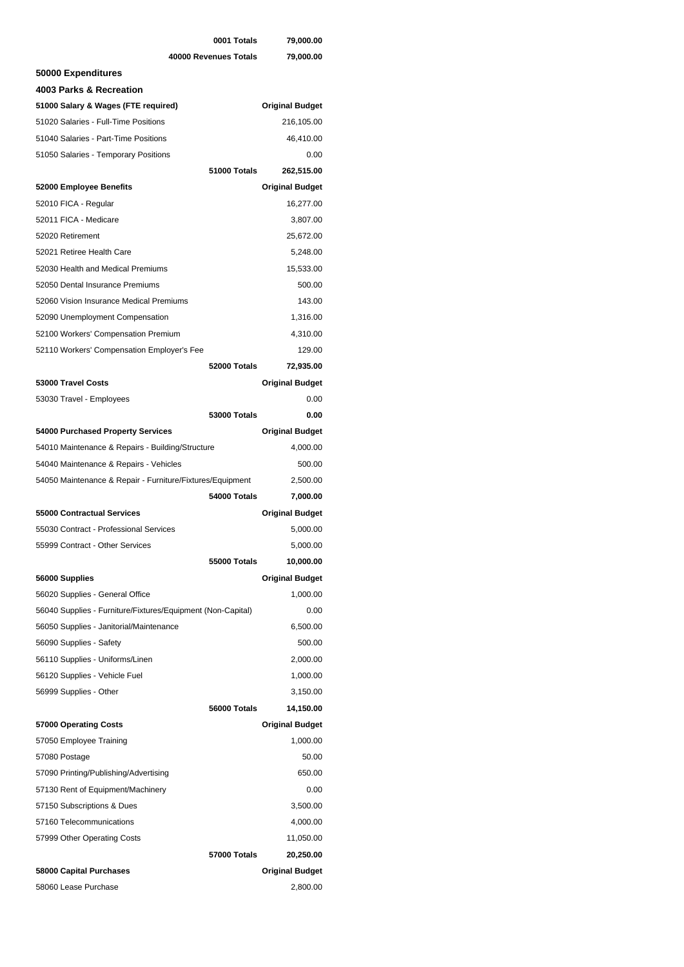|                                                             | 0001 Totals           | 79,000.00              |
|-------------------------------------------------------------|-----------------------|------------------------|
|                                                             | 40000 Revenues Totals | 79,000.00              |
| 50000 Expenditures                                          |                       |                        |
| 4003 Parks & Recreation                                     |                       |                        |
| 51000 Salary & Wages (FTE required)                         |                       | <b>Original Budget</b> |
| 51020 Salaries - Full-Time Positions                        |                       | 216,105.00             |
| 51040 Salaries - Part-Time Positions                        |                       | 46,410.00              |
| 51050 Salaries - Temporary Positions                        |                       | 0.00                   |
|                                                             | 51000 Totals          | 262,515.00             |
| 52000 Employee Benefits                                     |                       | <b>Original Budget</b> |
| 52010 FICA - Regular                                        |                       | 16,277.00              |
| 52011 FICA - Medicare                                       |                       | 3,807.00               |
| 52020 Retirement                                            |                       | 25,672.00              |
| 52021 Retiree Health Care                                   |                       | 5,248.00               |
| 52030 Health and Medical Premiums                           |                       | 15,533.00              |
| 52050 Dental Insurance Premiums                             |                       | 500.00                 |
| 52060 Vision Insurance Medical Premiums                     |                       | 143.00                 |
| 52090 Unemployment Compensation                             |                       | 1,316.00               |
| 52100 Workers' Compensation Premium                         |                       | 4,310.00               |
| 52110 Workers' Compensation Employer's Fee                  |                       | 129.00                 |
|                                                             | 52000 Totals          | 72,935.00              |
| 53000 Travel Costs                                          |                       | <b>Original Budget</b> |
| 53030 Travel - Employees                                    |                       | 0.00                   |
|                                                             | <b>53000 Totals</b>   | 0.00                   |
| 54000 Purchased Property Services                           |                       | <b>Original Budget</b> |
| 54010 Maintenance & Repairs - Building/Structure            |                       | 4,000.00               |
| 54040 Maintenance & Repairs - Vehicles                      |                       | 500.00                 |
| 54050 Maintenance & Repair - Furniture/Fixtures/Equipment   |                       | 2,500.00               |
|                                                             | 54000 Totals          | 7,000.00               |
| 55000 Contractual Services                                  |                       | <b>Original Budget</b> |
| 55030 Contract - Professional Services                      |                       | 5,000.00               |
| 55999 Contract - Other Services                             |                       | 5,000.00               |
|                                                             | 55000 Totals          | 10,000.00              |
| 56000 Supplies                                              |                       | <b>Original Budget</b> |
| 56020 Supplies - General Office                             |                       | 1,000.00               |
| 56040 Supplies - Furniture/Fixtures/Equipment (Non-Capital) |                       | 0.00                   |
| 56050 Supplies - Janitorial/Maintenance                     |                       | 6,500.00               |
| 56090 Supplies - Safety                                     |                       | 500.00                 |
| 56110 Supplies - Uniforms/Linen                             |                       | 2,000.00               |
| 56120 Supplies - Vehicle Fuel                               |                       | 1,000.00               |
| 56999 Supplies - Other                                      |                       | 3,150.00               |
|                                                             | 56000 Totals          | 14,150.00              |
| 57000 Operating Costs                                       |                       | <b>Original Budget</b> |
| 57050 Employee Training                                     |                       | 1,000.00               |
| 57080 Postage                                               |                       | 50.00                  |
| 57090 Printing/Publishing/Advertising                       |                       | 650.00                 |
| 57130 Rent of Equipment/Machinery                           |                       | 0.00                   |
| 57150 Subscriptions & Dues                                  |                       | 3,500.00               |
| 57160 Telecommunications                                    |                       | 4,000.00               |
| 57999 Other Operating Costs                                 |                       | 11,050.00              |
|                                                             | <b>57000 Totals</b>   | 20,250.00              |
| 58000 Capital Purchases                                     |                       | <b>Original Budget</b> |
| 58060 Lease Purchase                                        |                       | 2,800.00               |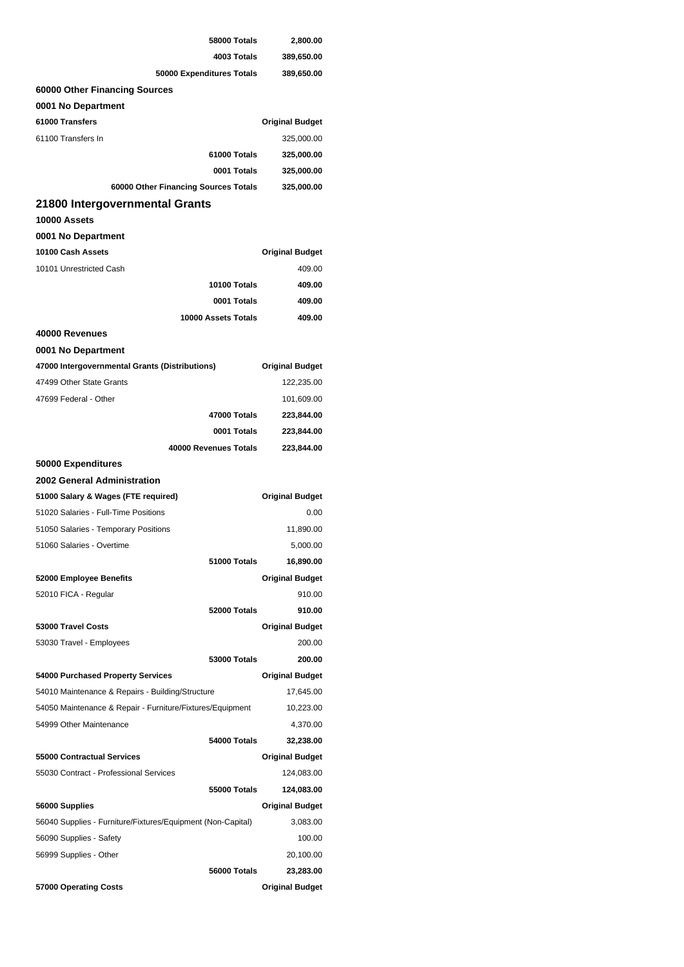| 58000 Totals                                                | 2,800.00                         |  |
|-------------------------------------------------------------|----------------------------------|--|
| 4003 Totals                                                 | 389,650.00                       |  |
| 50000 Expenditures Totals                                   | 389,650.00                       |  |
| 60000 Other Financing Sources                               |                                  |  |
| 0001 No Department                                          |                                  |  |
| 61000 Transfers                                             | <b>Original Budget</b>           |  |
| 61100 Transfers In                                          | 325,000.00                       |  |
| 61000 Totals                                                | 325,000.00                       |  |
| 0001 Totals                                                 | 325,000.00                       |  |
| 60000 Other Financing Sources Totals                        | 325,000.00                       |  |
| 21800 Intergovernmental Grants                              |                                  |  |
| 10000 Assets                                                |                                  |  |
| 0001 No Department                                          |                                  |  |
| 10100 Cash Assets                                           |                                  |  |
| 10101 Unrestricted Cash                                     | <b>Original Budget</b><br>409.00 |  |
|                                                             |                                  |  |
| 10100 Totals                                                | 409.00                           |  |
| 0001 Totals                                                 | 409.00                           |  |
| 10000 Assets Totals                                         | 409.00                           |  |
| 40000 Revenues                                              |                                  |  |
| 0001 No Department                                          |                                  |  |
| 47000 Intergovernmental Grants (Distributions)              | <b>Original Budget</b>           |  |
| 47499 Other State Grants                                    | 122,235.00                       |  |
| 47699 Federal - Other                                       | 101,609.00                       |  |
| 47000 Totals                                                | 223,844.00                       |  |
| 0001 Totals                                                 | 223,844.00                       |  |
| 40000 Revenues Totals                                       | 223,844.00                       |  |
|                                                             |                                  |  |
| 50000 Expenditures                                          |                                  |  |
| 2002 General Administration                                 |                                  |  |
| 51000 Salary & Wages (FTE required)                         | <b>Original Budget</b>           |  |
| 51020 Salaries - Full-Time Positions                        | 0.00                             |  |
| 51050 Salaries - Temporary Positions                        | 11,890.00                        |  |
| 51060 Salaries - Overtime                                   | 5,000.00                         |  |
| 51000 Totals                                                | 16,890.00                        |  |
| 52000 Employee Benefits                                     | <b>Original Budget</b>           |  |
| 52010 FICA - Regular                                        | 910.00                           |  |
| 52000 Totals                                                | 910.00                           |  |
| 53000 Travel Costs                                          | <b>Original Budget</b>           |  |
| 53030 Travel - Employees                                    | 200.00                           |  |
| <b>53000 Totals</b>                                         | 200.00                           |  |
| 54000 Purchased Property Services                           | <b>Original Budget</b>           |  |
| 54010 Maintenance & Repairs - Building/Structure            | 17,645.00                        |  |
| 54050 Maintenance & Repair - Furniture/Fixtures/Equipment   | 10,223.00                        |  |
| 54999 Other Maintenance                                     | 4,370.00                         |  |
| 54000 Totals                                                | 32,238.00                        |  |
| <b>55000 Contractual Services</b>                           | <b>Original Budget</b>           |  |
| 55030 Contract - Professional Services                      | 124,083.00                       |  |
| <b>55000 Totals</b>                                         | 124,083.00                       |  |
| 56000 Supplies                                              | <b>Original Budget</b>           |  |
| 56040 Supplies - Furniture/Fixtures/Equipment (Non-Capital) | 3,083.00                         |  |
| 56090 Supplies - Safety                                     | 100.00                           |  |
| 56999 Supplies - Other                                      | 20,100.00                        |  |
| 56000 Totals                                                | 23,283.00                        |  |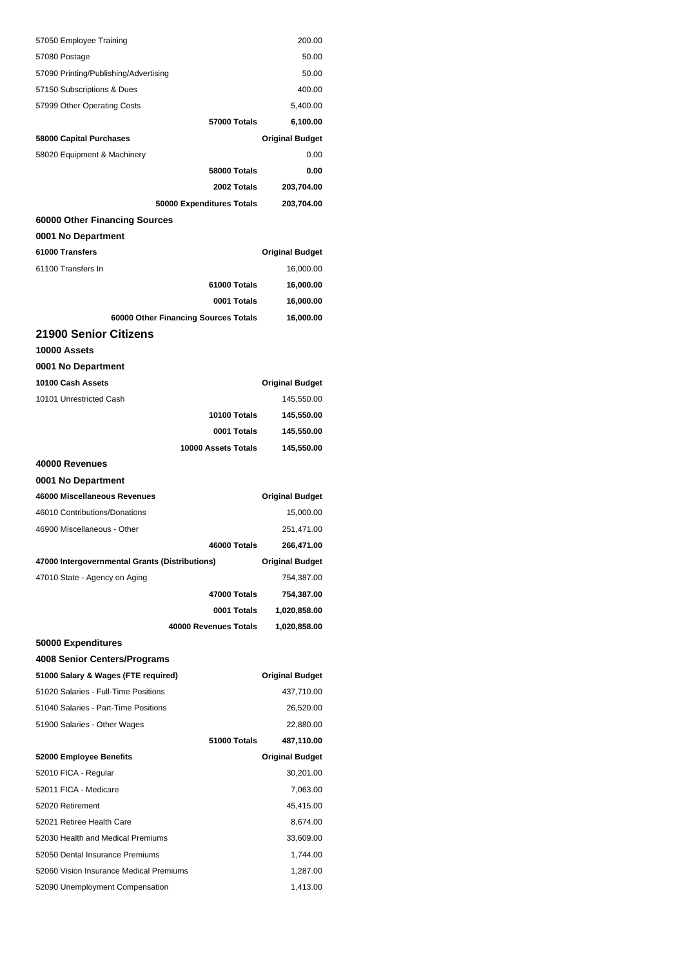| 57050 Employee Training                                                    | 200.00                 |
|----------------------------------------------------------------------------|------------------------|
| 57080 Postage                                                              | 50.00                  |
| 57090 Printing/Publishing/Advertising                                      | 50.00                  |
| 57150 Subscriptions & Dues                                                 | 400.00                 |
| 57999 Other Operating Costs                                                | 5,400.00               |
| 57000 Totals                                                               | 6,100.00               |
| 58000 Capital Purchases                                                    | <b>Original Budget</b> |
| 58020 Equipment & Machinery                                                | 0.00                   |
| 58000 Totals                                                               | 0.00                   |
| 2002 Totals                                                                | 203,704.00             |
| 50000 Expenditures Totals                                                  | 203,704.00             |
| 60000 Other Financing Sources                                              |                        |
| 0001 No Department                                                         |                        |
| 61000 Transfers                                                            | <b>Original Budget</b> |
| 61100 Transfers In                                                         | 16,000.00              |
| 61000 Totals                                                               | 16,000.00              |
| 0001 Totals                                                                | 16,000.00              |
| 60000 Other Financing Sources Totals                                       | 16,000.00              |
| 21900 Senior Citizens                                                      |                        |
| 10000 Assets                                                               |                        |
| 0001 No Department                                                         |                        |
| 10100 Cash Assets                                                          | <b>Original Budget</b> |
| 10101 Unrestricted Cash                                                    | 145,550.00             |
| 10100 Totals                                                               | 145,550.00             |
| 0001 Totals                                                                | 145,550.00             |
| 10000 Assets Totals                                                        | 145,550.00             |
| 40000 Revenues                                                             |                        |
| 0001 No Department                                                         |                        |
| 46000 Miscellaneous Revenues                                               | <b>Original Budget</b> |
| 46010 Contributions/Donations                                              | 15,000.00              |
| 46900 Miscellaneous - Other                                                | 251,471.00             |
| 46000 Totals                                                               | 266,471.00             |
| 47000 Intergovernmental Grants (Distributions)                             | <b>Original Budget</b> |
| 47010 State - Agency on Aging                                              | 754,387.00             |
| 47000 Totals                                                               | 754,387.00             |
| 0001 Totals                                                                | 1,020,858.00           |
| 40000 Revenues Totals                                                      | 1,020,858.00           |
| 50000 Expenditures                                                         |                        |
| 4008 Senior Centers/Programs                                               |                        |
| 51000 Salary & Wages (FTE required)                                        | <b>Original Budget</b> |
| 51020 Salaries - Full-Time Positions                                       | 437,710.00             |
| 51040 Salaries - Part-Time Positions                                       | 26,520.00              |
| 51900 Salaries - Other Wages                                               | 22,880.00              |
| 51000 Totals                                                               | 487,110.00             |
| 52000 Employee Benefits                                                    | <b>Original Budget</b> |
| 52010 FICA - Regular                                                       | 30,201.00              |
| 52011 FICA - Medicare                                                      | 7,063.00               |
| 52020 Retirement                                                           | 45,415.00              |
| 52021 Retiree Health Care                                                  | 8,674.00               |
| 52030 Health and Medical Premiums                                          | 33,609.00              |
| 52050 Dental Insurance Premiums                                            | 1,744.00               |
| 52060 Vision Insurance Medical Premiums<br>52090 Unemployment Compensation | 1,287.00               |
|                                                                            | 1,413.00               |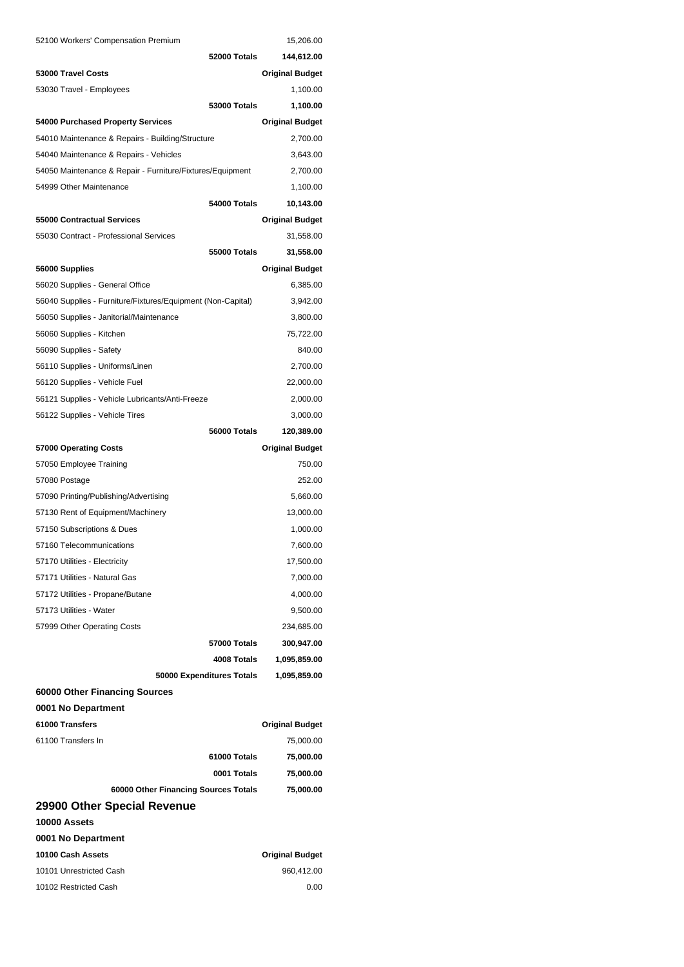| 52100 Workers' Compensation Premium                         |                           | 15,206.00              |
|-------------------------------------------------------------|---------------------------|------------------------|
|                                                             | 52000 Totals              | 144,612.00             |
| 53000 Travel Costs                                          |                           | <b>Original Budget</b> |
| 53030 Travel - Employees                                    |                           | 1,100.00               |
|                                                             | <b>53000 Totals</b>       | 1,100.00               |
| 54000 Purchased Property Services                           |                           | <b>Original Budget</b> |
| 54010 Maintenance & Repairs - Building/Structure            |                           | 2,700.00               |
| 54040 Maintenance & Repairs - Vehicles                      |                           | 3,643.00               |
| 54050 Maintenance & Repair - Furniture/Fixtures/Equipment   |                           | 2,700.00               |
| 54999 Other Maintenance                                     |                           | 1,100.00               |
|                                                             | 54000 Totals              | 10,143.00              |
| 55000 Contractual Services                                  |                           | <b>Original Budget</b> |
| 55030 Contract - Professional Services                      |                           | 31,558.00              |
|                                                             | 55000 Totals              | 31,558.00              |
| 56000 Supplies                                              |                           | <b>Original Budget</b> |
| 56020 Supplies - General Office                             |                           | 6,385.00               |
| 56040 Supplies - Furniture/Fixtures/Equipment (Non-Capital) |                           | 3,942.00               |
| 56050 Supplies - Janitorial/Maintenance                     |                           | 3,800.00               |
| 56060 Supplies - Kitchen                                    |                           | 75,722.00              |
| 56090 Supplies - Safety                                     |                           | 840.00                 |
| 56110 Supplies - Uniforms/Linen                             |                           | 2,700.00               |
| 56120 Supplies - Vehicle Fuel                               |                           | 22,000.00              |
| 56121 Supplies - Vehicle Lubricants/Anti-Freeze             |                           | 2,000.00               |
| 56122 Supplies - Vehicle Tires                              |                           | 3,000.00               |
|                                                             | 56000 Totals              | 120,389.00             |
| 57000 Operating Costs                                       |                           | <b>Original Budget</b> |
| 57050 Employee Training                                     |                           | 750.00                 |
| 57080 Postage                                               |                           | 252.00                 |
| 57090 Printing/Publishing/Advertising                       |                           | 5,660.00               |
| 57130 Rent of Equipment/Machinery                           |                           | 13,000.00              |
| 57150 Subscriptions & Dues                                  |                           | 1,000.00               |
| 57160 Telecommunications                                    |                           | 7,600.00               |
| 57170 Utilities - Electricity                               |                           | 17,500.00              |
| 57171 Utilities - Natural Gas                               |                           | 7,000.00               |
| 57172 Utilities - Propane/Butane                            |                           | 4,000.00               |
| 57173 Utilities - Water                                     |                           | 9,500.00               |
| 57999 Other Operating Costs                                 |                           | 234,685.00             |
|                                                             | 57000 Totals              | 300,947.00             |
|                                                             | 4008 Totals               | 1,095,859.00           |
|                                                             | 50000 Expenditures Totals | 1,095,859.00           |
| 60000 Other Financing Sources                               |                           |                        |
| 0001 No Department                                          |                           |                        |
| 61000 Transfers                                             |                           | <b>Original Budget</b> |
| 61100 Transfers In                                          |                           | 75,000.00              |
|                                                             | 61000 Totals              | 75,000.00              |
|                                                             | 0001 Totals               | 75,000.00              |
| 60000 Other Financing Sources Totals                        |                           | 75,000.00              |
| 29900 Other Special Revenue                                 |                           |                        |
| 10000 Assets                                                |                           |                        |
| 0001 No Department                                          |                           |                        |
| 10100 Cash Assets                                           |                           | <b>Original Budget</b> |
| 10101 Unrestricted Cash                                     |                           | 960,412.00             |
| 10102 Restricted Cash                                       |                           | 0.00                   |
|                                                             |                           |                        |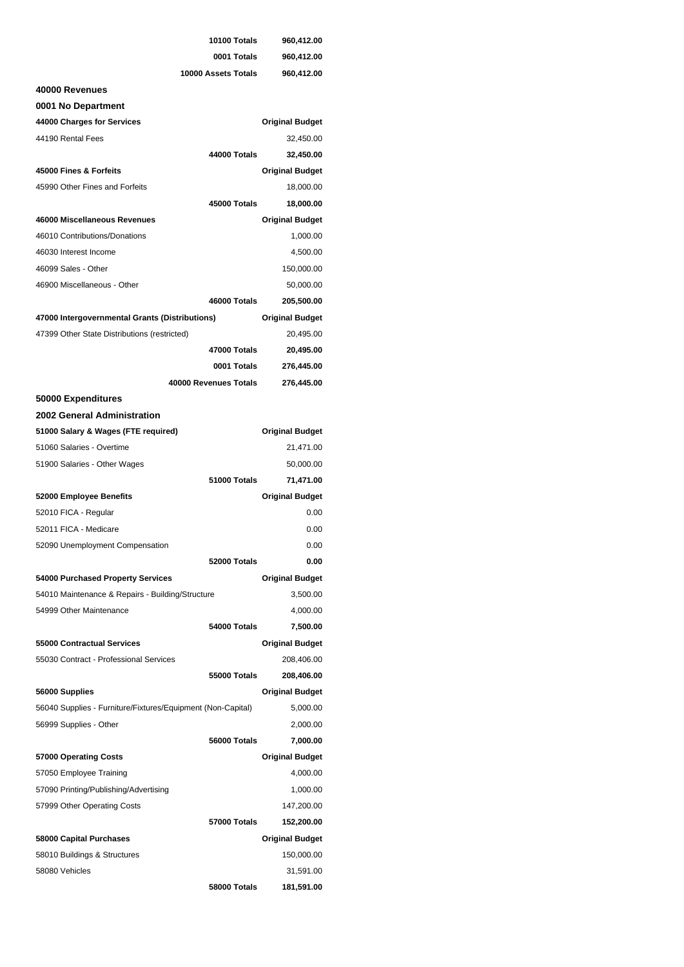|                                                             | 10100 Totals          | 960,412.00             |
|-------------------------------------------------------------|-----------------------|------------------------|
|                                                             | 0001 Totals           | 960,412.00             |
|                                                             | 10000 Assets Totals   | 960,412.00             |
| 40000 Revenues                                              |                       |                        |
| 0001 No Department                                          |                       |                        |
| 44000 Charges for Services                                  |                       | <b>Original Budget</b> |
| 44190 Rental Fees                                           |                       | 32,450.00              |
|                                                             | 44000 Totals          | 32,450.00              |
| 45000 Fines & Forfeits                                      |                       | <b>Original Budget</b> |
| 45990 Other Fines and Forfeits                              |                       | 18,000.00              |
|                                                             | 45000 Totals          | 18,000.00              |
| 46000 Miscellaneous Revenues                                |                       | <b>Original Budget</b> |
| 46010 Contributions/Donations                               |                       | 1,000.00               |
| 46030 Interest Income                                       |                       | 4,500.00               |
| 46099 Sales - Other                                         |                       | 150,000.00             |
| 46900 Miscellaneous - Other                                 |                       | 50,000.00              |
|                                                             | 46000 Totals          | 205,500.00             |
| 47000 Intergovernmental Grants (Distributions)              |                       | <b>Original Budget</b> |
| 47399 Other State Distributions (restricted)                |                       | 20,495.00              |
|                                                             | 47000 Totals          | 20,495.00              |
|                                                             | 0001 Totals           | 276,445.00             |
|                                                             | 40000 Revenues Totals | 276,445.00             |
| 50000 Expenditures                                          |                       |                        |
| 2002 General Administration                                 |                       |                        |
| 51000 Salary & Wages (FTE required)                         |                       | <b>Original Budget</b> |
| 51060 Salaries - Overtime                                   |                       | 21,471.00              |
| 51900 Salaries - Other Wages                                |                       | 50,000.00              |
|                                                             | 51000 Totals          | 71,471.00              |
| 52000 Employee Benefits                                     |                       | <b>Original Budget</b> |
| 52010 FICA - Regular                                        |                       | 0.00                   |
| 52011 FICA - Medicare                                       |                       | 0.00                   |
|                                                             |                       | 0.00                   |
| 52090 Unemployment Compensation                             | 52000 Totals          | 0.00                   |
|                                                             |                       |                        |
| 54000 Purchased Property Services                           |                       | <b>Original Budget</b> |
| 54010 Maintenance & Repairs - Building/Structure            |                       | 3,500.00               |
| 54999 Other Maintenance                                     |                       | 4,000.00               |
|                                                             | 54000 Totals          | 7,500.00               |
| 55000 Contractual Services                                  |                       | <b>Original Budget</b> |
| 55030 Contract - Professional Services                      |                       | 208,406.00             |
|                                                             | 55000 Totals          | 208,406.00             |
| 56000 Supplies                                              |                       | <b>Original Budget</b> |
| 56040 Supplies - Furniture/Fixtures/Equipment (Non-Capital) |                       | 5,000.00               |
| 56999 Supplies - Other                                      |                       | 2,000.00               |
|                                                             | 56000 Totals          | 7,000.00               |
| 57000 Operating Costs                                       |                       | <b>Original Budget</b> |
| 57050 Employee Training                                     |                       | 4,000.00               |
| 57090 Printing/Publishing/Advertising                       |                       | 1,000.00               |
| 57999 Other Operating Costs                                 |                       | 147,200.00             |
|                                                             | <b>57000 Totals</b>   | 152,200.00             |
| 58000 Capital Purchases                                     |                       | <b>Original Budget</b> |
| 58010 Buildings & Structures                                |                       | 150,000.00             |
| 58080 Vehicles                                              |                       | 31,591.00              |
|                                                             | 58000 Totals          | 181,591.00             |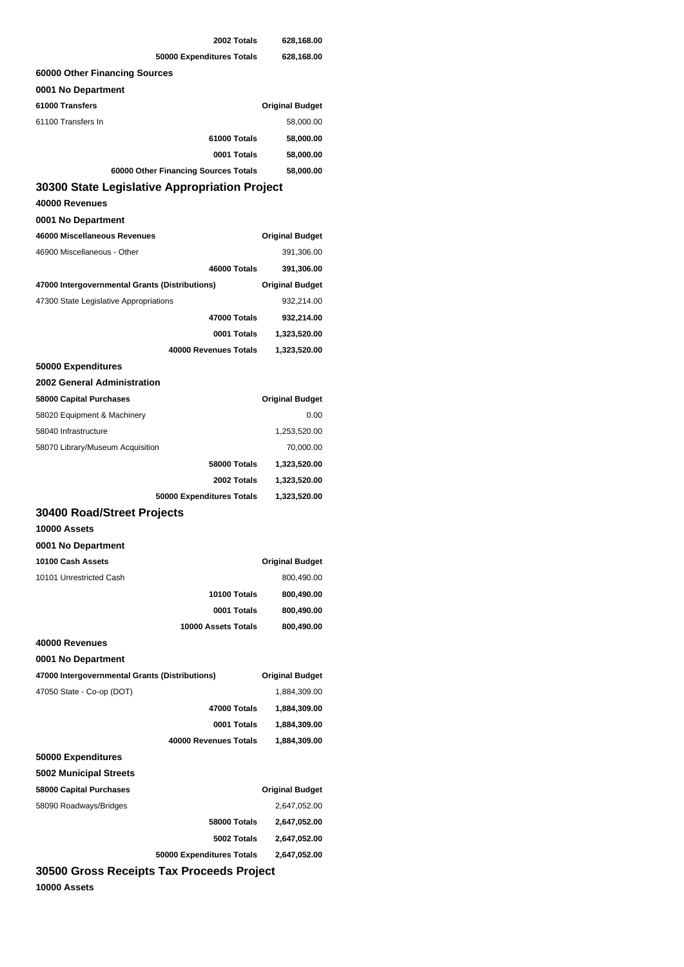|                                                | 2002 Totals         | 628,168.00             |
|------------------------------------------------|---------------------|------------------------|
| 50000 Expenditures Totals                      |                     | 628,168.00             |
| 60000 Other Financing Sources                  |                     |                        |
| 0001 No Department                             |                     |                        |
| 61000 Transfers                                |                     | <b>Original Budget</b> |
| 61100 Transfers In                             |                     | 58,000.00              |
|                                                | 61000 Totals        | 58,000.00              |
|                                                | 0001 Totals         | 58,000.00              |
| 60000 Other Financing Sources Totals           |                     | 58,000.00              |
| 30300 State Legislative Appropriation Project  |                     |                        |
| 40000 Revenues                                 |                     |                        |
| 0001 No Department                             |                     |                        |
| 46000 Miscellaneous Revenues                   |                     | <b>Original Budget</b> |
| 46900 Miscellaneous - Other                    |                     | 391,306.00             |
|                                                | 46000 Totals        | 391,306.00             |
| 47000 Intergovernmental Grants (Distributions) |                     | <b>Original Budget</b> |
| 47300 State Legislative Appropriations         |                     | 932,214.00             |
|                                                | 47000 Totals        | 932,214.00             |
|                                                | 0001 Totals         | 1,323,520.00           |
| 40000 Revenues Totals                          |                     | 1,323,520.00           |
| 50000 Expenditures                             |                     |                        |
| 2002 General Administration                    |                     |                        |
| 58000 Capital Purchases                        |                     | <b>Original Budget</b> |
| 58020 Equipment & Machinery                    |                     | 0.00                   |
| 58040 Infrastructure                           |                     | 1,253,520.00           |
| 58070 Library/Museum Acquisition               |                     | 70,000.00              |
|                                                | <b>58000 Totals</b> | 1,323,520.00           |
|                                                | 2002 Totals         | 1,323,520.00           |
| 50000 Expenditures Totals                      |                     | 1,323,520.00           |
| <b>30400 Road/Street Projects</b>              |                     |                        |
| 10000 Assets                                   |                     |                        |
| 0001 No Department                             |                     |                        |
| 10100 Cash Assets                              |                     | <b>Original Budget</b> |
| 10101 Unrestricted Cash                        |                     | 800,490.00             |
|                                                | 10100 Totals        | 800,490.00             |
|                                                | 0001 Totals         | 800,490.00             |
|                                                | 10000 Assets Totals | 800,490.00             |
| 40000 Revenues                                 |                     |                        |
| 0001 No Department                             |                     |                        |
| 47000 Intergovernmental Grants (Distributions) |                     | <b>Original Budget</b> |
| 47050 State - Co-op (DOT)                      |                     | 1,884,309.00           |
|                                                | 47000 Totals        | 1,884,309.00           |
|                                                | 0001 Totals         | 1,884,309.00           |
| 40000 Revenues Totals                          |                     | 1,884,309.00           |
| 50000 Expenditures                             |                     |                        |
| <b>5002 Municipal Streets</b>                  |                     |                        |
| 58000 Capital Purchases                        |                     | <b>Original Budget</b> |
| 58090 Roadways/Bridges                         |                     | 2,647,052.00           |
|                                                | <b>58000 Totals</b> | 2,647,052.00           |
|                                                | 5002 Totals         | 2,647,052.00           |
| 50000 Expenditures Totals                      |                     | 2,647,052.00           |
| 30500 Gross Receipts Tax Proceeds Project      |                     |                        |

**10000 Assets**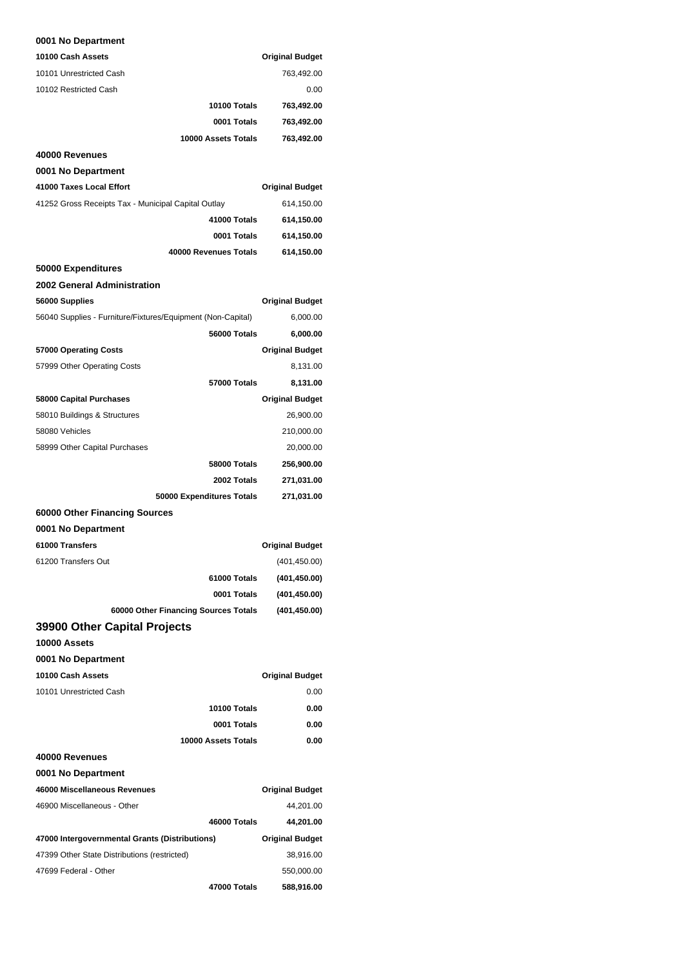#### **0001 No Department**

| 10100 Cash Assets                                           |                           | <b>Original Budget</b> |
|-------------------------------------------------------------|---------------------------|------------------------|
| 10101 Unrestricted Cash                                     |                           | 763,492.00             |
| 10102 Restricted Cash                                       |                           | 0.00                   |
|                                                             | 10100 Totals              | 763,492.00             |
|                                                             | 0001 Totals               | 763,492.00             |
|                                                             | 10000 Assets Totals       | 763,492.00             |
| 40000 Revenues                                              |                           |                        |
| 0001 No Department                                          |                           |                        |
| 41000 Taxes Local Effort                                    |                           | <b>Original Budget</b> |
| 41252 Gross Receipts Tax - Municipal Capital Outlay         |                           | 614,150.00             |
|                                                             | 41000 Totals              | 614,150.00             |
|                                                             | 0001 Totals               | 614,150.00             |
|                                                             | 40000 Revenues Totals     | 614,150.00             |
| 50000 Expenditures                                          |                           |                        |
| 2002 General Administration                                 |                           |                        |
| 56000 Supplies                                              |                           | <b>Original Budget</b> |
| 56040 Supplies - Furniture/Fixtures/Equipment (Non-Capital) |                           | 6,000.00               |
|                                                             | 56000 Totals              | 6,000.00               |
| 57000 Operating Costs                                       |                           | <b>Original Budget</b> |
| 57999 Other Operating Costs                                 |                           | 8,131.00               |
|                                                             | 57000 Totals              | 8,131.00               |
| 58000 Capital Purchases                                     |                           | <b>Original Budget</b> |
| 58010 Buildings & Structures                                |                           | 26,900.00              |
| 58080 Vehicles                                              |                           | 210,000.00             |
| 58999 Other Capital Purchases                               |                           | 20,000.00              |
|                                                             | 58000 Totals              | 256,900.00             |
|                                                             | 2002 Totals               | 271,031.00             |
|                                                             | 50000 Expenditures Totals | 271,031.00             |
| 60000 Other Financing Sources                               |                           |                        |
| 0001 No Department                                          |                           |                        |
| 61000 Transfers                                             |                           | <b>Original Budget</b> |
| 61200 Transfers Out                                         |                           | (401, 450.00)          |
|                                                             | 61000 Totals              | (401, 450.00)          |
|                                                             | 0001 Totals               | (401, 450.00)          |
| 60000 Other Financing Sources Totals                        |                           | (401, 450.00)          |
| 39900 Other Capital Projects                                |                           |                        |
| 10000 Assets                                                |                           |                        |
| 0001 No Department                                          |                           |                        |
| 10100 Cash Assets                                           |                           | <b>Original Budget</b> |
| 10101 Unrestricted Cash                                     | 10100 Totals              | 0.00                   |
|                                                             | 0001 Totals               | 0.00<br>0.00           |
|                                                             | 10000 Assets Totals       | 0.00                   |
| 40000 Revenues                                              |                           |                        |
| 0001 No Department                                          |                           |                        |
| 46000 Miscellaneous Revenues                                |                           | <b>Original Budget</b> |
| 46900 Miscellaneous - Other                                 |                           | 44,201.00              |
|                                                             | 46000 Totals              | 44,201.00              |
| 47000 Intergovernmental Grants (Distributions)              |                           | <b>Original Budget</b> |
| 47399 Other State Distributions (restricted)                |                           | 38,916.00              |
| 47699 Federal - Other                                       |                           | 550,000.00             |
|                                                             | 47000 Totals              | 588,916.00             |
|                                                             |                           |                        |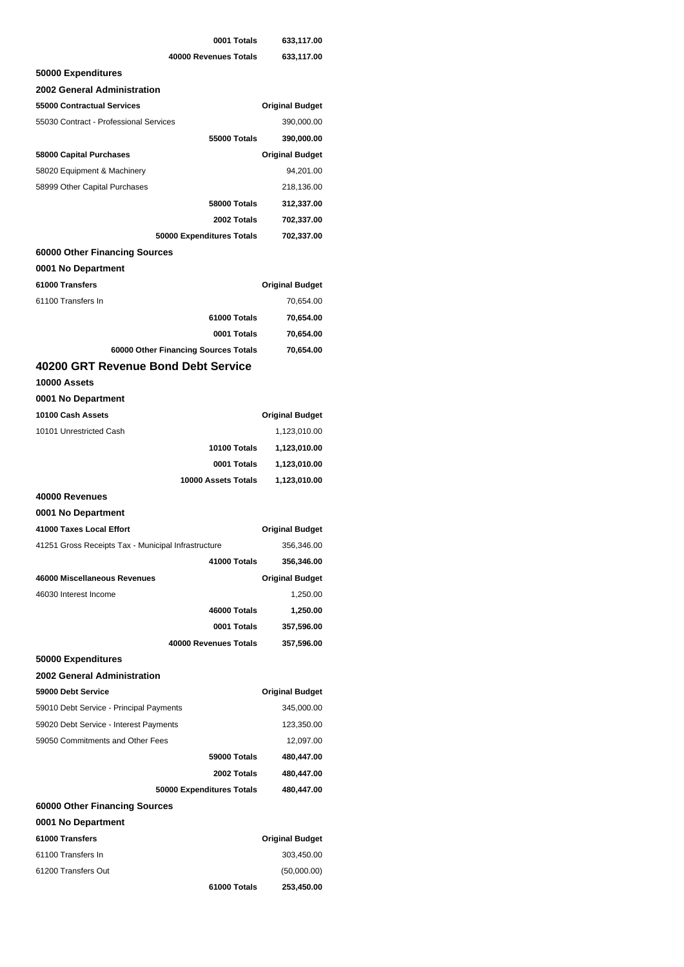|                                                     | 0001 Totals                          | 633,117.00                |
|-----------------------------------------------------|--------------------------------------|---------------------------|
|                                                     | 40000 Revenues Totals                | 633,117.00                |
| 50000 Expenditures                                  |                                      |                           |
| <b>2002 General Administration</b>                  |                                      |                           |
| <b>55000 Contractual Services</b>                   |                                      | <b>Original Budget</b>    |
| 55030 Contract - Professional Services              |                                      | 390,000.00                |
|                                                     | 55000 Totals                         | 390,000.00                |
| 58000 Capital Purchases                             |                                      | <b>Original Budget</b>    |
| 58020 Equipment & Machinery                         |                                      | 94,201.00                 |
| 58999 Other Capital Purchases                       |                                      | 218,136.00                |
|                                                     | 58000 Totals                         | 312,337.00                |
|                                                     | 2002 Totals                          | 702,337.00                |
|                                                     | 50000 Expenditures Totals            | 702,337.00                |
| 60000 Other Financing Sources                       |                                      |                           |
| 0001 No Department                                  |                                      |                           |
| 61000 Transfers                                     |                                      | <b>Original Budget</b>    |
| 61100 Transfers In                                  |                                      | 70,654.00                 |
|                                                     | 61000 Totals                         | 70,654.00                 |
|                                                     | 0001 Totals                          | 70,654.00                 |
|                                                     | 60000 Other Financing Sources Totals | 70,654.00                 |
| 40200 GRT Revenue Bond Debt Service                 |                                      |                           |
| 10000 Assets                                        |                                      |                           |
| 0001 No Department                                  |                                      |                           |
| 10100 Cash Assets                                   |                                      | <b>Original Budget</b>    |
| 10101 Unrestricted Cash                             |                                      | 1,123,010.00              |
|                                                     | 10100 Totals                         | 1,123,010.00              |
|                                                     | 0001 Totals                          | 1,123,010.00              |
|                                                     |                                      |                           |
|                                                     | 10000 Assets Totals                  | 1,123,010.00              |
| 40000 Revenues                                      |                                      |                           |
| 0001 No Department                                  |                                      |                           |
| 41000 Taxes Local Effort                            |                                      | <b>Original Budget</b>    |
| 41251 Gross Receipts Tax - Municipal Infrastructure |                                      | 356,346.00                |
|                                                     | 41000 Totals                         | 356,346.00                |
| 46000 Miscellaneous Revenues                        |                                      | <b>Original Budget</b>    |
| 46030 Interest Income                               |                                      | 1,250.00                  |
|                                                     | 46000 Totals                         | 1,250.00                  |
|                                                     | 0001 Totals                          | 357,596.00                |
|                                                     | 40000 Revenues Totals                | 357,596.00                |
| 50000 Expenditures                                  |                                      |                           |
| 2002 General Administration                         |                                      |                           |
| 59000 Debt Service                                  |                                      | <b>Original Budget</b>    |
| 59010 Debt Service - Principal Payments             |                                      | 345,000.00                |
| 59020 Debt Service - Interest Payments              |                                      | 123,350.00                |
| 59050 Commitments and Other Fees                    |                                      | 12,097.00                 |
|                                                     | 59000 Totals                         | 480,447.00                |
|                                                     | 2002 Totals                          | 480,447.00                |
|                                                     | 50000 Expenditures Totals            | 480,447.00                |
| 60000 Other Financing Sources                       |                                      |                           |
| 0001 No Department                                  |                                      |                           |
| 61000 Transfers                                     |                                      | <b>Original Budget</b>    |
| 61100 Transfers In                                  |                                      | 303,450.00                |
| 61200 Transfers Out                                 | 61000 Totals                         | (50,000.00)<br>253,450.00 |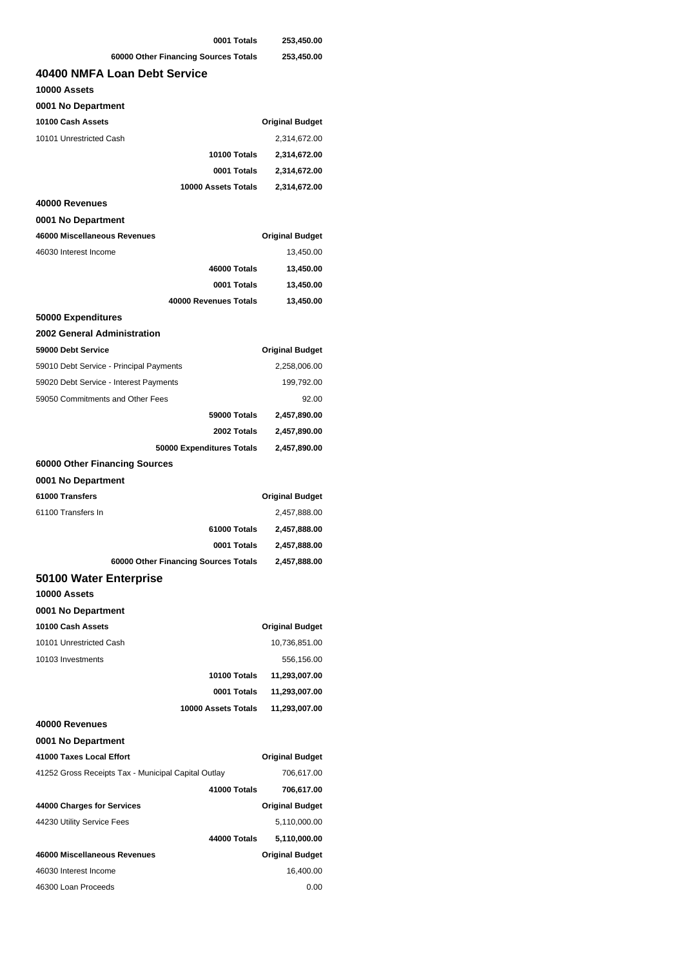| 0001 Totals                                         | 253,450.00             |
|-----------------------------------------------------|------------------------|
| 60000 Other Financing Sources Totals                | 253,450.00             |
| 40400 NMFA Loan Debt Service                        |                        |
| 10000 Assets                                        |                        |
| 0001 No Department                                  |                        |
| 10100 Cash Assets                                   | <b>Original Budget</b> |
| 10101 Unrestricted Cash                             | 2,314,672.00           |
| 10100 Totals                                        | 2,314,672.00           |
| 0001 Totals                                         | 2,314,672.00           |
| 10000 Assets Totals                                 | 2,314,672.00           |
| 40000 Revenues                                      |                        |
| 0001 No Department                                  |                        |
| 46000 Miscellaneous Revenues                        | <b>Original Budget</b> |
| 46030 Interest Income                               | 13,450.00              |
| 46000 Totals                                        | 13,450.00              |
| 0001 Totals                                         | 13,450.00              |
| 40000 Revenues Totals                               | 13,450.00              |
| 50000 Expenditures                                  |                        |
|                                                     |                        |
| 2002 General Administration                         |                        |
| 59000 Debt Service                                  | <b>Original Budget</b> |
| 59010 Debt Service - Principal Payments             | 2,258,006.00           |
| 59020 Debt Service - Interest Payments              | 199,792.00             |
| 59050 Commitments and Other Fees                    | 92.00                  |
| 59000 Totals                                        | 2,457,890.00           |
| 2002 Totals                                         | 2,457,890.00           |
| 50000 Expenditures Totals                           | 2,457,890.00           |
| 60000 Other Financing Sources                       |                        |
| 0001 No Department                                  |                        |
| 61000 Transfers                                     | <b>Original Budget</b> |
| 61100 Transfers In                                  | 2,457,888.00           |
| 61000 Totals                                        | 2,457,888.00           |
| 0001 Totals                                         | 2,457,888.00           |
| 60000 Other Financing Sources Totals                | 2,457,888.00           |
| 50100 Water Enterprise                              |                        |
| 10000 Assets                                        |                        |
| 0001 No Department                                  |                        |
| 10100 Cash Assets                                   | <b>Original Budget</b> |
| 10101 Unrestricted Cash                             | 10,736,851.00          |
| 10103 Investments                                   | 556,156.00             |
| 10100 Totals                                        | 11,293,007.00          |
| 0001 Totals                                         | 11,293,007.00          |
| 10000 Assets Totals                                 | 11,293,007.00          |
| 40000 Revenues                                      |                        |
| 0001 No Department                                  |                        |
| 41000 Taxes Local Effort                            | <b>Original Budget</b> |
| 41252 Gross Receipts Tax - Municipal Capital Outlay | 706,617.00             |
| 41000 Totals                                        | 706,617.00             |
| 44000 Charges for Services                          | <b>Original Budget</b> |
| 44230 Utility Service Fees                          | 5,110,000.00           |
| 44000 Totals                                        | 5,110,000.00           |
| 46000 Miscellaneous Revenues                        | <b>Original Budget</b> |
| 46030 Interest Income                               | 16,400.00              |
| 46300 Loan Proceeds                                 | 0.00                   |
|                                                     |                        |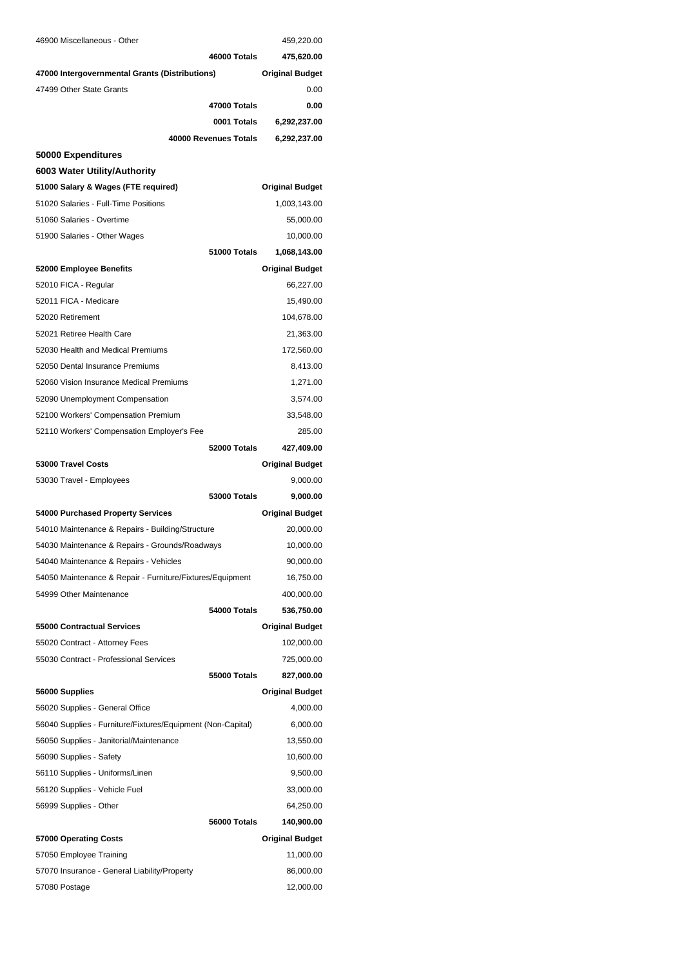| 46900 Miscellaneous - Other                                 | 459,220.00             |
|-------------------------------------------------------------|------------------------|
| 46000 Totals                                                | 475,620.00             |
| 47000 Intergovernmental Grants (Distributions)              | <b>Original Budget</b> |
| 47499 Other State Grants                                    | 0.00                   |
| 47000 Totals                                                | 0.00                   |
| 0001 Totals                                                 | 6,292,237.00           |
| 40000 Revenues Totals                                       | 6,292,237.00           |
| 50000 Expenditures                                          |                        |
| 6003 Water Utility/Authority                                |                        |
| 51000 Salary & Wages (FTE required)                         | <b>Original Budget</b> |
| 51020 Salaries - Full-Time Positions                        | 1,003,143.00           |
| 51060 Salaries - Overtime                                   | 55,000.00              |
| 51900 Salaries - Other Wages                                | 10,000.00              |
| 51000 Totals                                                | 1,068,143.00           |
| 52000 Employee Benefits                                     | <b>Original Budget</b> |
| 52010 FICA - Regular                                        | 66,227.00              |
| 52011 FICA - Medicare                                       | 15,490.00              |
| 52020 Retirement                                            | 104,678.00             |
| 52021 Retiree Health Care                                   | 21,363.00              |
| 52030 Health and Medical Premiums                           | 172,560.00             |
| 52050 Dental Insurance Premiums                             | 8,413.00               |
| 52060 Vision Insurance Medical Premiums                     | 1,271.00               |
| 52090 Unemployment Compensation                             | 3,574.00               |
| 52100 Workers' Compensation Premium                         | 33,548.00              |
| 52110 Workers' Compensation Employer's Fee                  | 285.00                 |
| 52000 Totals                                                | 427,409.00             |
| 53000 Travel Costs                                          | <b>Original Budget</b> |
| 53030 Travel - Employees                                    | 9,000.00               |
| <b>53000 Totals</b>                                         | 9,000.00               |
| 54000 Purchased Property Services                           | <b>Original Budget</b> |
| 54010 Maintenance & Repairs - Building/Structure            | 20,000.00              |
| 54030 Maintenance & Repairs - Grounds/Roadways              | 10,000.00              |
| 54040 Maintenance & Repairs - Vehicles                      | 90,000.00              |
| 54050 Maintenance & Repair - Furniture/Fixtures/Equipment   | 16,750.00              |
| 54999 Other Maintenance                                     | 400,000.00             |
| 54000 Totals                                                | 536,750.00             |
| 55000 Contractual Services                                  | <b>Original Budget</b> |
| 55020 Contract - Attorney Fees                              | 102,000.00             |
| 55030 Contract - Professional Services                      | 725,000.00             |
| 55000 Totals                                                | 827,000.00             |
| 56000 Supplies                                              | <b>Original Budget</b> |
| 56020 Supplies - General Office                             | 4,000.00               |
| 56040 Supplies - Furniture/Fixtures/Equipment (Non-Capital) | 6,000.00               |
| 56050 Supplies - Janitorial/Maintenance                     | 13,550.00              |
| 56090 Supplies - Safety                                     | 10,600.00              |
| 56110 Supplies - Uniforms/Linen                             | 9,500.00               |
| 56120 Supplies - Vehicle Fuel                               | 33,000.00              |
| 56999 Supplies - Other                                      | 64,250.00              |
| 56000 Totals                                                | 140,900.00             |
| 57000 Operating Costs                                       | <b>Original Budget</b> |
| 57050 Employee Training                                     | 11,000.00              |
| 57070 Insurance - General Liability/Property                | 86,000.00              |
| 57080 Postage                                               | 12,000.00              |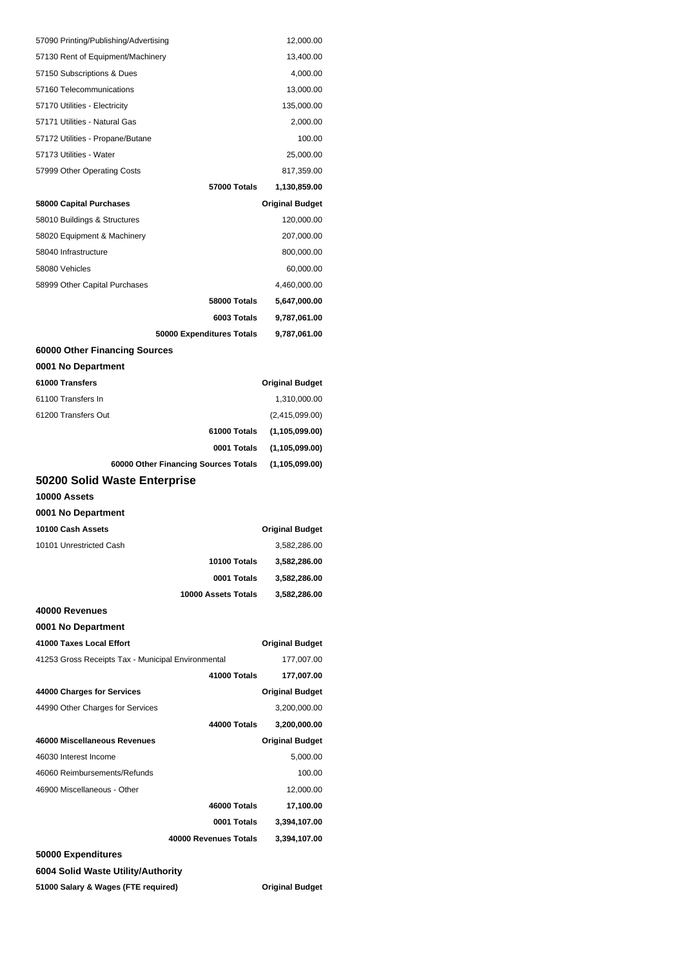| 57090 Printing/Publishing/Advertising              | 12,000.00              |
|----------------------------------------------------|------------------------|
| 57130 Rent of Equipment/Machinery                  | 13,400.00              |
| 57150 Subscriptions & Dues                         | 4,000.00               |
| 57160 Telecommunications                           | 13,000.00              |
| 57170 Utilities - Electricity                      | 135,000.00             |
| 57171 Utilities - Natural Gas                      | 2,000.00               |
| 57172 Utilities - Propane/Butane                   | 100.00                 |
| 57173 Utilities - Water                            | 25,000.00              |
| 57999 Other Operating Costs                        | 817,359.00             |
| 57000 Totals                                       | 1,130,859.00           |
| 58000 Capital Purchases                            | <b>Original Budget</b> |
| 58010 Buildings & Structures                       | 120,000.00             |
| 58020 Equipment & Machinery                        | 207,000.00             |
| 58040 Infrastructure                               | 800,000.00             |
| 58080 Vehicles                                     | 60,000.00              |
| 58999 Other Capital Purchases                      | 4,460,000.00           |
| 58000 Totals                                       | 5,647,000.00           |
| 6003 Totals                                        | 9,787,061.00           |
| 50000 Expenditures Totals                          | 9,787,061.00           |
| 60000 Other Financing Sources                      |                        |
| 0001 No Department                                 |                        |
| 61000 Transfers                                    | <b>Original Budget</b> |
| 61100 Transfers In                                 | 1,310,000.00           |
| 61200 Transfers Out                                | (2,415,099.00)         |
| 61000 Totals                                       | (1, 105, 099.00)       |
| 0001 Totals                                        | (1, 105, 099.00)       |
|                                                    |                        |
| 60000 Other Financing Sources Totals               | (1, 105, 099.00)       |
| 50200 Solid Waste Enterprise                       |                        |
| 10000 Assets                                       |                        |
| 0001 No Department                                 |                        |
| 10100 Cash Assets                                  | <b>Original Budget</b> |
| 10101 Unrestricted Cash                            | 3,582,286.00           |
| 10100 Totals                                       | 3,582,286.00           |
| 0001 Totals                                        | 3,582,286.00           |
| 10000 Assets Totals                                | 3,582,286.00           |
| 40000 Revenues                                     |                        |
| 0001 No Department                                 |                        |
| 41000 Taxes Local Effort                           | <b>Original Budget</b> |
| 41253 Gross Receipts Tax - Municipal Environmental | 177,007.00             |
| 41000 Totals                                       | 177,007.00             |
| 44000 Charges for Services                         | <b>Original Budget</b> |
| 44990 Other Charges for Services                   | 3,200,000.00           |
| 44000 Totals                                       | 3,200,000.00           |
| 46000 Miscellaneous Revenues                       | <b>Original Budget</b> |
| 46030 Interest Income                              | 5,000.00               |
| 46060 Reimbursements/Refunds                       | 100.00                 |
| 46900 Miscellaneous - Other                        | 12,000.00              |
| 46000 Totals                                       | 17,100.00              |
| 0001 Totals                                        | 3,394,107.00           |
| 40000 Revenues Totals                              | 3,394,107.00           |
| 50000 Expenditures                                 |                        |
| 6004 Solid Waste Utility/Authority                 |                        |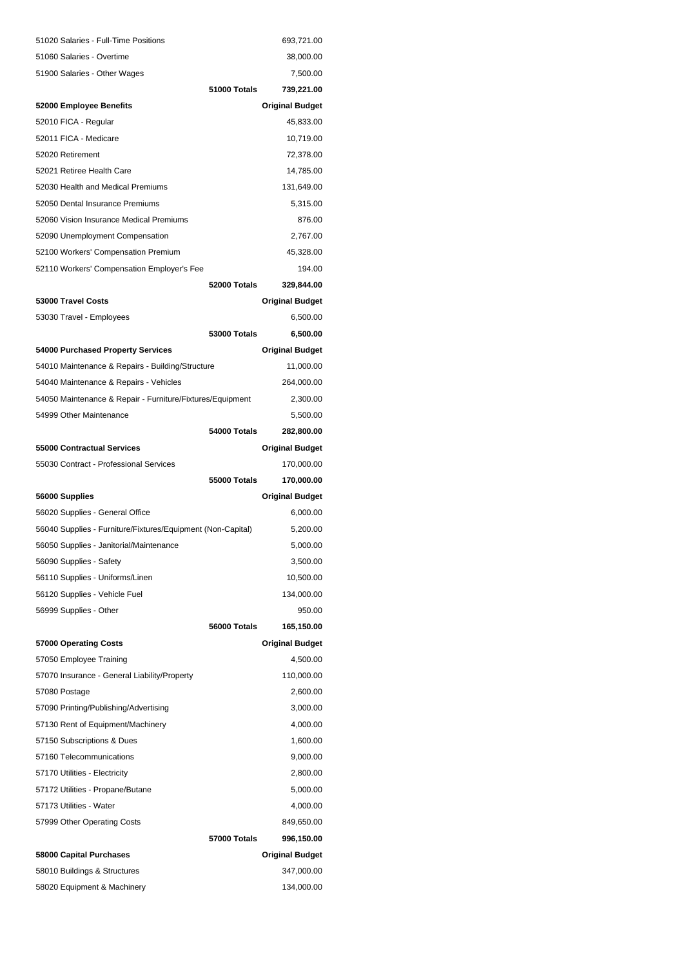| 51020 Salaries - Full-Time Positions                        |              | 693,721.00             |
|-------------------------------------------------------------|--------------|------------------------|
| 51060 Salaries - Overtime                                   |              | 38,000.00              |
| 51900 Salaries - Other Wages                                |              | 7,500.00               |
|                                                             | 51000 Totals | 739,221.00             |
| 52000 Employee Benefits                                     |              | <b>Original Budget</b> |
| 52010 FICA - Regular                                        |              | 45,833.00              |
| 52011 FICA - Medicare                                       |              | 10,719.00              |
| 52020 Retirement                                            |              | 72,378.00              |
| 52021 Retiree Health Care                                   |              | 14,785.00              |
| 52030 Health and Medical Premiums                           |              | 131,649.00             |
| 52050 Dental Insurance Premiums                             |              | 5,315.00               |
| 52060 Vision Insurance Medical Premiums                     |              | 876.00                 |
| 52090 Unemployment Compensation                             |              | 2,767.00               |
| 52100 Workers' Compensation Premium                         |              | 45,328.00              |
| 52110 Workers' Compensation Employer's Fee                  |              | 194.00                 |
|                                                             | 52000 Totals | 329,844.00             |
| 53000 Travel Costs                                          |              | <b>Original Budget</b> |
| 53030 Travel - Employees                                    |              | 6,500.00               |
|                                                             | 53000 Totals | 6,500.00               |
| 54000 Purchased Property Services                           |              | <b>Original Budget</b> |
| 54010 Maintenance & Repairs - Building/Structure            |              | 11,000.00              |
| 54040 Maintenance & Repairs - Vehicles                      |              | 264,000.00             |
| 54050 Maintenance & Repair - Furniture/Fixtures/Equipment   |              | 2,300.00               |
| 54999 Other Maintenance                                     |              | 5,500.00               |
|                                                             | 54000 Totals | 282,800.00             |
| 55000 Contractual Services                                  |              | <b>Original Budget</b> |
|                                                             |              |                        |
| 55030 Contract - Professional Services                      |              | 170,000.00             |
|                                                             | 55000 Totals | 170,000.00             |
| 56000 Supplies                                              |              | <b>Original Budget</b> |
| 56020 Supplies - General Office                             |              | 6,000.00               |
| 56040 Supplies - Furniture/Fixtures/Equipment (Non-Capital) |              | 5,200.00               |
| 56050 Supplies - Janitorial/Maintenance                     |              | 5,000.00               |
| 56090 Supplies - Safety                                     |              | 3,500.00               |
| 56110 Supplies - Uniforms/Linen                             |              | 10,500.00              |
| 56120 Supplies - Vehicle Fuel                               |              | 134,000.00             |
| 56999 Supplies - Other                                      |              | 950.00                 |
|                                                             | 56000 Totals | 165,150.00             |
| 57000 Operating Costs                                       |              | <b>Original Budget</b> |
| 57050 Employee Training                                     |              | 4,500.00               |
| 57070 Insurance - General Liability/Property                |              | 110,000.00             |
| 57080 Postage                                               |              | 2,600.00               |
| 57090 Printing/Publishing/Advertising                       |              | 3,000.00               |
| 57130 Rent of Equipment/Machinery                           |              | 4,000.00               |
| 57150 Subscriptions & Dues                                  |              | 1,600.00               |
| 57160 Telecommunications                                    |              | 9,000.00               |
| 57170 Utilities - Electricity                               |              | 2,800.00               |
| 57172 Utilities - Propane/Butane                            |              | 5,000.00               |
| 57173 Utilities - Water                                     |              | 4,000.00               |
| 57999 Other Operating Costs                                 |              | 849,650.00             |
|                                                             | 57000 Totals | 996,150.00             |
| 58000 Capital Purchases                                     |              | <b>Original Budget</b> |
| 58010 Buildings & Structures                                |              | 347,000.00             |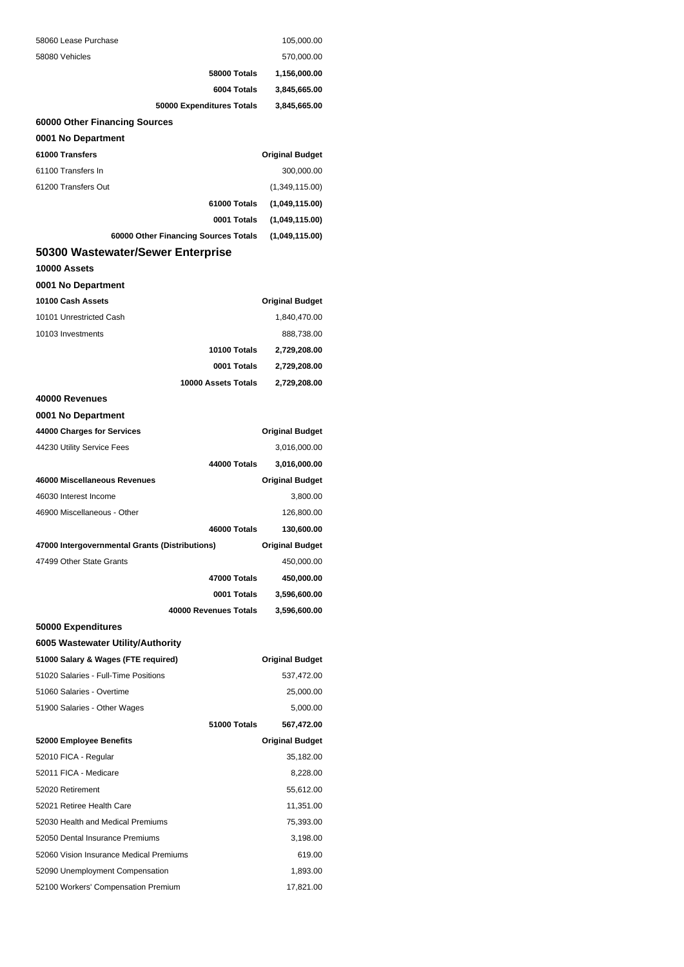| 58060 Lease Purchase                           |                           | 105,000.00             |
|------------------------------------------------|---------------------------|------------------------|
| 58080 Vehicles                                 |                           | 570,000.00             |
|                                                | 58000 Totals              | 1,156,000.00           |
|                                                | 6004 Totals               | 3,845,665.00           |
|                                                | 50000 Expenditures Totals | 3,845,665.00           |
| 60000 Other Financing Sources                  |                           |                        |
| 0001 No Department                             |                           |                        |
| 61000 Transfers                                |                           | <b>Original Budget</b> |
| 61100 Transfers In                             |                           | 300,000.00             |
| 61200 Transfers Out                            |                           | (1,349,115.00)         |
|                                                | 61000 Totals              | (1,049,115.00)         |
|                                                | 0001 Totals               | (1,049,115.00)         |
| 60000 Other Financing Sources Totals           |                           | (1,049,115.00)         |
| 50300 Wastewater/Sewer Enterprise              |                           |                        |
| 10000 Assets                                   |                           |                        |
| 0001 No Department                             |                           |                        |
| 10100 Cash Assets                              |                           | <b>Original Budget</b> |
| 10101 Unrestricted Cash                        |                           | 1,840,470.00           |
| 10103 Investments                              |                           | 888,738.00             |
|                                                | 10100 Totals              | 2,729,208.00           |
|                                                | 0001 Totals               | 2,729,208.00           |
|                                                | 10000 Assets Totals       | 2,729,208.00           |
| 40000 Revenues                                 |                           |                        |
| 0001 No Department                             |                           |                        |
| 44000 Charges for Services                     |                           | <b>Original Budget</b> |
| 44230 Utility Service Fees                     |                           | 3,016,000.00           |
|                                                | 44000 Totals              | 3,016,000.00           |
| 46000 Miscellaneous Revenues                   |                           | <b>Original Budget</b> |
| 46030 Interest Income                          |                           | 3,800.00               |
| 46900 Miscellaneous - Other                    |                           | 126,800.00             |
|                                                | 46000 Totals              | 130,600.00             |
| 47000 Intergovernmental Grants (Distributions) |                           | <b>Original Budget</b> |
| 47499 Other State Grants                       |                           | 450,000.00             |
|                                                | 47000 Totals              | 450,000.00             |
|                                                | 0001 Totals               | 3,596,600.00           |
|                                                | 40000 Revenues Totals     | 3,596,600.00           |
| 50000 Expenditures                             |                           |                        |
| 6005 Wastewater Utility/Authority              |                           |                        |
| 51000 Salary & Wages (FTE required)            |                           | <b>Original Budget</b> |
| 51020 Salaries - Full-Time Positions           |                           | 537,472.00             |
| 51060 Salaries - Overtime                      |                           | 25,000.00              |
| 51900 Salaries - Other Wages                   |                           | 5,000.00               |
|                                                | 51000 Totals              | 567,472.00             |
| 52000 Employee Benefits                        |                           | <b>Original Budget</b> |
| 52010 FICA - Regular                           |                           | 35,182.00              |
| 52011 FICA - Medicare                          |                           | 8,228.00               |
| 52020 Retirement                               |                           | 55,612.00              |
| 52021 Retiree Health Care                      |                           | 11,351.00              |
| 52030 Health and Medical Premiums              |                           | 75,393.00              |
| 52050 Dental Insurance Premiums                |                           | 3,198.00               |
| 52060 Vision Insurance Medical Premiums        |                           | 619.00                 |
| 52090 Unemployment Compensation                |                           | 1,893.00               |
| 52100 Workers' Compensation Premium            |                           | 17,821.00              |
|                                                |                           |                        |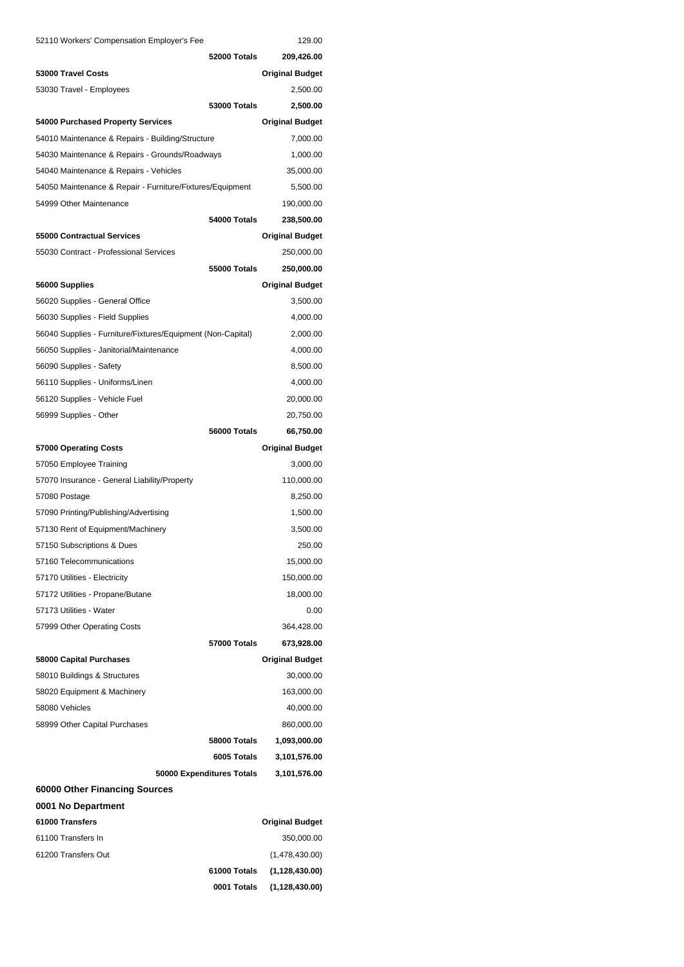| 52110 Workers' Compensation Employer's Fee                  |                           | 129.00                 |
|-------------------------------------------------------------|---------------------------|------------------------|
|                                                             | 52000 Totals              | 209,426.00             |
| 53000 Travel Costs                                          |                           | <b>Original Budget</b> |
| 53030 Travel - Employees                                    |                           | 2,500.00               |
|                                                             | <b>53000 Totals</b>       | 2,500.00               |
| 54000 Purchased Property Services                           |                           | <b>Original Budget</b> |
| 54010 Maintenance & Repairs - Building/Structure            |                           | 7,000.00               |
| 54030 Maintenance & Repairs - Grounds/Roadways              |                           | 1,000.00               |
| 54040 Maintenance & Repairs - Vehicles                      |                           | 35,000.00              |
| 54050 Maintenance & Repair - Furniture/Fixtures/Equipment   |                           | 5,500.00               |
| 54999 Other Maintenance                                     |                           | 190,000.00             |
|                                                             | 54000 Totals              | 238,500.00             |
| 55000 Contractual Services                                  |                           | <b>Original Budget</b> |
| 55030 Contract - Professional Services                      |                           | 250,000.00             |
|                                                             | 55000 Totals              | 250,000.00             |
| 56000 Supplies                                              |                           | <b>Original Budget</b> |
| 56020 Supplies - General Office                             |                           | 3,500.00               |
| 56030 Supplies - Field Supplies                             |                           | 4,000.00               |
| 56040 Supplies - Furniture/Fixtures/Equipment (Non-Capital) |                           | 2,000.00               |
| 56050 Supplies - Janitorial/Maintenance                     |                           | 4,000.00               |
| 56090 Supplies - Safety                                     |                           | 8,500.00               |
| 56110 Supplies - Uniforms/Linen                             |                           | 4,000.00               |
| 56120 Supplies - Vehicle Fuel                               |                           | 20,000.00              |
| 56999 Supplies - Other                                      |                           | 20,750.00              |
|                                                             | 56000 Totals              | 66,750.00              |
| 57000 Operating Costs                                       |                           | <b>Original Budget</b> |
| 57050 Employee Training                                     |                           | 3,000.00               |
| 57070 Insurance - General Liability/Property                |                           | 110,000.00             |
| 57080 Postage                                               |                           | 8,250.00               |
| 57090 Printing/Publishing/Advertising                       |                           | 1,500.00               |
| 57130 Rent of Equipment/Machinery                           |                           | 3,500.00               |
| 57150 Subscriptions & Dues                                  |                           | 250.00                 |
| 57160 Telecommunications                                    |                           | 15,000.00              |
| 57170 Utilities - Electricity                               |                           | 150,000.00             |
| 57172 Utilities - Propane/Butane                            |                           | 18,000.00              |
| 57173 Utilities - Water                                     |                           | 0.00                   |
| 57999 Other Operating Costs                                 |                           | 364,428.00             |
|                                                             | 57000 Totals              | 673,928.00             |
| 58000 Capital Purchases                                     |                           | <b>Original Budget</b> |
| 58010 Buildings & Structures                                |                           | 30,000.00              |
| 58020 Equipment & Machinery                                 |                           | 163,000.00             |
| 58080 Vehicles                                              |                           |                        |
|                                                             |                           | 40,000.00              |
| 58999 Other Capital Purchases                               |                           | 860,000.00             |
|                                                             | <b>58000 Totals</b>       | 1,093,000.00           |
|                                                             | 6005 Totals               | 3,101,576.00           |
|                                                             | 50000 Expenditures Totals | 3,101,576.00           |
| 60000 Other Financing Sources                               |                           |                        |
| 0001 No Department<br>61000 Transfers                       |                           |                        |
|                                                             |                           | <b>Original Budget</b> |
| 61100 Transfers In                                          |                           | 350,000.00             |
| 61200 Transfers Out                                         |                           | (1,478,430.00)         |
|                                                             | 61000 Totals              | (1, 128, 430.00)       |
|                                                             | 0001 Totals               | (1, 128, 430.00)       |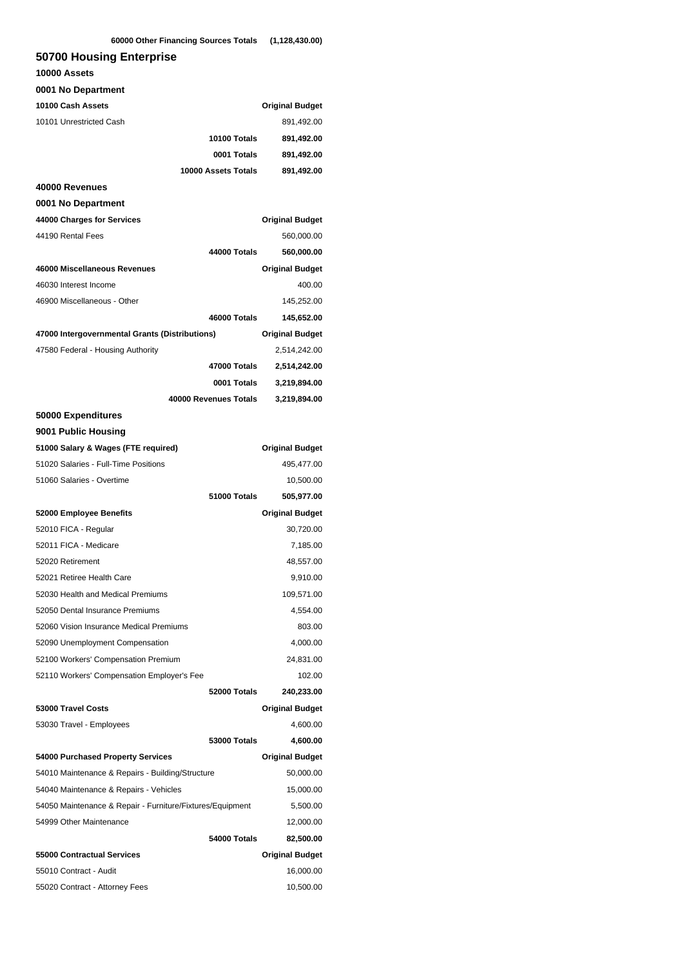### **50700 Housing Enterprise**

| 10000 Assets                                              |                       |                        |
|-----------------------------------------------------------|-----------------------|------------------------|
| 0001 No Department                                        |                       |                        |
| 10100 Cash Assets                                         |                       | <b>Original Budget</b> |
| 10101 Unrestricted Cash                                   |                       | 891,492.00             |
|                                                           | 10100 Totals          | 891,492.00             |
|                                                           | 0001 Totals           | 891,492.00             |
|                                                           | 10000 Assets Totals   | 891,492.00             |
| 40000 Revenues                                            |                       |                        |
| 0001 No Department                                        |                       |                        |
| 44000 Charges for Services                                |                       | <b>Original Budget</b> |
| 44190 Rental Fees                                         |                       | 560,000.00             |
|                                                           | 44000 Totals          | 560,000.00             |
| 46000 Miscellaneous Revenues                              |                       | <b>Original Budget</b> |
| 46030 Interest Income                                     |                       | 400.00                 |
| 46900 Miscellaneous - Other                               |                       | 145,252.00             |
|                                                           | 46000 Totals          | 145,652.00             |
| 47000 Intergovernmental Grants (Distributions)            |                       | <b>Original Budget</b> |
| 47580 Federal - Housing Authority                         |                       | 2,514,242.00           |
|                                                           | 47000 Totals          | 2,514,242.00           |
|                                                           | 0001 Totals           | 3,219,894.00           |
|                                                           | 40000 Revenues Totals | 3,219,894.00           |
| 50000 Expenditures                                        |                       |                        |
| 9001 Public Housing                                       |                       |                        |
| 51000 Salary & Wages (FTE required)                       |                       | <b>Original Budget</b> |
| 51020 Salaries - Full-Time Positions                      |                       | 495,477.00             |
| 51060 Salaries - Overtime                                 |                       | 10,500.00              |
|                                                           | 51000 Totals          | 505,977.00             |
| 52000 Employee Benefits                                   |                       | <b>Original Budget</b> |
| 52010 FICA - Regular                                      |                       | 30,720.00              |
| 52011 FICA - Medicare                                     |                       | 7,185.00               |
| 52020 Retirement                                          |                       | 48,557.00              |
| 52021 Retiree Health Care                                 |                       | 9,910.00               |
| 52030 Health and Medical Premiums                         |                       | 109,571.00             |
| 52050 Dental Insurance Premiums                           |                       | 4,554.00               |
| 52060 Vision Insurance Medical Premiums                   |                       | 803.00                 |
| 52090 Unemployment Compensation                           |                       | 4,000.00               |
| 52100 Workers' Compensation Premium                       |                       | 24,831.00              |
| 52110 Workers' Compensation Employer's Fee                |                       | 102.00                 |
|                                                           | 52000 Totals          | 240,233.00             |
| 53000 Travel Costs                                        |                       | <b>Original Budget</b> |
| 53030 Travel - Employees                                  |                       | 4,600.00               |
|                                                           | <b>53000 Totals</b>   | 4,600.00               |
| 54000 Purchased Property Services                         |                       | <b>Original Budget</b> |
| 54010 Maintenance & Repairs - Building/Structure          |                       | 50,000.00              |
| 54040 Maintenance & Repairs - Vehicles                    |                       | 15,000.00              |
| 54050 Maintenance & Repair - Furniture/Fixtures/Equipment |                       | 5,500.00               |
| 54999 Other Maintenance                                   |                       | 12,000.00              |
|                                                           | 54000 Totals          | 82,500.00              |
| <b>55000 Contractual Services</b>                         |                       | <b>Original Budget</b> |
| 55010 Contract - Audit                                    |                       | 16,000.00              |
| 55020 Contract - Attorney Fees                            |                       | 10,500.00              |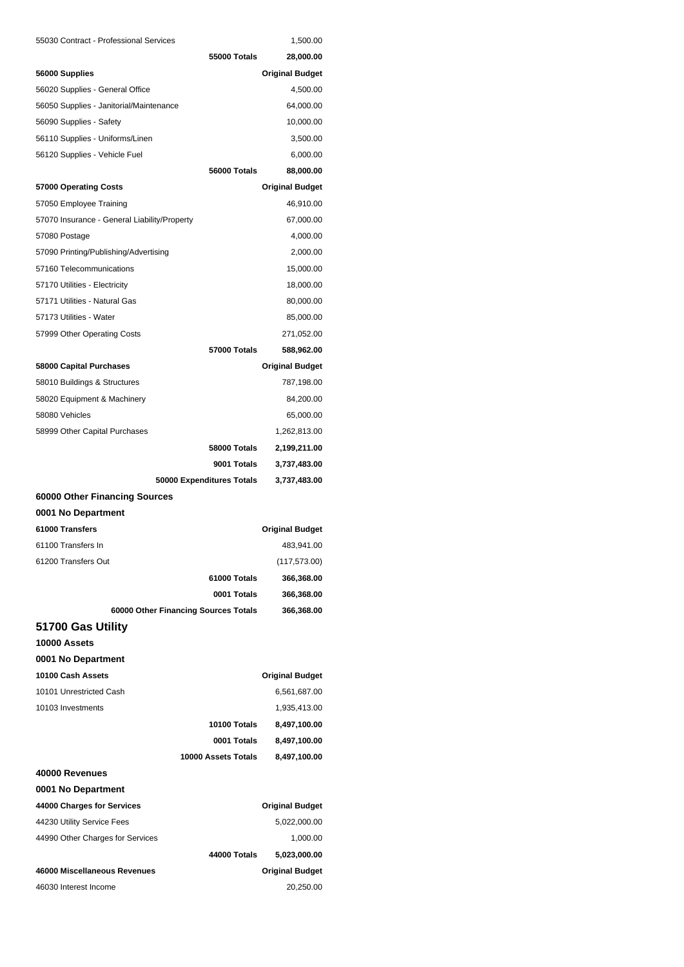| 55030 Contract - Professional Services       |                           | 1,500.00               |
|----------------------------------------------|---------------------------|------------------------|
|                                              | 55000 Totals              | 28,000.00              |
| 56000 Supplies                               |                           | <b>Original Budget</b> |
| 56020 Supplies - General Office              |                           | 4,500.00               |
| 56050 Supplies - Janitorial/Maintenance      |                           | 64,000.00              |
| 56090 Supplies - Safety                      |                           | 10,000.00              |
| 56110 Supplies - Uniforms/Linen              |                           | 3,500.00               |
| 56120 Supplies - Vehicle Fuel                |                           | 6,000.00               |
|                                              | 56000 Totals              | 88,000.00              |
| 57000 Operating Costs                        |                           | <b>Original Budget</b> |
| 57050 Employee Training                      |                           | 46,910.00              |
| 57070 Insurance - General Liability/Property |                           | 67,000.00              |
| 57080 Postage                                |                           | 4,000.00               |
| 57090 Printing/Publishing/Advertising        |                           | 2,000.00               |
| 57160 Telecommunications                     |                           | 15,000.00              |
| 57170 Utilities - Electricity                |                           | 18,000.00              |
| 57171 Utilities - Natural Gas                |                           | 80,000.00              |
| 57173 Utilities - Water                      |                           | 85,000.00              |
| 57999 Other Operating Costs                  |                           | 271,052.00             |
|                                              | <b>57000 Totals</b>       | 588,962.00             |
| 58000 Capital Purchases                      |                           | <b>Original Budget</b> |
| 58010 Buildings & Structures                 |                           | 787,198.00             |
| 58020 Equipment & Machinery                  |                           | 84,200.00              |
| 58080 Vehicles                               |                           | 65,000.00              |
| 58999 Other Capital Purchases                |                           | 1,262,813.00           |
|                                              | 58000 Totals              | 2,199,211.00           |
|                                              | 9001 Totals               | 3,737,483.00           |
|                                              | 50000 Expenditures Totals | 3,737,483.00           |
| 60000 Other Financing Sources                |                           |                        |
| 0001 No Department                           |                           |                        |
| 61000 Transfers                              |                           | <b>Original Budget</b> |
| 61100 Transfers In                           |                           | 483,941.00             |
| 61200 Transfers Out                          |                           | (117, 573.00)          |
|                                              | 61000 Totals              | 366,368.00             |
|                                              | 0001 Totals               | 366,368.00             |
| 60000 Other Financing Sources Totals         |                           | 366,368.00             |
| 51700 Gas Utility                            |                           |                        |
| 10000 Assets                                 |                           |                        |
| 0001 No Department                           |                           |                        |
| 10100 Cash Assets                            |                           | <b>Original Budget</b> |
| 10101 Unrestricted Cash                      |                           | 6,561,687.00           |

| 10103 Investments                |                     | 1,935,413.00           |
|----------------------------------|---------------------|------------------------|
|                                  | 10100 Totals        | 8,497,100.00           |
|                                  | 0001 Totals         | 8,497,100.00           |
|                                  | 10000 Assets Totals | 8,497,100.00           |
| 40000 Revenues                   |                     |                        |
| 0001 No Department               |                     |                        |
| 44000 Charges for Services       |                     | <b>Original Budget</b> |
| 44230 Utility Service Fees       |                     | 5,022,000.00           |
| 44990 Other Charges for Services |                     | 1,000.00               |
|                                  | 44000 Totals        | 5,023,000.00           |
| 46000 Miscellaneous Revenues     |                     | <b>Original Budget</b> |
| 46030 Interest Income            |                     | 20,250.00              |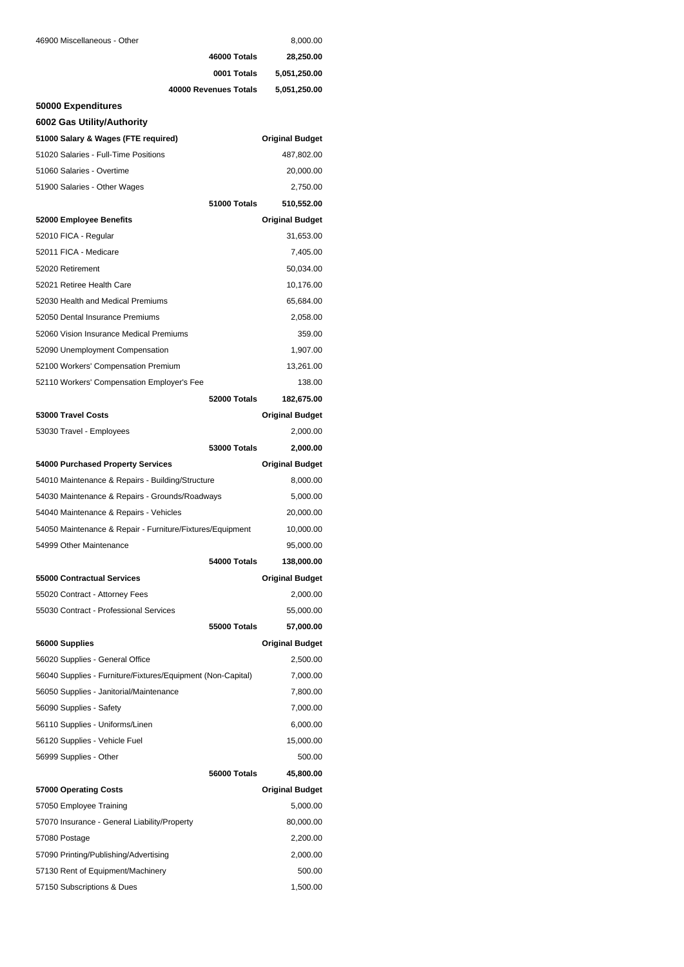| 46900 Miscellaneous - Other                                 |                       | 8,000.00               |
|-------------------------------------------------------------|-----------------------|------------------------|
|                                                             | 46000 Totals          | 28,250.00              |
|                                                             | 0001 Totals           | 5,051,250.00           |
|                                                             | 40000 Revenues Totals | 5,051,250.00           |
| 50000 Expenditures                                          |                       |                        |
| 6002 Gas Utility/Authority                                  |                       |                        |
| 51000 Salary & Wages (FTE required)                         |                       | <b>Original Budget</b> |
| 51020 Salaries - Full-Time Positions                        |                       | 487,802.00             |
| 51060 Salaries - Overtime                                   |                       | 20,000.00              |
| 51900 Salaries - Other Wages                                |                       | 2,750.00               |
|                                                             | 51000 Totals          | 510,552.00             |
| 52000 Employee Benefits                                     |                       | <b>Original Budget</b> |
| 52010 FICA - Regular                                        |                       | 31,653.00              |
| 52011 FICA - Medicare                                       |                       | 7,405.00               |
| 52020 Retirement                                            |                       | 50,034.00              |
| 52021 Retiree Health Care                                   |                       | 10,176.00              |
| 52030 Health and Medical Premiums                           |                       | 65,684.00              |
| 52050 Dental Insurance Premiums                             |                       | 2,058.00               |
| 52060 Vision Insurance Medical Premiums                     |                       | 359.00                 |
| 52090 Unemployment Compensation                             |                       | 1,907.00               |
| 52100 Workers' Compensation Premium                         |                       | 13,261.00              |
| 52110 Workers' Compensation Employer's Fee                  |                       | 138.00                 |
|                                                             | 52000 Totals          | 182,675.00             |
| 53000 Travel Costs                                          |                       | <b>Original Budget</b> |
| 53030 Travel - Employees                                    |                       | 2,000.00               |
|                                                             | <b>53000 Totals</b>   | 2,000.00               |
| 54000 Purchased Property Services                           |                       | <b>Original Budget</b> |
| 54010 Maintenance & Repairs - Building/Structure            |                       | 8,000.00               |
| 54030 Maintenance & Repairs - Grounds/Roadways              |                       | 5,000.00               |
| 54040 Maintenance & Repairs - Vehicles                      |                       | 20,000.00              |
| 54050 Maintenance & Repair - Furniture/Fixtures/Equipment   |                       | 10,000.00              |
| 54999 Other Maintenance                                     |                       | 95,000.00              |
|                                                             | 54000 Totals          | 138,000.00             |
| 55000 Contractual Services                                  |                       | <b>Original Budget</b> |
| 55020 Contract - Attorney Fees                              |                       | 2,000.00               |
| 55030 Contract - Professional Services                      |                       | 55,000.00              |
|                                                             | <b>55000 Totals</b>   | 57,000.00              |
| 56000 Supplies                                              |                       | <b>Original Budget</b> |
| 56020 Supplies - General Office                             |                       | 2,500.00               |
| 56040 Supplies - Furniture/Fixtures/Equipment (Non-Capital) |                       | 7,000.00               |
| 56050 Supplies - Janitorial/Maintenance                     |                       | 7,800.00               |
| 56090 Supplies - Safety                                     |                       | 7,000.00               |
| 56110 Supplies - Uniforms/Linen                             |                       | 6,000.00               |
| 56120 Supplies - Vehicle Fuel                               |                       | 15,000.00              |
| 56999 Supplies - Other                                      |                       | 500.00                 |
|                                                             | 56000 Totals          | 45,800.00              |
| 57000 Operating Costs                                       |                       | <b>Original Budget</b> |
| 57050 Employee Training                                     |                       | 5,000.00               |
| 57070 Insurance - General Liability/Property                |                       | 80,000.00              |
| 57080 Postage                                               |                       | 2,200.00               |
| 57090 Printing/Publishing/Advertising                       |                       | 2,000.00               |
| 57130 Rent of Equipment/Machinery                           |                       | 500.00                 |
| 57150 Subscriptions & Dues                                  |                       | 1,500.00               |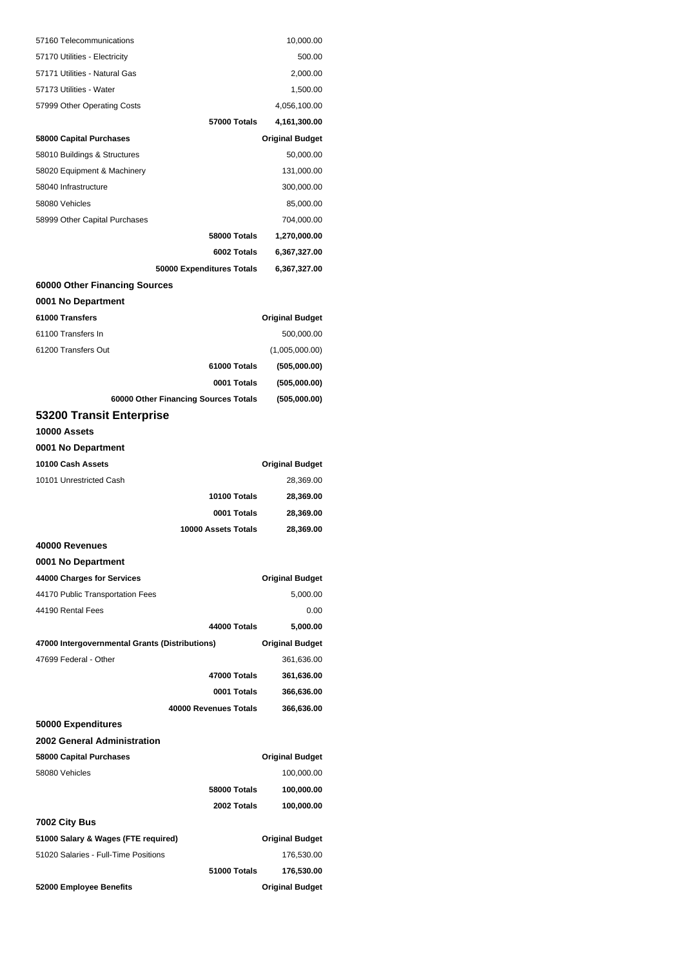| 57160 Telecommunications                       | 10,000.00              |
|------------------------------------------------|------------------------|
| 57170 Utilities - Electricity                  | 500.00                 |
| 57171 Utilities - Natural Gas                  | 2,000.00               |
| 57173 Utilities - Water                        | 1,500.00               |
| 57999 Other Operating Costs                    | 4,056,100.00           |
| <b>57000 Totals</b>                            | 4,161,300.00           |
| 58000 Capital Purchases                        | <b>Original Budget</b> |
| 58010 Buildings & Structures                   | 50,000.00              |
| 58020 Equipment & Machinery                    | 131,000.00             |
| 58040 Infrastructure                           | 300,000.00             |
| 58080 Vehicles                                 | 85,000.00              |
| 58999 Other Capital Purchases                  | 704,000.00             |
| 58000 Totals                                   | 1,270,000.00           |
| 6002 Totals                                    | 6,367,327.00           |
| 50000 Expenditures Totals                      | 6,367,327.00           |
| 60000 Other Financing Sources                  |                        |
| 0001 No Department                             |                        |
| 61000 Transfers                                | <b>Original Budget</b> |
| 61100 Transfers In                             | 500,000.00             |
| 61200 Transfers Out                            | (1,005,000.00)         |
| 61000 Totals                                   | (505,000.00)           |
| 0001 Totals                                    | (505,000.00)           |
| 60000 Other Financing Sources Totals           | (505,000.00)           |
| 53200 Transit Enterprise                       |                        |
| 10000 Assets                                   |                        |
| 0001 No Department                             |                        |
| 10100 Cash Assets                              | <b>Original Budget</b> |
| 10101 Unrestricted Cash                        | 28,369.00              |
| 10100 Totals                                   | 28,369.00              |
| 0001 Totals                                    | 28,369.00              |
| 10000 Assets Totals                            | 28,369.00              |
| 40000 Revenues                                 |                        |
| 0001 No Department                             |                        |
| 44000 Charges for Services                     | <b>Original Budget</b> |
| 44170 Public Transportation Fees               | 5,000.00               |
| 44190 Rental Fees                              | 0.00                   |
| 44000 Totals                                   | 5,000.00               |
| 47000 Intergovernmental Grants (Distributions) | <b>Original Budget</b> |
| 47699 Federal - Other                          | 361,636.00             |
| 47000 Totals                                   | 361,636.00             |
| 0001 Totals                                    | 366,636.00             |
| 40000 Revenues Totals                          | 366,636.00             |
| 50000 Expenditures                             |                        |
| 2002 General Administration                    |                        |
| 58000 Capital Purchases                        | <b>Original Budget</b> |
| 58080 Vehicles                                 | 100,000.00             |
| 58000 Totals                                   | 100,000.00             |
| 2002 Totals                                    | 100,000.00             |
| 7002 City Bus                                  |                        |
| 51000 Salary & Wages (FTE required)            | <b>Original Budget</b> |
| 51020 Salaries - Full-Time Positions           | 176,530.00             |
| 51000 Totals                                   | 176,530.00             |
| 52000 Employee Benefits                        | <b>Original Budget</b> |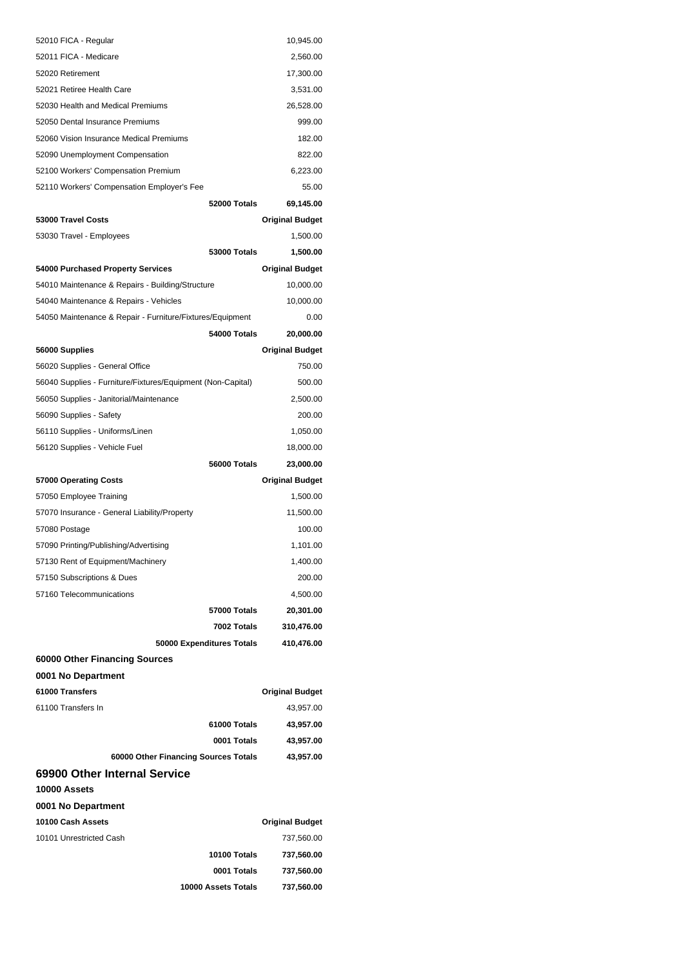| 52010 FICA - Regular                                        | 10,945.00              |
|-------------------------------------------------------------|------------------------|
| 52011 FICA - Medicare                                       | 2,560.00               |
| 52020 Retirement                                            | 17,300.00              |
| 52021 Retiree Health Care                                   | 3,531.00               |
| 52030 Health and Medical Premiums                           | 26,528.00              |
| 52050 Dental Insurance Premiums                             | 999.00                 |
| 52060 Vision Insurance Medical Premiums                     | 182.00                 |
| 52090 Unemployment Compensation                             | 822.00                 |
| 52100 Workers' Compensation Premium                         | 6,223.00               |
| 52110 Workers' Compensation Employer's Fee                  | 55.00                  |
| 52000 Totals                                                | 69,145.00              |
| 53000 Travel Costs                                          | <b>Original Budget</b> |
| 53030 Travel - Employees                                    | 1,500.00               |
| <b>53000 Totals</b>                                         | 1,500.00               |
| 54000 Purchased Property Services                           | <b>Original Budget</b> |
| 54010 Maintenance & Repairs - Building/Structure            | 10,000.00              |
| 54040 Maintenance & Repairs - Vehicles                      | 10,000.00              |
| 54050 Maintenance & Repair - Furniture/Fixtures/Equipment   | 0.00                   |
| 54000 Totals                                                | 20,000.00              |
| 56000 Supplies                                              | <b>Original Budget</b> |
| 56020 Supplies - General Office                             | 750.00                 |
| 56040 Supplies - Furniture/Fixtures/Equipment (Non-Capital) | 500.00                 |
| 56050 Supplies - Janitorial/Maintenance                     | 2,500.00               |
| 56090 Supplies - Safety                                     | 200.00                 |
| 56110 Supplies - Uniforms/Linen                             | 1,050.00               |
| 56120 Supplies - Vehicle Fuel                               | 18,000.00              |
| 56000 Totals                                                | 23,000.00              |
| 57000 Operating Costs                                       | <b>Original Budget</b> |
| 57050 Employee Training                                     | 1,500.00               |
| 57070 Insurance - General Liability/Property                | 11,500.00              |
| 57080 Postage                                               | 100.00                 |
| 57090 Printing/Publishing/Advertising                       | 1,101.00               |
| 57130 Rent of Equipment/Machinery                           | 1,400.00               |
| 57150 Subscriptions & Dues                                  | 200.00                 |
| 57160 Telecommunications                                    | 4,500.00               |
| 57000 Totals                                                | 20,301.00              |
| 7002 Totals                                                 | 310,476.00             |
| 50000 Expenditures Totals                                   | 410,476.00             |
| 60000 Other Financing Sources                               |                        |
| 0001 No Department                                          |                        |
| 61000 Transfers                                             | <b>Original Budget</b> |
| 61100 Transfers In                                          | 43,957.00              |
| 61000 Totals                                                | 43,957.00              |
| 0001 Totals                                                 | 43,957.00              |
|                                                             |                        |
| 60000 Other Financing Sources Totals                        | 43,957.00              |
| 69900 Other Internal Service<br>10000 Assets                |                        |
| 0001 No Department                                          |                        |
| 10100 Cash Assets                                           | <b>Original Budget</b> |
| 10101 Unrestricted Cash                                     | 737,560.00             |
| <b>10100 Totals</b>                                         | 737,560.00             |
| 0001 Totals                                                 | 737,560.00             |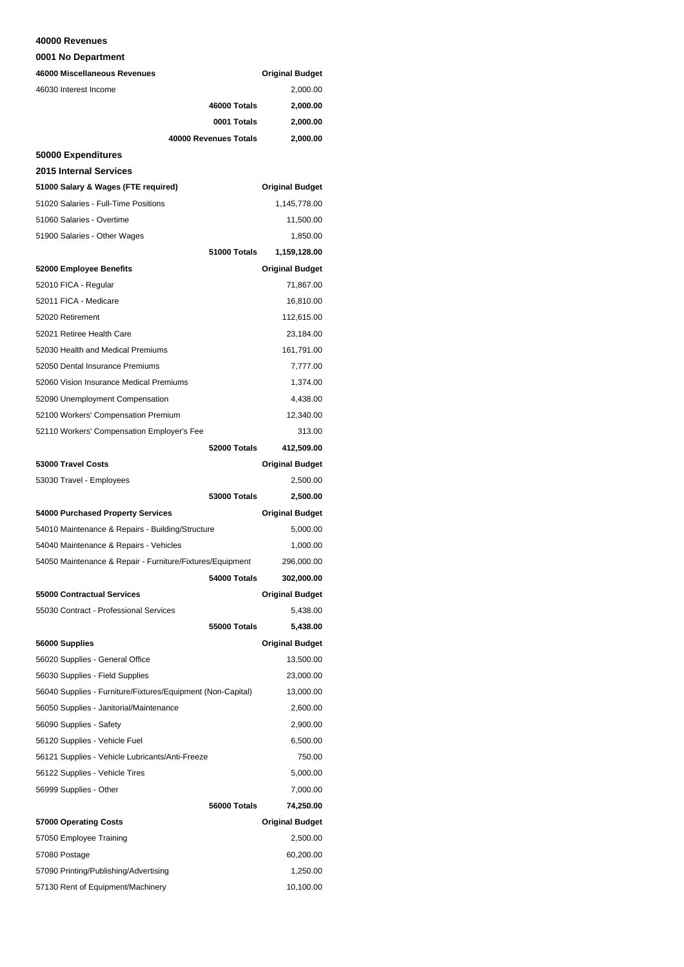#### **40000 Revenues**

**0001 No Department**

| 46000 Miscellaneous Revenues                                |                       | <b>Original Budget</b> |
|-------------------------------------------------------------|-----------------------|------------------------|
| 46030 Interest Income                                       |                       | 2,000.00               |
|                                                             | 46000 Totals          | 2,000.00               |
|                                                             | 0001 Totals           | 2,000.00               |
|                                                             | 40000 Revenues Totals | 2,000.00               |
| 50000 Expenditures                                          |                       |                        |
| <b>2015 Internal Services</b>                               |                       |                        |
| 51000 Salary & Wages (FTE required)                         |                       | <b>Original Budget</b> |
| 51020 Salaries - Full-Time Positions                        |                       | 1,145,778.00           |
| 51060 Salaries - Overtime                                   |                       | 11,500.00              |
| 51900 Salaries - Other Wages                                |                       | 1,850.00               |
|                                                             | 51000 Totals          | 1,159,128.00           |
| 52000 Employee Benefits                                     |                       | <b>Original Budget</b> |
| 52010 FICA - Regular                                        |                       | 71,867.00              |
| 52011 FICA - Medicare                                       |                       | 16,810.00              |
| 52020 Retirement                                            |                       | 112,615.00             |
| 52021 Retiree Health Care                                   |                       | 23,184.00              |
| 52030 Health and Medical Premiums                           |                       | 161,791.00             |
| 52050 Dental Insurance Premiums                             |                       | 7,777.00               |
| 52060 Vision Insurance Medical Premiums                     |                       | 1,374.00               |
| 52090 Unemployment Compensation                             |                       | 4,438.00               |
| 52100 Workers' Compensation Premium                         |                       | 12,340.00              |
| 52110 Workers' Compensation Employer's Fee                  |                       | 313.00                 |
|                                                             | 52000 Totals          | 412,509.00             |
| 53000 Travel Costs                                          |                       | <b>Original Budget</b> |
| 53030 Travel - Employees                                    |                       | 2,500.00               |
|                                                             | <b>53000 Totals</b>   | 2,500.00               |
| 54000 Purchased Property Services                           |                       | <b>Original Budget</b> |
| 54010 Maintenance & Repairs - Building/Structure            |                       | 5,000.00               |
| 54040 Maintenance & Repairs - Vehicles                      |                       | 1,000.00               |
| 54050 Maintenance & Repair - Furniture/Fixtures/Equipment   |                       | 296,000.00             |
|                                                             | 54000 Totals          | 302,000.00             |
| 55000 Contractual Services                                  |                       | <b>Original Budget</b> |
| 55030 Contract - Professional Services                      |                       | 5,438.00               |
|                                                             | 55000 Totals          | 5,438.00               |
| 56000 Supplies                                              |                       | <b>Original Budget</b> |
| 56020 Supplies - General Office                             |                       | 13,500.00              |
| 56030 Supplies - Field Supplies                             |                       | 23,000.00              |
| 56040 Supplies - Furniture/Fixtures/Equipment (Non-Capital) |                       |                        |
|                                                             |                       | 13,000.00              |
| 56050 Supplies - Janitorial/Maintenance                     |                       | 2,600.00               |
| 56090 Supplies - Safety                                     |                       | 2,900.00               |
| 56120 Supplies - Vehicle Fuel                               |                       | 6,500.00               |
| 56121 Supplies - Vehicle Lubricants/Anti-Freeze             |                       | 750.00                 |
| 56122 Supplies - Vehicle Tires                              |                       | 5,000.00               |
| 56999 Supplies - Other                                      |                       | 7,000.00               |
|                                                             | 56000 Totals          | 74,250.00              |
| 57000 Operating Costs                                       |                       | <b>Original Budget</b> |
| 57050 Employee Training                                     |                       | 2,500.00               |
| 57080 Postage                                               |                       | 60,200.00              |
| 57090 Printing/Publishing/Advertising                       |                       | 1,250.00               |